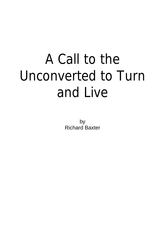## A Call to the Unconverted to Turn and Live

by Richard Baxter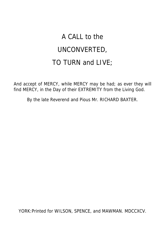## A CALL to the UNCONVERTED, TO TURN and LIVE;

And accept of MERCY, while MERCY may be had; as ever they will find MERCY, in the Day of their EXTREMITY from the Living God.

By the late Reverend and Pious Mr. RICHARD BAXTER.

YORK:Printed for WILSON, SPENCE, and MAWMAN. MDCCXCV.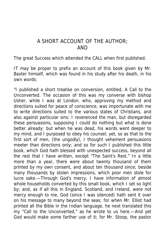## A SHORT ACCOUNT OF THE AUTHOR; AND

The great Success which attended the CALL when first published.

IT may be proper to prefix an account of this book given by Mr. Baxter himself, which was found in his study after his death, in his own words:

"I published a short treatise on conversion, entitled, A Call to the Unconverted. The occasion of this was my converse with bishop Usher, while I was at London. who, approving my method and directions suited for peace of conscience, was importunate with me to write directions suited to the various states of Christians, and also against particular sins: I reverenced the man, but disregarded these persuasions, supposing I could do nothing but what is done better already: but when he was dead, his words went deeper to my mind, and I purposed to obey his counsel; yet, so as that to the first sort of men, (the ungodly), I thought vehement persuasions meeter than directions only; and so for such I published this little book, which God hath blessed with unexpected success, beyond all the rest that I have written, except "The Saint's Rest." In a little more than a year, there were about twenty thousand of them printed by my own consent, and about ten thousand since; beside many thousands by stolen impressions, which poor men stole for lucre sake.—Through God's mercy, I have information of almost whole households converted by this small book, which I set so light by; and, as if all this in England, Scotland, and Ireland, were not mercy enough to me, God (since I was silenced) hath sent it over on his message to many beyond the seas; for when Mr. Elliot had printed all the Bible in the Indian language, he next translated this my "Call to the Unconverted," as he wrote to us here.—And yet God would make some farther use of it; for Mr. Stoop, the pastor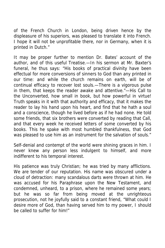of the French Church in London, being driven hence by the displeasure of his superiors, was pleased to translate it into French. I hope it will not be unprofitable there, nor in Germany, when it is printed in Dutch."

It may be proper further to mention Dr. Bates' account of the author, and of this useful Treatise.—In his sermon at Mr. Baxter's funeral, he thus says: "His books of practical divinity have been effectual for more conversions of sinners to God than any printed in our time: and while the church remains on earth, will be of continual efficacy to recover lost souls.—There is a vigorous pulse in them, that keeps the reader awake and attentive."—His Call to the Unconverted, how small in book, but how powerful in virtue! Truth speaks in it with that authority and efficacy, that it makes the reader to lay his hand upon his heart, and find that he hath a soul and a conscience, though he lived before as if he had none. He told some friends, that six brothers were converted by reading that Call, and that every week he received letters of some converted by his books. This he spake with most humbled thankfulness, that God was pleased to use him as an instrument for the salvation of souls."

Self-denial and contempt of the world were shining graces in him. I never knew any person less indulgent to himself, and more indifferent to his temporal interest.

His patience was truly Christian; he was tried by many afflictions. We are tender of our reputation. His name was obscured under a cloud of detraction: many scandalous darts were thrown at him. He was accused for his Paraphrase upon the New Testament, and condemned, unheard, to a prison, where he remained some years; but he was so far from being moved at the unrighteous prosecution, not he joyfully said to a constant friend, "What could I desire more of God, than having served him to my power, I should be called to suffer for him!"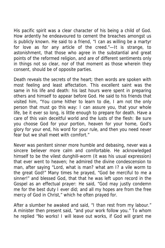His pacific spirit was a clear character of his being a child of God. How ardently he endeavoured to cement the breaches amongst us is publicly known. He said to a friend, "I can as willing be a martyr for love as for any article of the creed."—It is strange, to astonishment, that those who agree in the substantial and great points of the reformed religion, and are of different sentiments only in things not so clear, nor of that moment as those wherein they consent, should be of opposite parties.

Death reveals the secrets of the heart; then words are spoken with most feeling and least affectation. This excellent saint was the same in his life and death: his last hours were spent in preparing others and himself to appear before God. He said to his friends that visited him, "You come hither to learn to die, I am not the only person that must go this way: I can assure you, that your whole life, be it ever so long, is little enough to prepare for death. Have a care of this vain deceitful world and the lusts of the flesh: Be sure you choose God for your portion, heaven for your home, God's glory for your end, his word for your rule, and then you need never fear but we shall meet with comfort."

Never was penitent sinner more humble and debasing, never was a sincere believer more calm and comfortable. He acknowledged himself to be the vilest dunghill-worm (it was his usual expression) that ever went to heaven; he admired the divine condescension to man, after saying "Lord, what is man? what am I? a vile worm to the great God!" Many times he prayed, "God be merciful to me a sinner!" and blessed God, that that he was left upon record in the Gospel as an effectual prayer: He said, "God may justly condemn me for the best duty I ever did; and all my hopes are from the free mercy of God in Christ," which he often prayed for.

After a slumber he awaked and said, "I than rest from my labour." A minister then present said, "and your work follow you." To whom he replied "No works! I will leave out works, if God will grant me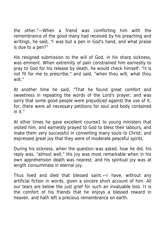the other."—When a friend was comforting him with the remembrance of the good many had received by his preaching and writings, he said, "I was but a pen in God's hand, and what praise is due to a pen?"

His resigned submission to the will of God, in his sharp sickness, was eminent. When extremity of pain constrained him earnestly to pray to God for his release by death, he would check himself: "It is not fit for me to prescribe;" and said, "when thou wilt, what thou wilt."

At another time he said, "That he found great comfort and sweetness in repeating the words of the Lord's prayer; and was sorry that some good people were prejudiced against the use of it; for, there were all necessary petitions for soul and body contained in it."

At other times he gave excellent counse1 to young ministers that visited him, and earnestly prayed to God to bless their labours, and make them very successful in converting many souls to Christ; and expressed great joy that they were of moderate peaceful spirits.

During his sickness, when the question was asked, how he did, his reply was, "almost well," His joy was most remarkable when in his own apprehension death was nearest; and his spiritual joy was at length consummate in eternal joy.

Thus lived and died that blessed saint.—I have, without any artificial fiction in words, given a sincere short account of him. All our tears are below the just grief for such an invaluable loss. It is the comfort of his friends that he enjoys a blessed reward in heaven, and hath left a precious remembrance on earth.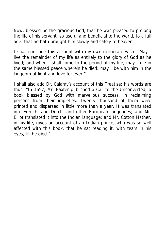Now, blessed be the gracious God, that he was pleased to prolong the life of his servant, so useful and beneficial to the world, to a full age: that he hath brought him slowly and safely to heaven.

I shall conclude this account with my own deliberate wish: "May I live the remainder of my life as entirely to the glory of God as he lived; and when I shall come to the period of my life, may I die in the same blessed peace wherein he died: may I be with him in the kingdom of light and love for ever."

I shall also add Dr. Calamy's account of this Treatise; his words are thus: "In 1657, Mr. Baxter published a Call to the Unconverted; a book blessed by God with marvellous success, in reclaiming persons from their impieties. Twenty thousand of them were printed and dispersed in little more than a year. It was translated into French, and Dutch, and other European languages; and Mr. Elliot translated it into the Indian language; and Mr. Cotton Mather, in his life, gives an account of an Indian prince, who was so well affected with this book, that he sat reading it, with tears in his eyes, till he died."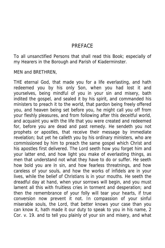### PREFACE

To all unsanctified Persons that shall read this Book; especially of my Hearers in the Borough and Parish of Kiaderminster.

MEN and BRETHREN,

THE eternal God, that made you for a life everlasting, and hath redeemed you by his only Son, when you had lost it and yourselves, being mindful of you in your sin and misery, bath indited the gospel, and sealed it by his spirit, and commanded his ministers to preach it to the world, that pardon being freely offered you, and heaven being set before you, he might call you off from your fleshly pleasures, and from following after this deceitful world, and acquaint you with the life that you were created and redeemed for, before you are dead and past remedy. He sendeth you not prophets or apostles, that receive their message by immediate revelation; but yet he calleth you by his ordinary ministers, who are commissioned by him to preach the same gospel which Christ and his apostles first delivered. The Lord seeth how you forget him and your latter end, and how light you make of everlasting things, as men that understand not what they have to do or suffer. He seeth how bold you are in sin, and how fearless threatnings, and how careless of your souls, and how the works of infidels are in your lives, while the belief of Christians is in your mouths. He seeth the dreadful day at hand, when your sorrows will begin, and you must lament all this with fruitless cries in torment and desperation; and then the remembrance of your folly will tear your hearts, if true conversion now prevent it not. In compassion of your sinful miserable souls, the Lord, that better knows your case than you can know it, hath made it our duty to speak to you in his name, 2 Cor. v. 19. and to tell you plainly of your sin and misery, and what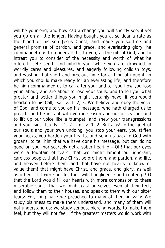will be your end, and how sad a change you will shortly see, if yet you go on a little longer. Having bought you at so dear a rate as the blood of his son Jesus Christ, and made you so free and general promise of pardon, and grace, and everlasting glory; he commandeth us to tender all this to you, as the gift of God, and to intreat you to consider of the necessity and worth of what he offereth.—He seeth and pitieth you, while you are drowned in worldly cares and pleasures, and eagerly following childish toys, and wasting that short and precious time for a thing of nought, in which you should make ready for an everlasting life; and therefore he high commanded us to call after you, and tell you how you lose your labour, and are about to lose your souls, and to tell you what greater and better things you might certainly have, if you would hearken to his Call, Isa. lv. 1, 2, 3. We believe and obey the voice of God; and come to you on his message, who hath charged us to preach, and be instant with you in season and out of season, and to lift up our voice like a trumpet, and shew your transgressions and your sins, Isa. lviii. 1. 2 Tim. iv. 1, 2. But alas! to the grief of our souls and your own undoing, you stop your ears, you stiffen your necks, you harden your hearts, and send us back to God with groans, to tell him that we have done his message, but can do no good on you, nor scarcely get a sober hearing.—Oh! that our eyes were a fountain of tears, that we might lament our ignorant, careless people, that have Christ before them, and pardon, and life, and heaven before them, and that have not hearts to know or value them! that might have Christ, and grace, and glory, as well as others, if it were not for their wilfill negligence and contempt! O that the Lord would fill our hearts with more compassion to these miserable souls, that we might cast ourselves even at their feet, and follow them to their houses, and speak to them with our bitter tears: For, long have we preached to many of them in vain: We study plainness to make them understand, and many of them will not understand us; we study serious, piercing words, to make them feel, but they will not feel. If the greatest matters would work with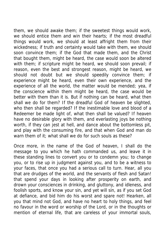them, we should awake them; if the sweetest things would work, we should entice them and win their hearts; if the most dreadful things would work, we should at least affright them from their wickedness; if truth and certainty would take with them, we should soon convince them; if the God that made them, and the Christ that bought them, might be heard, the case would soon be altered with them; if scripture might be heard, we should soon prevail; if reason, even the best and strongest reason, might be heard, we should not doubt but we should speedily convince them; if experience might be heard, even their own experience, and the experience of all the world, the matter would be mended; yea, if the conscience within them might be heard, the case would be better with them than it is. But if nothing can be heard, what then shall we do for them? If the dreadful God of heaven be slighted, who then shall be regarded? If the inestimable love and blood of a Redeemer be made light of, what then shall be valued? If heaven have no desirable glory with them, and everlasting joys be nothing worth, if they can jest at hell, and dance about the bottomless pit, and play with the consuming fire, and that when God and man do warn them of it; what shall we do for such souls as these?

Once more, in the name of the God of heaven, I shall do the message to you which he hath commanded us, and leave it in these standing lines to convert you or to condemn you; to change you, or to rise up in judgment against you, and to be a witness to your faces, that once you had a serious call to turn. Hear, all you that are drudges of the world, and the servants of flesh and Satan! that spend your days in looking after prosperity on earth, and drown your consciences in drinking, and gluttony, and idleness, and foolish sports, and know your sin, and yet will sin, as if you set God at defiance, and bid him do his worst and spare not! Hearken, all you that mind not God, and have no heart to holy things, and feel no favour in the word or worship of the Lord, or in the thoughts or mention of eternal life, that are careless of your immortal souls,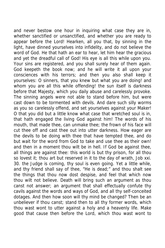and never bestow one hour in inquiring what case they are in, whether sanctified or unsanctified, and whether you are ready to appear before the Lord! Hearken, all you that, by sinning in the light, have dinned yourselves into infidelity, and do not believe the word of God. He that hath an ear to hear, let him hear the gracious and yet the dreadful call of God! His eye is all this while upon you. Your sins are registered, and you shall surely hear of them again. God keepeth the book now; and he will write it all upon your consciences with his terrors; and then you also shall keep it yourselves: O sinners, that you knew but what you are doing! and whom you are all this while offending! the sun itself is darkness before that Majesty, which you daily abuse and carelessly provoke. The sinning angels were not able to stand before him, but were cast down to be tormented with devils. And dare such silly worms as you so carelessly offend, and set yourselves against your Maker! O that you did but a little know what case that wretched soul is in, that hath engaged the living God against him! The words of his mouth, that made thee, can unmake thee; the frown of his face will cut thee off and cast thee out into utter darkness. How eager are the devils to be doing with thee that have tempted thee, and do but wait for the word from God to take and use thee as their own! and then in a moment thou wilt be in hell. If God be against thee, all things are against thee: this world is but thy prison, for all thou so lovest it; thou art but reserved in it to the day of wrath, Job xxi. 30. the Judge is coming, thy soul is even going. Yet a little while, and thy friend shall say of thee, "He is dead;" and thou shalt see the things that thou now dost despise, and feel that which now thou wilt not believe. Death will bring such an argument as thou canst not answer; an argument that shall effectually confute thy cavils against the words and ways of God, and all thy self-conceited dotages. And then how soon will thy mind be changed? Then be an unbeliever if thou canst; stand then to all thy former words, which thou wast wont to utter against a holy and a heavenly life. Make good that cause then before the Lord, which thou wast wont to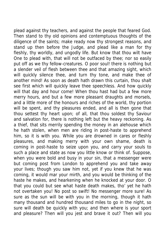plead against thy teachers, and against the people that feared God. Then stand to thy old opinions and contemptuous thoughts of the diligence of the saints; make ready now thy strongest reasons, and stand up then before the Judge, and plead like a man for thy fleshly, thy worldly, and ungodly life. But know that thou wilt have One to plead with, that will not be outfaced by thee; nor so easily put off as we thy fellow-creatures. O poor soul! there is nothing but a slender veil of flesh between thee and that amazing sight, which will quickly silence thee, and turn thy tone, and make thee of another mind! As soon as death hath drawn this curtain, thou shalt see first which will quickly leave thee speechless. And how quickly will that day and hour come! When thou hast had but a few more merry hours, and but a few more pleasant draughts and morsels, and a little more of the honours and riches of the world, thy portion will be spent, and thy pleasures ended, and all is then gone that thou settest thy heart upon; of all, that thou soldest thy Saviour and salvation for, there is nothing left but the heavy reckoning. As a thief, that sits merrily spending the money in an alehouse which he hath stolen, when men are riding in post-haste to apprehend him, so it is with you. While you are drowned in cares or fleshly pleasures, and making merry with your own shame, death is coming in post-haste to seize upon you, and carry your souls to such a place and state as now you little know or think of. Suppose, when you were bold and busy in your sin, that a messenger were but coming post from London to apprehend you and take away your lives; though you saw him not, yet if you knew that he was coming, it would mar your mirth, and you would be thinking of the haste he makes, and hearkening when he knocked at your door. O that you could but see what haste death makes, tho' yet he hath not overtaken you! No post so swift! No messenger more sure! As sure as the sun will be with you in the morning, though it hath many thousand and hundred thousand miles to go in the night, so sure will death be quickly with you; and then where is your sport and pleasure? Then will you jest and brave it out? Then will you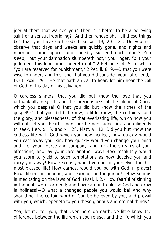jeer at them that warned you? Then is it better to be a believing saint or a sensual worldling? "And then whose shall all these things be" that you have gathered? Luke xii. 19, 20 , 21. Do you not observe that days and weeks are quickly gone, and nights and mornings come apace, and speedily succeed each other? You sleep, "but your damnation slumbereth not," you linger, "but your judgment this long time lingereth not," 2 Pet. ii. 3, 4, 5. to which "you are reserved for punishment," 2 Pet. ii. 8, 9.—O that you were wise to understand this, and that you did consider your latter end," Deut. xxxii. 29—"He that hath an ear to hear, let him hear the call of God in this day of his salvation."

O careless sinners! that you did but know the love that you unthankfully neglect, and the preciousness of the blood of Christ which you despise! O that you did but know the riches of the gospel! O that you did but know, a little know, the certainty, and the glory, and blessedness, of that everlasting life, which now you will not set your hearts upon, nor be persuaded first and diligently to seek, Heb. xi. 6. and xii. 28. Matt. vi. 12. Did you but know the endless life with God which you now neglect, how quickly would you cast away your sin, how quickly would you change your mind and life, your course and company, and turn the streams of your affections, and lay your care another way! How resolutely would you scorn to yield to such temptations as now deceive you and carry you away! How zealously would you bestir yourselves for that most blessed life! How earnest would you be with God in prayer! How diligent in hearing, and learning, and inquiring!—How serious in meditating on the laws of God! (Psal. i. 2.) How fearful of sinning in thought, word, or deed; and how careful to please God and grow in holiness!—O what a changed people you would be! And why should not the certain word of God be believed by you, and prevail with you, which, openeth to you these glorious and eternal things?

Yea, let me tell you, that even here on earth, ye little know the difference between the life which you refuse, and the life which you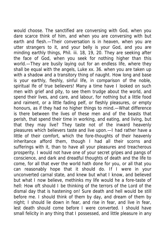would choose. The sanctified are conversing with God, when you dare scarce think of him, and when you are conversing with but earth and flesh.—Their conversation is in heaven, when you are utter strangers to it, and your belly is your God, and you are minding earthly things, Phil. iii. 18, 19, 20. They are seeking after the face of God, when you seek for nothing higher than this world.—They are busily laying out for an endless life, where they shall be equal with the angels, Luke xx. 36. when you are taken up with a shadow and a transitory thing of naught. How long and base is your earthly, fleshly, sinful life, in comparison of the noble, spiritual lfe of true believers! Many a time have I looked on such men with grief and pity, to see them trudge about the world, and spend their lives, and care, and labour, for nothing but a little food and raiment, or a little fading pelf, or fleshly pleasures, or empty honours, as if they had no higher things to mind.—What difference is there between the lives of these men and of the beasts that perish, that spend their time in working, and eating, and living, but that they may live? They taste not of the inward heavenly pleasures which believers taste and live upon.—I had rather have a little of their comfort, which the fore-thoughts of their heavenly inheritance afford them, though I had all their scorns and sufferings with it, than to have all your pleasures and treacherous prosperity. I would not have one of your secret gripes and pangs of conscience, and dark and dreadful thoughts of death and the life to come, for all that ever the world hath done for you, or all that you can reasonably hope that it should do. If I were in your unconverted carnal state, and knew but what I know, and believed but what I now believe, methinks my life would he a fore-taste of hell: How oft should I be thinking of the terrors of the Lord of the dismal day that is hastening on! Sure death and hell would be still before me. I should think of them by day, and dream of them by night; I should lie down in fear, and rise in fear, and live in fear, lest death should come before I were converted. I should have small felicity in any thing that I possessed, and little pleasure in any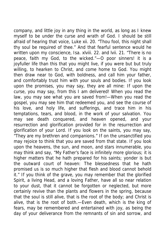company, and little joy in any thing in the world, as long as I knew myself to be under the curse and wrath of God. I should be still afraid of hearing that voice, Luke xii. 20. "Thou fool, this night shall thy soul be required of thee." And that fearful sentence would he written upon my conscience, Isa. xlviii. 22. and lvii. 21. "There is no peace, faith my God, to the wicked."—O poor sinners! it is a joyfuller life than this that you might live, if you were but but truly willing, to hearken to Christ, and come home to God. You might then draw near to God, with boldness, and call him your father, and comfortably trust him with your souls and bodies. If you look upon the promises, you may say, they are all mine: If upon the curse, you may say, from this I am delivered! When you read the law, you may see what you are saved from!—When you read the gospel, you may see him that redeemed you, and see the course of his love, and holy life, and sufferings, and trace him in his temptations, tears, and blood, in the work of your salvation. You may see death conquered, and heaven opened, and your resurrection and glorification provided for in the resurrection and glorification of your Lord. If you look on the saints, you may say, "They are my brethren and companions." If on the unsanctified you may rejoice to think that you are saved from that state. If you look upon the heavens, the sun, and moon, and stars innumerable, you may think and say, "My Father's face is infinitely more glorious; it is higher matters that he hath prepared for his saints; yonder is but the outward court of heaven: The blessedness that he hath promised us is so much higher that flesh and blood cannot behold it." If you think of the grave, you may remember that the glorified Spirit, a living Head, and a loving Father, have all so near relation to your dust, that it cannot be forgotten or neglected, but more certainly revive than the plants and flowers in the spring, because that the soul is still alive, that is the root of the body; and Christ is alive, that is the root of both.—Even death, which is the king of fears, may be remembered and entertained with joy, as being the day of your deliverance from the remnants of sin and sorrow, and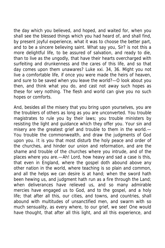the day which you believed, and hoped, and waited for, when you shall see the blessed things which you had heard of, and shall find, by present joyful experience, what it was to choose the better part, and to be a sincere believing saint. What say you, Sir? is not this a more delightful life, to be assured of salvation, and ready to die, than to live as the ungodly, that have their hearts overcharged with surfeiting and drunkenness and the cares of this life, and so that day comes upon them unawares? Luke xxi. 34, 36. Might you not live a comfortable life, if once you were made the heirs of heaven, and sure to be saved when you leave the world?—O look about you then, and think what you do, and cast not away such hopes as these for very nothing. The flesh and world can give you no such hopes or comforts.

And, besides all the misery that you bring upon yourselves, you are the troublers of others as long as you are unconverted. You trouble magistrates to rule you by their laws; you trouble ministers by resisting the light and guidance which they offer you. Your sin and misery are the greatest grief and trouble to them in the world.— You trouble the commonwealth, and draw the judgments of God upon you. It is you that most disturb the holy peace and order of the churches, and hinder our union and reformation, and are the shame and trouble of the churches where you intrude, and of the places where you are.—Ah! Lord, how heavy and sad a case is this, that even in England, where the gospel doth abound above any other nation in the world, where teaching is so plain and common, and all the helps we can desire is at hand; when the sword hath been hewing us, and judgment hath run as a fire through the Land; when deliverances have relieved us, and so many admirable mercies have engaged us to God, and to the gospel, and a holy life; that after all this, our cities, and towns, and countries, shall abound with multitudes of unsanctified men, and swarm with so much sensuality, as every where, to our grief, we see! One would have thought, that after all this light, and all this experience, and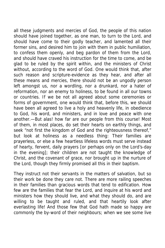all these judgments and mercies of God, the people of this nation should have joined together, as one man, to turn to the Lord, and should have come to their godly teacher, and lamented all their former sins, and desired him to join with them in public humiliation, to confess them openly, and beg pardon of them from the Lord, and should have craved his instruction for the time to come, and be glad to be ruled by the spirit within, and the ministers of Christ without, according to the word of God. One would think that, after such reason and scripture-evidence as they hear, and after all these means and mercies, there should not be an ungodly person left amongst us, nor a wordling, nor a drunkard, nor a hater of reformation, nor an enemy to holiness, to be found in all our towns or countries. If we be not all agreed about some ceremonies or forms of government, one would think that, before this, we should have been all agreed to live a holy and heavenly life, in obedience to God, his word, and ministers, and in love and peace with one another.—But alas! how far are our people from this course! Most of them, in most places, do set their hearts on earthly things, and seek "not first the kingdom of God and the righteousness thereof," but look at holiness as a needless thing: Their families are prayerless, or else a few heartless lifeless words must serve instead of hearty, fervent, daily prayers [or perhaps only on the Lord's-day in the evening]; their children are not taught the knowledge of Christ, and the covenant of grace, nor brought up in the nurture of the Lord, though they firmly promised all this in their baptism.

They instruct not their servants in the matters of salvation, but so their work be done they care not. There are more railing speeches in their families than gracious words that tend to edification. How few are the families that fear the Lord, and inquire at his word and ministers how they should live, and what they should do, and are willing to be taught and ruled, and that heartily look after everlasting life! And those few that God hath made so happy are commonly the by-word of their neighbours; when we see some live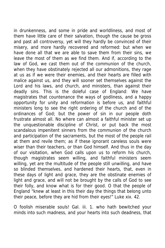in drunkenness, and some in pride and worldliness, and most of them have little care of their salvation, though the cause be gross and past all controversy, yet will they hardly be convinced of their misery, and more hardly recovered and reformed: but when we have done all that we are able to save them from their sins, we leave the most of them as we find them. And if, according to the law of God, we cast them out of the communion of the church, when they have obstinately rejected all our admonitions, they rage at us as if we were their enemies, and their hearts are filled with malice against us, and they will sooner set themselves against the Lord and his laws, and church, and ministers, than against their deadly sins. This is the doleful case of England: We have magistrates that countenance the ways of godliness, and a happy opportunity for unity and reformation is before us, and faithful ministers long to see the right ordering of the church and of the ordinances of God; but the power of sin in our people doth frustrate almost all. No where can almost a faithful minister set up the unquestionable discipline of Christ, or put back the most scandalous impenitent sinners from the communion of the church and participation of the sacraments, but the most of the people rail at them and revile them; as if these ignorant careless souls were wiser than their teachers, or than God himself. And thus in the day of our visitation, when God calls upon us to reform his church, though magistrates seem willing, and faithful ministers seem willing, yet are the multitude of the people still unwilling, and have so blinded themselves, and hardened their hearts, that, even in these days of light and grace, they are the obstinate enemies of light and grace, and will not be brought by the calls of God to see their folly, and know what is for their good. O that the people of England "knew at least in this their day the things that belong unto their peace, before they are hid from their eyes!" Luke xix. 42.

O foolish miserable souls! Gal. iii. 1. who hath bewitched your minds into such madness, and your hearts into such deadness, that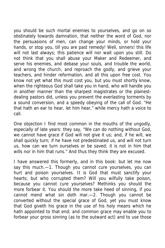you should be such mortal enemies to yourselves, and go on so obstinately towards damnation, that neither the word of God, nor the persuasions of men, can change your minds, or hold your hands, or stop you, till you are past remedy! Well, sinners! this life will not last always; this patience will nor wait upon you still. Do not think that you shall abuse your Maker and Redeemer, and serve his enemies, and debase your souls, and trouble the world, and wrong the church, and reproach the godly, and grieve your teachers, and hinder reformation, and all this upon free cost. You know not yet what this must cost you, but you must shortly know, when the righteous God shall take you in hand, who will handle you in another manner than the sharpest magistrates or the plainestdealing pastors did, unless you prevent the everlasting torments by a sound conversion, and a speedy obeying of the call of God. "He that hath an ear to hear, let him hear," while mercy hath a voice to call.

One objection I find most common in the mouths of the ungodly, especially of late years: they say, "We can do nothing without God, we cannot have grace if God will not give it us; and, if he will, we shall quickly turn; if he have not predestinated us, and will not turn us, how can we turn ourselves or be saved; it is not in him that wills nor in him that runs." And thus they think they are excused.

I have answered this formerly, and in this book: but let me now say this much.-1. Though you cannot cure yourselves, you can hurt and poison yourselves. It is God that must sanctify your hearts; but who corrupted them? Will you wilfully take poison, because you cannot cure yourselves? Methinks you should the more forbear it. You should the more take heed of sinning, if you cannot mend what sin doth mar.—2. Though you cannot be converted without the special grace of God, yet you must know that God giveth his grace in the use of his holy means which he hath appointed to that end; and common grace may enable you to forbear your gross sinning (as to the outward act) and to use those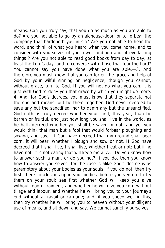means. Can you truly say, that you do as much as you are able to do? Are you not able to go by an alehouse-door, or to forbear the company that hardeneth you in sin? Are you not able to hear the word, and think of what you heard when you come home, and to consider with yourselves of your own condition and of everlasting things ? Are you not able to read good books from day to day, at least the Lord's-day, and to converse with those that fear the Lord? You cannot say you have done what you are able.—3. And therefore you must know that you can forfeit the grace and help of God by your wilful sinning or negligence, though you cannot, without grace, turn to God. If you will not do what you can, it is just with God to deny you that grace by which you might do more. 4. And, for God's decrees, you must know that they separate not the end and means, but tie them together. God never decreed to save any but the sanctified, nor to damn any but the unsanctified. God doth as truly decree whether your land, this year, than be barren or fruitful, and just how long you shall live in the world, as he hath decreed whether you shall be saved or not; and yet you would think that man but a fool that would forbear ploughing and sowing, and say, "If God have decreed that my ground shall bear corn, it will bear, whether I plough and sow or not. If God have decreed that I shall live, I shall live, whether I eat or not; but if he have not, it is not eating that will keep me alive." Do you know how to answer such a man, or do you not? If you do, then you know how to answer yourselves; for the case is alike God's decree is as peremptory about your bodies as your souls: if you do not, then try first, there conclusions upon your bodies, before you venture to try them on your soul: see first whether God will keep you alive without food or raiment, and whether he will give you corn without tillage and labour, and whether he will bring you to your journey's end without a travail or carriage; and, if you speed well in this, then try whether he will bring you to heaven without your diligent use of means, and sit down and say, We cannot sanctify ourselves.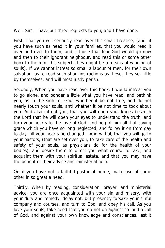Well, Sirs, I have but three requests to you, and I have done.

First, That you will seriously read over this small Treatise; (and, if you have such as need it in your families, that you would read it over and over to them; and if those that fear God would go now and then to their ignorant neighbour, and read this or some other book to them on this subject, they might be a means of winning of souls). If we cannot intreat so small a labour of men, for their own salvation, as to read such short instructions as these, they set little by themselves, and will most justly perish.

Secondly, When you have read over this book, I would intreat you to go alone, and ponder a little what you have read, and bethink you, as in the sight of God, whether it be not true, and do not nearly touch your souls, anti whether it be not time to took about you. And also intreat you, that you will upon your knees beseech the Lord that he will open your eyes to understand the truth, and turn your hearts to the love of God, and beg of him all that saving grace which you have so long neglected, and follow it on from day to day, till your hearts be changed.—And withal, that you will go to your pastors, (that are set over you, to take care of the health and safety of your souls, as physicians do for the health of your bodies), and desire them to direct you what course to take, and acquaint them with your spiritual estate, and that you may have the benefit of their advice and ministerial help.

Or, if you have not a faithful pastor at home, make use of some other in so great a need.

Thirdly, When by reading, consideration, prayer, and ministerial advice, you are once acquainted with your sin and misery, with your duty and remedy, delay not, but presently forsake your sinful company and courses, and turn to God, and obey his call. As you love your souls, take heed that you go not on against so loud a call of God, and against your own knowledge and consciences, lest it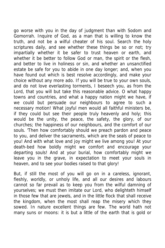go worse with you in the day of judgment than with Sodom and Gomorrah. Inquire of God, as a man that is willing to know the truth, and not be a wilful cheater of his soul. Search the holy scriptures daily, and see whether these things be so or not; try impartially whether it be safer to trust heaven or earth, and whether it be better to follow God or man, the spirit or the flesh, and better to live in holiness or sin, and whether an unsanctified estate be safe for you to abide in one day longer; and, when you have found out which is best resolve accordingly, and make your choice without any more ado. If you will be true to your own souls, and do not love everlasting torments, I beseech you, as from the Lord, that you will but take this reasonable advice. O what happy towns and countries, and what a happy nation might we have, if we could but persuade our neighbours to agree to such a necessary motion! What joyful men would all faithful ministers be, if they could but see their people truly heavenly and holy; this would be the unity, the peace, the safety, the glory, of our churches; the happiness of our neighbours, and the comfort of our souls. 'Then how comfortably should we preach pardon and peace to you, and deliver the sacraments, which are the seals of peace to you! And with what love and joy might we live among you! At your death-bed how boldly might we comfort and encourage your departing souls! And at your burial, how comfortably might we leave you in the grave, in expectation to meet your souls in heaven, and to see your bodies raised to that glory!

But, if still the most of you will go on in a careless, ignorant, fleshly, worldly, or unholy life, and all our desires and labours cannot so far prevail as to keep you from the wilful damning of yourselves; we must then imitate our Lord, who delighteth himself in those few that are jewels, and in the little flock that shall receive the kingdom, when the most shall reap the misery which they sowed. In nature excellent things are few. The world hath not many suns or moons: it is but a little of the earth that is gold or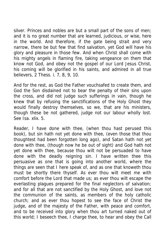silver. Princes and nobles are but a small part of the sons of men; and it is no great number that are learned, judicious, or wise, here in the world. And therefore, if the gate being strait and very narrow, there be but few that find salvation, yet God will have his glory and pleasure in those few. And when Christ shall come with his mighty angels in flaming fire, taking vengeance on them that know not God, and obey not the gospel of our Lord Jesus Christ, his coming will be glorified in his saints, and admired in all true believers, 2 Thess. i. 7, 8, 9, 10.

And for the rest, as God the Father vouchsafed to create them, and God the Son disdained not to bear the penalty of their sins upon the cross, and did not judge such sufferings in vain, though he knew that by refusing the sanctifications of the Holy Ghost they would finally destroy themselves, so we, that are his ministers, though these be not gathered, judge not our labour wholly lost. See Isa. xlix. 5.

Reader, I have done with thee, (when thou hast perused this book), but sin hath not yet done with thee, (even those that thou thoughtest had been forgotten long ago), and Satan hath not yet done with thee, (though now he be out of sight) and God hath not yet done with thee, because thou wilt not be persuaded to have done with the deadly reigning sin. I have written thee this persuasive as one that is going into another world, where the things are seen that I here speak of, and as one that knoweth thou must be shortly there thyself. As ever thou wilt meet me with comfort before the Lord that made us; as ever thou wilt escape the everlasting plagues prepared for the final neglectors of salvation; and for all that are not sanctified by the Holy Ghost, and love not the communion of the saints, as members of the holy catholic church; and as ever thou hopest to see the face of Christ the judge, and of the majesty of the Father, with peace and comfort, and to be received into glory when thou art turned naked out of this world; I beseech thee, I charge thee, to hear and obey the Call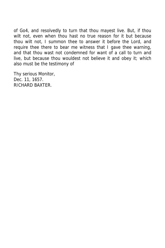of Go4, and resolvedly to turn that thou mayest live. But, if thou wilt not, even when thou hast no true reason for it but because thou wilt not, I summon thee to answer it before the Lord, and require thee there to bear me witness that I gave thee warning, and that thou wast not condemned for want of a call to turn and live, but because thou wouldest not believe it and obey it; which also must be the testimony of

Thy serious Monitor, Dec. 11, 1657. RICHARD BAXTER.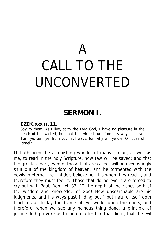# A CALL TO THE UNCONVERTED

## **SERMON I.**

#### **EZEK. XXXIII. 11.**

Say to them, As I live, saith the Lord God, I have no pleasure in the death of the wicked, but that the wicked turn from his way and live. Turn ye, turn ye, from your evil ways, for, why will ye die, O house of Israel?

IT hath been the astonishing wonder of many a man, as well as me, to read in the holy Scripture, how few will be saved; and that the greatest part, even of those that are called, will be everlastingly shut out of the kingdom of heaven, and be tormented with the devils in eternal fire. Infidels believe not this when they read it, and therefore they must feel it. Those that do believe it are forced to cry out with Paul, Rom. xi. 33, "O the depth of the riches both of the wisdom and knowledge of God! How unsearchable are his judgments, and his ways past finding out!" but nature itself doth teach us all to lay the blame of evil works upon the doers, and therefore, when we see any heinous thing done, a principle of justice doth provoke us to inquire after him that did it, that the evil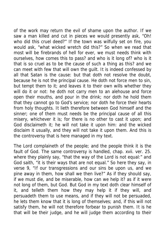of the work may return the evil of shame upon the author. If we saw a man killed and cut in pieces we would presently ask, "Oh! who did this cruel deed?" If the town was wilfully set on fire, you would ask, "what wicked wretch did this?" So when we read that most will be firebrands of hell for ever, we must needs think with ourselves, how comes this to pass? and who is it long of? who is it that is so cruel as to be the cause of such a thing as this? and we can meet with few that will own the guilt. It is indeed confessed by all that Satan is the cause: but that doth not resolve the doubt, because he is not the principal cause. He doth not force men to sin, but tempt them to it; and leaves it to their own wills whether they will do it or not: he doth not carry men to an alehouse and force open their mouths, and pour in the drink; nor doth he hold them that they cannot go to God's service; nor doth he force their hearts from holy thoughts. It lieth therefore between God himself and the sinner; one of them must needs be the principal cause of all this misery, whichever it is; for there is no other to cast it upon; and God disclaimeth it; he will not take it upon him: and the wicked disclaim it usually, and they will not take it upon them. And this is the controversy that is here managed in my text.

The Lord complaineth of the people; and the people think it is the fault of God. The same controversy is handled, chap. xvii. ver. 25. where they plainly say, "that the way of the Lord is not equal:" and God saith, "it is their ways that are not equal." So here they say, in verse 9, "If our transgressions and our sins be upon us, and we pine away in them, how shall we then live?" As if they should say, if we must die, and be miserable, how can we help it? as if it were not long of them, but God. But God in my text doth clear himself of it, and telleth them how they may help it if they will, and persuadeth them to use means, and if they will not be persuaded, he lets them know that it is long of themselves; and, if this will not satisfy them, he will not therefore forbear to punish them. It is he that will be their judge, and he will judge them according to their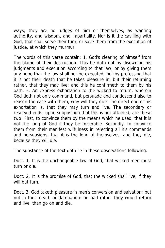ways; they are no judges of him or themselves, as wanting authority, and wisdom, and impartiality. Nor is it the cavilling with God, that shall serve their turn, or save them from the execution of justice, at which they murmur.

The words of this verse contain: 1. God's clearing of himself from the blame of their destruction. This he doth not by disowning his judgments and execution according to that law, or by giving them any hope that the law shall not be executed; but by professing that it is not their death that he takes pleasure in, but their returning rather, that they may live: and this he confirmeth to them by his oath. 2. An express exhortation to the wicked to return, wherein God doth not only command, but persuade and condescend also to reason the case with them, why will they die? The direct end of his exhortation is, that they may turn and live. The secondary or reserved ends, upon supposition that this is not attained, are these two: First, to convince them by the means which he used, that it is not the long of God if they be miserable. Secondly, to convince them from their manifest wilfulness in rejecting all his commands and persuasions, that it is the long of themselves; and they die, because they will die.

The substance of the text doth lie in these observations following.

Doct. 1. It is the unchangeable law of God, that wicked men must turn or die.

Doct. 2. It is the promise of God, that the wicked shall live, if they will but turn.

Doct. 3. God taketh pleasure in men's conversion and salvation; but not in their death or damnation: he had rather they would return and live, than go on and die.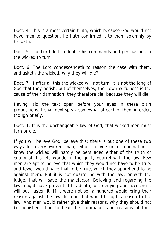Doct. 4. This is a most certain truth, which because God would not have men to question, he hath confirmed it to them solemnly by his oath.

Doct. 5. The Lord doth redouble his commands and persuasions to the wicked to turn

Doct. 6. The Lord condescendeth to reason the case with them, and asketh the wicked, why they will die?

Doct. 7. If after all this the wicked will not turn, it is not the long of God that they perish, but of themselves; their own wilfulness is the cause of their damnation; they therefore die, because they will die.

Having laid the text open before your eyes in these plain propositions, I shall next speak somewhat of each of them in order, though briefly.

Doct. 1. It is the unchangeable law of God, that wicked men must turn or die.

If you will believe God, believe this: there is but one of these two ways for every wicked man, either conversion or damnation. I know the wicked will hardly be persuaded either of the truth or equity of this. No wonder if the guilty quarrel with the law. Few men are apt to believe that which they would not have to be true, and fewer would have that to be true, which they apprehend to be against them. But it is not quarrelling with the law, or with the judge, that will save the malefactor. Believing and regarding the law, might have prevented his death; but denying and accusing it will but hasten it. If it were not so, a hundred would bring their reason against the law, for one that would bring his reason to the law. And men would rather give their reasons, why they should not be punished, than to hear the commands and reasons of their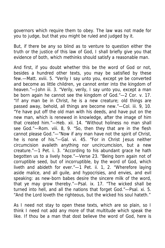governors which require them to obey. The law was not made for you to judge, but that you might be ruled and judged by it.

But, if there be any so blind as to venture to question either the truth or the justice of this law of God, I shall briefly give you that evidence of both, which methinks should satisfy a reasonable man.

And first, if you doubt whether this be the word of God or not, besides a hundred other texts, you may be satisfied by these few.—Matt. xviii. 5. "Verily I say unto you, except ye be converted and become as little children, ye cannot enter into the kingdom of heaven."—John iii. 3. "Verily, verily, I say unto you, except a man be born again he cannot see the kingdom of God."—2 Cor. v. 17. "If any man be in Christ, he is a new creature; old things are passed away, behold, all things are become new."—Col. iii. 9, 10. "Ye have put off the old man with his deeds, and have put on the new man, which is renewed in knowledge, after the image of him that created him."—Heb. xii. 14. "Without holiness no man shall see God."—Rom. viii. 8, 9. "So, then they that are in the flesh cannot please God."—"Now if any man have not the spirit of Christ, he is none of his."—Gal. vi. 45. "For in Christ Jesus neither circumcision availeth anything nor uncircumcision, but a new creature."—1 Pet. i. 3. "According to his abundant grace he hath begotten us to a lively hope."—Verse 23. "Being born again not of corruptible seed, but of incorruptible, by the word of God, which liveth and abideth for ever."—1 Pet. ii. 1, 2. "Wherefore laying aside malice, and all guile, and hypocrisies, and envies, and evil speaking: as new-born babes desire the sincere milk of the word, that ye may grow thereby."—Psal. ix. 17. "The wicked shall be turned into hell, and all the nations that forget God."—Psal. xi. 5. "And the Lord loveth the righteous, but the wicked his soul hateth."

As I need not stay to open these texts, which are so plain, so I think I need not add any more of that multitude which speak the like. If thou be a man that dost believe the word of God, here is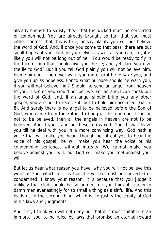already enough to satisfy thee, that the wicked must be converted or condemned. You are already brought so far, that you must either confess that this is true, or say plainly you will not believe the word of God. And, if once you come to that pass, there are but small hopes of you: look to yourselves as well as you can, for, it is likely you will not be long out of hell. You would be ready to fly in the face of him that should give you the lie; and yet dare you give the lie to God? But if you tell God plainly you will not believe him, blame him not if he never warn you more, or if he forsake you, and give you up as hopeless. For to what purpose should he warn you, if you will not believe him? Should he send an angel from heaven to you, it seems you would not believe. For an angel can speak but the word of God; and, if an angel should bring you any other gospel, you are not to receive it, but to hold him accursed (Gal. i. 8). And surely there is no angel to be believed before the Son of God, who came from the Father to bring us this doctrine. If he be not to be believed, then all the angels in heaven are not to be believed. And if you stand on these terms with God, I shall leave you till he deal with you in a more convincing way. God hath a voice that will make you hear. Though he intreat you to hear the voice of his gospel, he will make you hear the voice of his condemning sentence, without intreaty. We cannot make you believe against your will; but God will make you feel against your will.

But let us hear what reason you have, why you will not believe this word of God, which tells us that the wicked must be converted or condemned. I know your reason; it is because that you judge it unlikely that God should be so unmerciful: you think it cruelty to damn men everlastingly for so small a thing as a sinful life. And this leads us to the second thing, which is, to justify the equity of God in his laws and judgments.

And first, I think you will not deny but that it is most suitable to an immortal soul to be ruled by laws that promise an eternal reward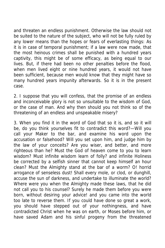and threaten an endless punishment. Otherwise the law should not be suited to the nature of the subject, who will not be fully ruled by any lower means than the hopes or fears of everlasting things: As it is in case of temporal punishment; if a law were now made, that the most heinous crimes shall be punished with a hundred years captivity, this might be of some efficacy, as being equal to our lives. But, if there had been no other penalties before the flood, when men lived eight or nine hundred years, it would not have been sufficient, because men would know that they might have so many hundred years impunity afterwards. So it is in the present case.

2. I suppose that you will confess, that the promise of an endless and inconceivable glory is not so unsuitable to the wisdom of God, or the case of man. And why then should you not think so of the threatening of an endless and unspeakable misery?

3. When you find it in the word of God that so it is, and so it will be, do you think yourselves fit to contradict this word?—Will you call your Maker to the bar, and examine his word upon the accusation or falsehood? Will you set upon him, and judge him by the law of your conceits? Are you wiser, and better, and more righteous than he? Must the God of heaven come to you to learn wisdom? Must infinite wisdom learn of folly? and infinite Holiness be corrected by a selfish sinner that cannot keep himself an hour clean? Must the Almighty stand at the bar of a worm? O! horrid arrogance of senseless dust! Shall every mole, or clod, or dunghill, accuse the sun of darkness, and undertake to illuminate the world? Where were you when the Almighty made these laws, that he did not call you to his counsel? Surely he made them before you were born, without desiring your advice! and you came into the world too late to reverse them. If you could have done so great a work, you should have stepped out of your nothingness, and have contradicted Christ when he was on earth, or Moses before him, or have saved Adam and his sinful progeny from the threatened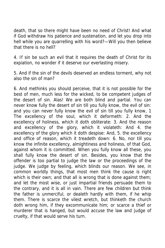death, that so there might have been no need of Christ! And what if God withdraw his patience and sustenation, and let you drop into hell while you are quarrelling with his word?—Will you then believe that there is no hell?

4. If sin be such an evil that it requires the death of Christ for its expiation, no wonder if it deserve our everlasting misery.

5. And if the sin of the devils deserved an endless torment, why not also the sin of man?

6. And methinks you should perceive, that it is not possible for the best of men, much less for the wicked, to be competent judges of the desert of sin. Alas! We are both blind and partial. You can never know fully the desert of sin till you fully know, the evil of sin: and you can never fully know the evil of sin till you fully know, 1 The excellency of the soul, which it deformeth: 2. And the excellency of holiness, which it doth obliterate: 3. And the reason and excellency of the glory, which it violateth: And 4. the excellency of the glory which it doth despise: And, 5. the excellency and office of reason, which it treadeth down: 6. No, nor till you know the infinite excellency, almightiness and holiness, of that God, against whom it is committed. When you fully know all these, you shall fully know the desert of sin. Besides, you know that the offender is too partial to judge the law or the proceedings of the judge. We judge by feeling, which blinds our reason. We see, in common worldly things, that most men think the cause is right which is their own; and that all is wrong that is done against them; and let the most wise, or just impartial friends persuade them to the contrary, and it is all in vain. There are few children but think the father is unmerciful, or dealeth hardly with them, if he whip them. There is scarce the vilest wretch, but thinketh the church doth wrong him, if they excommunicate him; or scarce a thief or murderer that is hanged, but would accuse the law and judge of cruelty, if that would serve his turn.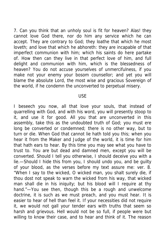7. Can you think that an unholy soul is fit for heaven? Alas! they cannot love God there, nor do him any service which he can accept. They are contrary to God; they loathe that which he most loveth; and love that which he abhoreth: they are incapable of that imperfect communion with him; which his saints do here partake of. How then can they live in that perfect love of him, and full delight and communion with him, which is the blessedness of heaven? You do not accuse yourselves of unmercifulness, if you make not your enemy your bosom counsellor; and yet you will blame the absolute Lord, the most wise and gracious Sovereign of the world, if he condemn the unconverted to perpetual misery.

#### USE

I beseech you now, all that love your souls, that instead of quarrelling with God, and with his word, you will presently stoop to it, and use it for good. All you that are unconverted in this assembly, take this as the undoubted truth of God; you must ere long be converted or condemned; there is no other way, but to turn or die. When God that cannot lie hath told you this; when you hear it from the Maker and Judge of the world, it is time for him that hath ears to hear. By this time you may see what you have to trust to. You are but dead and damned men, except you will be converted. Should I tell you otherwise, I should deceive you with a lie.—Should I hide this from you, I should undo you, and be guilty of your blood, as the verses before my text assure me: ver. 8. "When I say to the wicked, O wicked man, you shalt surely die, if thou dost not speak to warn the wicked from his way, that wicked man shall die in his iniquity; but his blood will I require at thy hand."—You see then, though this be a rough and unwelcome doctrine, it is such as we must preach, and you must hear. It is easier to hear of hell than feel it. If your necessities did not require it, we would not gall your tender ears with truths that seem so harsh and grievous. Hell would not be so full, if people were but willing to know their case, and to hear and think of it. The reason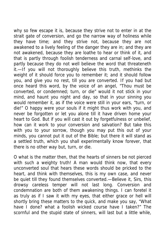why so few escape it is, because they strive not to enter in at the strait gate of conversion, and go the narrow way of holiness while they have time; and they strive not, because they are not awakened to a lively feeling of the danger they are in; and they are not awakened, because they are loathe to hear or think of it, and that is partly through foolish tenderness and carnal self-love, and partly because they do not well believe the word that threateneth it.—If you will not thoroughly believe this truth, methinks the weight of it should force you to remember it; and it should follow you, and give you no rest, till you are converted. If you had but once heard this word, by the voice of an angel, "Thou must be converted, or condemned; turn, or die" would it not stick in your mind, and haunt you night and day, so that in your sinning you would remember it, as if the voice were still in your ears, "turn, or die!" O happy were your souls if it might thus work with you, and never be forgotten or let you alone till it have driven home your heart to God. But if you will cast it out by forgetfulness or unbelief, how can it work to your conversion and salvation? But take this with you to your sorrow, though you may put this out of your minds, you cannot put it out of the Bible; but there it will stand as a settled truth, which you shall experimentally know forever, that there is no other way but, turn, or die.

O what is the matter then, that the hearts of sinners be not pierced with such a weighty truth! A man would think now, that every unconverted soul that hears these words should be pricked to the heart, and think with themselves, this is my own case, and never be quiet till they found themselves converted.—Believe it, Sirs, this drowsy careless temper will not last long. Conversion and condemnation are both of them awakening things. I can foretel it as truly as if I saw it with my eyes, that either grace or hell will shortly bring these matters to the quick, and make you say, "What have I done? what a foolish wicked course have I taken?" The scornful and the stupid state of sinners, will last but a little while,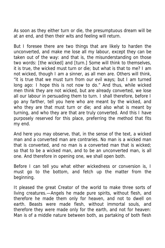As soon as they either turn or die, the presumptuous dream will be at an end, and then their wits and feeling will return.

But I foresee there are two things that are likely to harden the unconverted, and make me lose all my labour, except they can be taken out of the way: and that is, the misunderstanding on those two words: [the wicked] and [turn.] Some will think to themselves, it is true, the wicked must turn or die; but what is that to me? I am not wicked, though I am a sinner, as all men are. Others will think, "it is true that we must turn from our evil ways; but I am turned long ago: I hope this is not now to do." And thus, while wicked men think they are not wicked, but are already converted, we lose all our labour in persuading them to turn. I shall therefore, before I go any farther, tell you here who are meant by the wicked, and who they are that must turn or die; and also what is meant by turning, and who they are that are truly converted. And this I have purposely reserved for this place, preferring the method that fits my end.

And here you may observe, that, in the sense of the text, a wicked man and a converted man are contraries. No man is a wicked man that is converted, and no man is a converted man that is wicked; so that to be a wicked man, and to be an unconverted man, is all one. And therefore in opening one, we shall open both.

Before I can tell you what either wickedness or conversion is, I must go to the bottom, and fetch up the matter from the beginning.

It pleased the great Creator of the world to make three sorts of living creatures.—Angels he made pure spirits, without flesh, and therefore he made them only for heaven, and not to dwell on earth. Beasts were made flesh, without immortal souls, and therefore they were made only for the earth, and not for heaven: Man is of a middle nature between both, as partaking of both flesh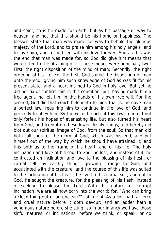and spirit, so is he made for earth, but as his passage or way to heaven, and not that this should be his home or happiness. The blessed state that man was made for was to behold the glorious majesty of the Lord, and to praise him among his holy angels; and to love him, and to be filled with his love forever. And as this was the end that man was made for, so God did give him means that were fitted to the attaining of it. These means were principally two: First, the right disposition of the mind of man; Secondly, the right ordering of his life. For the first, God suited the disposition of man unto the end; giving him such knowledge of God as was fit for his present state, and a heart inclined to God in holy love. But yet he did not fix or confirm him in this condition; but, having made him a free agent, he left him in the hands of his own free will. For the second, God did that which belongeth to him: that is, he gave man a perfect law, requiring him to continue in the love of God, and perfectly to obey him. By the wilful breach of this law, man did not only forfeit his hopes of everlasting life, but also turned his heart from God, and fixed it on these lower fleshly things, and hereby did blot out our spiritual image of God, from the soul: So that man did both fall short of the glory of God, which was his end, and put himself out of the way by which he should have attained it; and this both as to the frame of his heart, and of his life. The holy inclination and love of his soul to God, he lost, and instead of it, he contracted an inclination and love to the pleasing of his flesh, or carnal self, by earthly things; growing strange to God, and acquainted with the creature: and the course of this life was suited to the inclination of his heart; he lived to his carnal self, and not to God, he sought the creature, for the pleasing of his flesh, instead of seeking to please the Lord. With this nature, or corrupt inclination, we are all now born into the world; for, "Who can bring a clean thing out of an unclean?" Job xiv. 4. As a lion hath a fierce and cruel nature before it doth devour; and an adder hath a venomous nature before she sting; so in our infancy we have those sinful natures, or inclinations, before we think, or speak, or do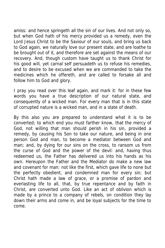amiss: and hence springeth all the sin of our lives. And not only so, but when God hath of his mercy provided us a remedy, even the Lord Jesus Christ to be the Saviour of our souls, and bring us back to God again, we naturally love our present state, and are loathe to be brought out of it, and therefore are set against the means of our recovery. And, though custom have taught us to thank Christ for his good will, yet carnal self persuadeth us to refuse his remedies, and to desire to be excused when we are commanded to take the medicines which he offereth, and are called to forsake all and follow him to God and glory.

I pray you read over this leaf again, and mark it: for in these few words you have a true description of our natural state, and consequently of a wicked man. For every man that is in this state of corrupted nature is a wicked man, and in a state of death.

By this also you are prepared to understand what it is to be converted; to which end you must farther know, that the mercy of God, not willing that man should perish in his sin, provided a remedy, by causing his Son to take our nature, and being in one person God and man, to become a mediator between God and man; and, by dying for our sins on the cross, to ransom us from the curse of God and the power of the devil: and, having thus redeemed us, the Father has delivered us into his hands as his own. Hereupon the Father and the Mediator do make a new law and covenant for man: not like the first, which gave life to none but the perfectly obedient, and condemned man for every sin; but Christ hath made a law of grace, or a promise of pardon and everlasting life to all, that, by true repentance and by faith in Christ, are converted unto God. Like an act of oblivion which is made by a prince to a company of rebels, on condition they lay down their arms and come in, and be loyal subjects for the time to come.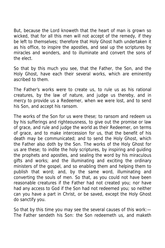But, because the Lord knoweth that the heart of man is grown so wicked, that for all this men will not accept of the remedy, if they be left to themselves; therefore that Holy Ghost hath undertaken it as his office, to inspire the apostles, and seal up the scriptures by miracles and wonders, and to illuminate and convert the sons of the elect.

So that by this much you see, that the Father, the Son, and the Holy Ghost, have each their several works, which are eminently ascribed to them.

The Father's works were to create us, to rule us as his rational creatures, by the law of nature, and judge us thereby, and in mercy to provide us a Redeemer, when we were lost, and to send his Son, and accept his ransom.

The works of the Son for us were these; to ransom and redeem us by his sufferings and righteousness, to give out the promise or law of grace, and rule and judge the world as their Redeemer, on terms of grace, and to make intercession for us, that the benefit of his death may be communicated; and to send the Holy Ghost, which the Father also doth by the Son. The works of the Holy Ghost for us are these; to indite the holy scriptures, by inspiring and guiding the prophets and apostles, and sealing the word by his miraculous gifts and works; and the illuminating and exciting the ordinary ministers of the gospel, and so enabling them and helping them to publish that word; and, by the same word, illuminating and converting the souls of men. So that, as you could not have been reasonable creatures if the Father had not created you; nor have had any access to God if the Son had not redeemed you; so neither can you have a part in Christ, or be saved, except the Holy Ghost do sanctify you.

So that by this time you may see the several causes of this work:— The Father sendeth his Son: the Son redeemeth us, and maketh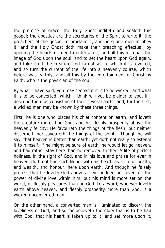the promise of grace; the Holy Ghost inditeth and sealeth this gospel; the apostles are the secretaries of the Spirit to write it; the preachers of the gospel to proclaim it, and persuade men to obey it; and the Holy Ghost doth make their preaching effectual, by opening the hearts of men to entertain it; and all this to repair the image of God upon the soul, and to set the heart upon God again, and take it off the creature and carnal self to which it is revolted, and so turn the current of the life into a heavenly course, which before was earthly, and all this by the entertainment of Christ by Faith, who is the physician of the soul.

By what I have said, you may see what it is to be wicked, and what it is to be converted; which I think will yet be plainer to you, if I describe them as consisting of their several parts; and, for the first, a wicked man may be known by these three things.

First, he is one who places his chief content on earth, and loveth the creature more than God, and his fleshly prosperity above the heavenly felicity: He favoureth the things of the flesh, but neither discerneth nor savoureth the things of the spirit:—Though he will say, that heaven is better than earth, yet doth not really so esteem it to himself; if he might be sure of earth, he would let go heaven, and had rather stay here than be removed thither. A life of perfect holiness, in the sight of God, and in his love and praise for ever in heaven, doth not find such liking, with his heart, as a life of health, and wealth, and honour, here upon earth. And though he falsely profess that he loveth God above all, yet indeed he never felt the power of divine love within him, but his mind is more set on the world, or fleshly pleasures than on God. In a word, whoever loveth earth above heaven, and fleshly prosperity more than God, is a wicked unconverted man.

On the other hand, a converted man is illuminated to discern the loveliness of God; and so far believeth the glory that is to be had with God, that his heart is taken up to it, and set more upon it,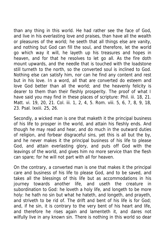than any thing in this world. He had rather see the face of God, and live in his everlasting love and praises, than have all the wealth or pleasures of the world; he seeth that all things else are vanity, and nothing but God can fill the soul, and therefore, let the world go which way it will, he layeth up his treasures and hopes in heaven, and for that he resolves to let go all. As the fire doth mount upwards, and the needle that is touched with the loadstone still turneth to the north, so the converted soul is inclined to God. Nothing else can satisfy him, nor can he find any content and rest but in his love. In a word, all that are converted do esteem and love God better than all the world; and the heavenly felicity is dearer to them than their fleshly prosperity. The proof of what I have said you may find in these places of scripture: Phil. iii. 18, 21. Matt. vi. 19, 20, 21. Col. iii. 1, 2, 4, 5. Rom. viii. 5, 6, 7, 8, 9, 18, 23. Psal. lxxiii. 25, 26.

Secondly, a wicked man is one that maketh it the principal business of his life to prosper in the world, and attain his fleshly ends. And though he may read and hear, and do much in the outward duties of religion, and forbear disgraceful sins, yet this is all but the by, and he never makes it the principal business of his life to please God, and attain everlasting glory, and puts off God with the leavings of the world, and gives him no more service than the flesh can spare; for he will not part with all for heaven.

On the contrary, a converted man is one that makes it the principal care and business of his life to please God, and to be saved, and takes all the blessings of this life but as accommodations in his journey towards another life, and useth the creature in subordination to God: he loveth a holy life, and longeth to be more holy: he hath no sin but what he hateth, and longeth, and prayeth, and striveth to be rid of. The drift and bent of his life is for God; and, if he sin, it is contrary to the very bent of his heart and life, and therefore he rises again and lamenteth it, and dares not wilfully live in any known sin. There is nothing in this world so dear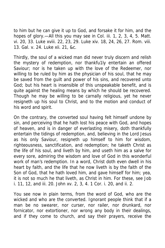to him but he can give it up to God, and forsake it for him, and the hopes of glory.—All this you may see in Col. iii. 1, 2, 3, 4, 5. Matt. vi. 20, 33. Luke xviii. 22, 23, 29. Luke xiv. 18, 24, 26, 27. Rom. viii. 13. Gal. v. 24. Luke xii. 21, &c.

Thirdly, the soul of a wicked man did never truly discern and relish the mystery of redemption, nor thankfu1ly entertain an offered Saviour; nor is he taken up with the love of the Redeemer, nor willing to be ruled by him as the physician of his soul, that he may be saved from the guilt and power of his sins, and recovered unto God; but his heart is insensible of this unspeakable benefit, and is quite against the healing means by which he should be recovered. Though he may be willing to be carnally religious, yet he never resigneth up his soul to Christ, and to the motion and conduct of his word and spirit.

On the contrary, the converted soul having felt himself undone by sin, and perceiving that he hath lost his peace with God, and hopes of heaven, and is in danger of everlasting misery, doth thankfully entertain the tidings of redemption, and, believing in the Lord Jesus as his only Saviour, resigneth up himself to him for wisdom, righteousness, sanctification, and redemption; he taketh Christ as the life of his soul, and liveth by him, and useth him as a salve for every sore, admiring the wisdom and love of God in this wonderful work of man's redemption. In a word, Christ doth even dwell in his heart by faith, and the life that he now liveth is by the faith of the Son of God, that he hath loved him, and gave himself for him; yea, it is not so much he that liveth, as Christ in him. For these, see Job i. 11, 12, and iii. 20. John xv. 2, 3, 4. 1 Cor. i. 20, and ii. 2.

You see now in plain terms, from the word of God, who are the wicked and who are the converted. Ignorant people think that if a man be no swearer, nor curser, nor railer, nor drunkard, nor fornicator, nor extortioner, nor wrong any body in their dealings, and if they come to church, and say their prayers, receive the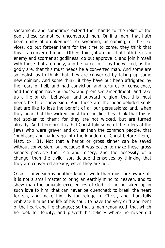sacrament, and sometimes extend their hands to the relief of the poor, these cannot be unconverted men. Or if a man, that hath been guilty of drunkenness, or swearing, or gaming, or the like vices, do but forbear them for the time to come, they think that this is a converted man.—Others think, if a man, that hath been an enemy and scorner at godliness, do but approve it, and join himself with those that are godly, and be hated for it by the wicked, as the godly are, that this must needs be a converted man. And some are so foolish as to think that they are converted by taking up some new opinion. And some think, if they have but been affrighted by the fears of hell, and had conviction and tortures of conscience, and thereupon have purposed and promised amendment, and take up a life of civil behaviour and outward religion, that this must needs be true conversion. And these are the poor deluded souls that are like to lose the benefit of all our persuasions; and, when they hear that the wicked must turn or die, they think that this is not spoken to them; for they are not wicked, but are turned already. And therefore it is that Christ told some of the rulers of the Jews who were graver and civiler than the common people, that "publicans and harlots go into the kingdom of Christ before them," Matt. xxi. 31. Not that a harlot or gross sinner can be saved without conversion, but because it was easier to make these gross sinners perceive their sin and misery, and the necessity of a change, than the civiler sort delude themselves by thinking that they are converted already, when they are not.

O sirs, conversion is another kind of work than most are aware of; it is not a small matter to bring an earthly mind to heaven, and to shew man the amiable excellencies of God, till he be taken up in such love to him, that can never be quenched; to break the heart for sin, and make him fly for refuge to Christ, and thankfully embrace him as the life of his soul; to have the very drift and bent of the heart and life changed; so that a man renounceth that which he took for felicity, and placeth his felicity where he never did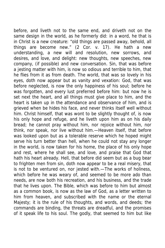before, and liveth not to the same end, and driveth not on the same design in the world, as he formerly did: in a word, he that is in Christ is a new creature: "old things are passed away, behold, all things are become new." (2 Cor. v. 17). He hath a new understanding, a new will and resolution, new sorrows, and desires, and love, and delight: new thoughts, new speeches, new company, (if possible) and new conversation. Sin, that was before a jesting matter with him, is now so odious and terrible to him, that he flies from it as from death. The world, that was so lovely in his eyes, doth now appear but as vanity and vexation: God, that was before neglected, is now the only happiness of his soul; before he was forgotten, and every lust preferred before him: but now he is set next the heart, and all things must give place to him, and the heart is taken up in the attendance and observance of him, and is grieved when be hides his face, and never thinks itself well without him. Christ himself, that was wont to be slightly thought of, is now his only hope and refuge, and he liveth upon him as on his daily bread; he cannot pray without him, nor rejoice without him, nor think, nor speak, nor live without him.—Heaven itself, that before was looked upon but as a tolerable reserve which he hoped might serve his turn better than hell, when he could not stay any longer in the world, is now taken for his home, the place of his only hope and rest, where he shall see, and love, and praise that God that hath his heart already. Hell, that before did seem but as a bug bear to frighten men from sin, doth now appear to be a real misery, that is not to be ventured on, nor jested with.—The works of holiness, which before he was weary of, and seemed to be more ado than needs, are now both his recreation, and his business, and the trade that he lives upon. The Bible, which was before to him but almost as a common book, is now as the law of God, as a letter written to him from heaven, and subscribed with the name or the eternal Majesty; it is the rule of his thoughts, and words, and deeds; the commands are binding, the threats are dreadful, and the promises of it speak life to his soul. The godly, that seemed to him but like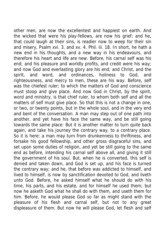other men, are now the excellentest and happiest on earth. And the wicked that were his play-fellows, are now his grief; and he, that could laugh at their sins, is readier now to weep for their sin and misery, Psalm xvi. 3. and xv. 4. Phil. iii. 18. In short, he hath a new end in his thoughts, and a new way in his endeavours, and therefore his heart and life are new. Before, his carnal self was his end; and his pleasure and worldly profits, and credit were his way; and now God and everlasting glory are his end; and Christ, and the spirit, and word, and ordinances, holiness to God, and righteousness, and mercy to men, these are his way. Before, self was the chiefest ruler; to which the matters of God and conscience must stoop and give place. And now God in Christ, by the spirit, word and ministry, is that chief ruler, to whom both self and all the matters of self must give place. So that this is not a change in one, or two, or twenty points, but in the whole soul, and in the very end and bent of the conversation. A man may step out of one path into another, and yet have his face the same way, and be still going towards the same place: But it is another matter to turn quite back again, and take his journey the contrary way, to a contrary place. So it is here: a man may turn from drunkenness to thriftiness, and forsake his good fellowship, and other gross disgraceful sins, and set upon some duties of religion, and yet be still going to the same end as before, intending his carnal self above all, and giving it still the government of his soul. But, when he is converted, this self is denied and taken down, and God is set up, and his face is turned the contrary way; and he, that before was addicted to himself, and lived to himself, is now by sanctification devoted to God, and liveth unto God. Before, he asked himself what he should do with his time, his parts, and his estate, and for himself he used them; but now he asketh God what he shall do with them, and useth them for him. Before, he would please God so far as might stand with the pleasure of his flesh and carnal self, but not to any great displeasure of them. But now he will please God, let flesh and self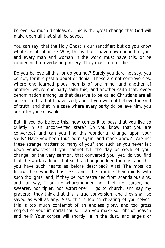be ever so much displeased. This is the great change that God will make upon all that shall be saved.

You can say, that the Holy Ghost is our sanctifier; but do you know what sanctification is? Why, this is that I have now opened to you; and every man and woman in the world must have this, or be condemned to everlasting misery. They must turn or die.

Do you believe all this, or do you not? Surely you dare not say, you do not; for it is past a doubt or denial. These are not controversies, where one learned pious man is of one mind, and another of another; where one party saith this, and another saith that; every denomination among us that deserve to be called Christians are all agreed in this that I have said; and, if you will not believe the God of truth, and that in a case where every party do believe him, you are utterly inexcusable.

But, if you do believe this, how comes it to pass that you live so quietly in an unconverted state? Do you know that you are converted? and can you find this wonderful change upon your souls? Have you been thus born again, and made anew?—Are not these strange matters to many of you? and such as you never felt upon yourselves? If you cannot tell the day or week of your change, or the very sermon, that converted you, yet, do you find that the work is done; that such a change indeed there is, and that you have such hearts as before described? Alas! The most do follow their worldly business, and little trouble their minds with such thoughts: and, if they be but restrained from scandalous sins, and can say, "I am no whoremonger, nor thief, nor curser, nor swearer, nor tipler, nor extortioner; I go to church, and say my prayers;" they think that this is true conversion, and they shall be saved as well as any. Alas, this is foolish cheating of yourselves; this is too much contempt of an endless glory, and too gross neglect of your immortal souls.—Can you make so light of heaven and hell? Your corpse will shortly lie in the dust, and angels or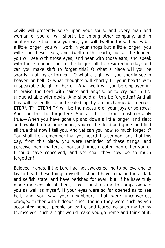devils will presently seize upon your souls, and every man and woman of you all will shortly be among other company, and in another case than now you are; you will dwell in those houses but a little longer, you will work in your shops but a little longer; you will sit in these seats, and dwell on this earth, but a little longer; you will see with those eyes, and hear with those ears, and speak with those tongues, but a little longer; till the resurrection day: and can you make shift to forget this? O what a place will you be shortly in of joy or torment! O what a sight will you shortly see in heaven or hell! O what thoughts will shortly fill your hearts with unspeakable delight or horror! What work will you be employed in; to praise the Lord with saints and angels, or to cry out in fire unquenchable with devils! And should all this be forgotten? And all this will be endless, and sealed up by an unchangeable decree; ETERNITY, ETERNITY will be the measure of your joys or sorrows: And can this be forgotten? And all this is true, most certainly true.—When you have gone up and down a little longer, and slept and awaked a few times more, you will be dead and gone, and find all true that now I tell you. And yet can you now so much forget it? You shall then remember that you heard this sermon, and that this day, from this place, you were reminded of these things; and perceive them matters a thousand times greater than either you or I could have conceived; and yet shall they now be so much forgotten?

Beloved friends, if the Lord had not awakened me to believe and to lay to heart these things myself, I should have remained in a dark and selfish state, and have perished for ever: but, if he have truly made me sensible of them, it will constrain me to compassionate you as well as myself. If your eyes were so far opened as to see hell, and you saw your neighbours, that were unconverted, dragged thither with hideous cries, though they were such as you accounted honest people on earth, and feared no such matter by themselves, such a sight would make you go home and think of it;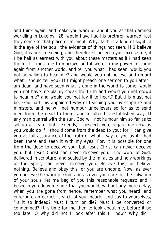and think again, and make you warn all about you as that damned worldling in Luke xvi. 28. would have had his brethren warned, lest they come to that place of torment. Why, faith is a kind of sight; it is the eye of the soul, the evidence of things not seen. If 1 believe God, it is next to seeing; and therefore I beseech you excuse me, if I be half as earnest with you about these matters as if I had seen them. If I must die to-morrow, and it were in my power to come again from another world, and tell you what I had seen, would you not be willing to hear me? and would you not believe and regard what I should tell you? If I might preach one sermon to you after I am dead, and have seen what is done in the world to come, would you not have me plainly speak the truth and would you not crowd to hear me? and would you not lay it to heart? But this must not be; God hath his appointed way of teaching you by scripture and ministers, and he will not humour unbelievers so far as to send men from the dead to them, and to alter his established way. If any man quarrel with the sun, God will not humour him so far as to set up a clearer light. Friends, I beseech you, regard me now as you would do if I should come from the dead to you; for, I can give you as full assurance of the truth of what I say to you as if I had been there and seen it with my eyes: For, it is possible for one from the dead to deceive you; but Jesus Christ can never deceive you: but Jesus Christ can never deceive you.—The word of God. delivered in scripture, and sealed by the miracles and holy workings of the Spirit, can never deceive you. Believe this, or believe nothing. Believe and obey this, or you are undone. Now, as ever you believe the word of God, and as ever you care for the salvation of your souls, let me beg of you this reasonable request; and I beseech yon deny me not: that you would, without any more delay, when you are gone from hence, remember what you heard, and enter into an earnest search of your hearts, and say to yourselves, "Is it so indeed? Must I turn or die? Must I be converted or condemned? It is time for me then to look about me, before it be too late. O why did not I look after this till now? Why did I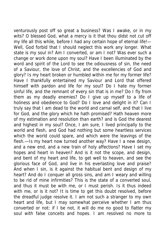venturously post off so great a business? Was I awake, or in my wits? O blessed God, what a mercy is it that thou didst not cut off my life all this while, before I had any certain hope of eternal life!— Well, God forbid that I should neglect this work any longer. What state is my soul in? Am I converted, or am I not? Was ever such a change or work done upon my soul? Have I been illuminated by the word and spirit of the Lord to see the odiousness of sin, the need of a Saviour, the love of Christ, and the excellencies of God and glory? Is my heart broken or humbled within me for my former life? Have I thankfully entertained my Saviour and Lord that offered himself with pardon and life for my soul? Do I hate my former sinful life, and the remnant of every sin that is in me? Do I fly from them as my deadly enemies? Do I give up myself to a life of holiness and obedience to God? Do I love and delight in it? Can I truly say that I am dead to the world and carnal self, and that I live for God, and the glory which he hath promised? Hath heaven more of my estimation and resolution than earth? and is God the dearest and highest in my soul? Once, I am sure, I lived principally to the world and flesh, and God had nothing but some heartless services which the world could spare, and which were the leavings of the flesh.—Is my heart now turned another way? Have I a new design, and a new end, and a new train of holy affections? Have I set my hopes and heart in heaven? And is it not the scope, and design, and bent of my heart and life, to get well to heaven, and see the glorious face of God, and live in his everlasting love and praise? And when I sin, is it against the habitual bent and design of my heart? And do I conquer all gross sins, and am I weary and willing to be rid of mine infirmities? This is the state of a converted soul, and thus it must be with me, or I must perish. Is it thus indeed with me, or is it not? It is time to get this doubt resolved, before the dreadful judge resolve it. I am not such a stranger to my own heart and life, but I may somewhat perceive whether I am thus converted or not: if I be not, it will do me no good to flatter my soul with false conceits and hopes. I am resolved no more to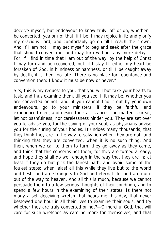deceive myself, but endeavour to know truly, off or on, whether I be converted, yea or no: that, if I be, I may rejoice in it; and glorify my gracious Lord, and comfortably go on till I reach the crown: And If I am not, I may set myself to beg and seek after the grace that should convert me, and may turn without any more delay:— For, if I find in time that I am out of the way, by the help of Christ I may turn and be recovered; but, if I stay till either my heart be forsaken of God, in blindness or hardness, or till I be caught away by death, it is then too late. There is no place for repentance and conversion then: I know it must be now or never."

Sirs, this is my request to you, that you will but take your hearts to task, and thus examine them, till you see, if it may be, whether you are converted or not; and, if you cannot find it out by your own endeavours, go to your ministers, if they be faithful and experienced men, and desire their assistance. The matter is great, let not bashfulness, nor carelessness hinder you. They are set over you to advise you, for the saving of your soul, as physicians advise you for the curing of your bodies. It undoes many thousands, that they think they are in the way to salvation when they are not; and thinking that they are converted, when it is no such thing. And then, when we call to them to turn, they go away as they came, and think that this concerns not them; for they are turned already, and hope they shall do well enough in the way that they are in; at least if they do but pick the fairest path, and avoid some of the foulest steps; when, alas! all this while they live but to the world and flesh, and are strangers to God and eternal life, and are quite out of the way to heaven. And all this is much, because we cannot persuade them to a few serious thoughts of their condition, and to spend a few hours in the examining of their states. Is there not many a self-deceiving wretch that hears me this day, that never bestowed one hour in all their lives to examine their souls, and try whether they are truly converted or not?—O merciful God, that will care for such wretches as care no more for themselves, and that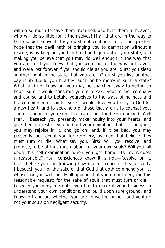will do so much to save them from hell, and help them to heaven, who will do so little for it themselves! If all that are in the way to hell did but know it, they durst not continue in it. The greatest hope that the devil hath of bringing you to damnation without a rescue, is by keeping you blind-fold and ignorant of your state, and making you believe that you may do well enough in the way that you are in. If you knew that you were out of the way to heaven, and were lost forever if you should die as you are; durst you sleep another night in the state that you are in? durst you live another day in it? Could you heartily laugh or be merry in such a state? What! and not know but you may be snatched away to hell in an hour! Sure it would constrain you to forsake your former company and course and to betake yourselves to the ways of holiness and the communion of saints: Sure it would drive you to cry to God for a new heart, and to seek help of those that are fit to counsel you. There is none of you sure that cares not for being damned. Well then, I beseech you presently make inquiry into your hearts, and give them no rest till you find out your condition; that, if it be good, you may rejoice in it, and go on; and, if it be bad, you may presently look about you for recovery, as men that believe they must turn or die. What say you, Sirs? Will you resolve, and promise, to be at thus much labour for your own souls? Will you fall upon this self-examination when you get home? Is my request unreasonable? Your consciences know it is not.—Resolve on it, then, before you stir; knowing how much it concerneth your souls. I beseech you, for the sake of that God that doth command you, at whose bar you will shortly all appear, that you do not deny me this reasonable request: for the sake of souls that must turn or die, I beseech you deny me not; even but to make it your business to understand your own conditions, and build upon sure ground, and know, off and on, whether you are converted or not, and venture not your souls on negligent security.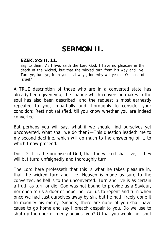## **SERMON II.**

## **EZEK. XXXIII. 11.**

Say to them, As I live, saith the Lord God, I have no pleasure in the death of the wicked, but that the wicked turn from his way and live. Turn ye, turn ye, from your evil ways, for, why will ye die, O house of Israel?

A TRUE description of those who are in a converted state has already been given you; the change which conversion makes in the soul has also been described; and the request is most earnestly repeated to you, impartially and thoroughly to consider your condition: Rest not satisfied, till you know whether you are indeed converted.

But perhaps you will say, what if we should find ourselves yet unconverted, what shall we do then?—This question leadeth me to my second doctrine, which will do much to the answering of it, to which I now proceed.

Doct. 2. It is the promise of God, that the wicked shall live, if they will but turn; unfeignedly and thoroughly turn.

The Lord here professeth that this is what he takes pleasure in, that the wicked turn and live. Heaven is made as sure to the converted, as hell is to the unconverted. Turn and live is as certain a truth as turn or die. God was not bound to provide us a Saviour, nor open to us a door of hope, nor call us to repent and turn when once we had cast ourselves away by sin, but he hath freely done it to magnify his mercy. Sinners, there are none of you shall have cause to go home and say I preach despair to you. Do we use to shut up the door of mercy against you? O that you would not shut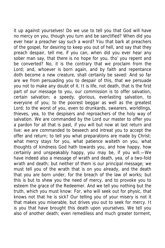it up against yourselves! Do we use to tell you that God will have no mercy on you, though you turn and be sanctified? When did you ever hear a preacher say such a word? You that bark at preachers of the gospel, for desiring to keep you out of hell, and say that they preach despair, tell me, if you can, when did you ever hear any sober man say, that there is no hope for you, tho' you repent and be converted? No, it is the contrary that we proclaim from the Lord; and, whoever is born again, and by faith and repentance doth become a new creature, shall certainly be saved: And so far are we from persuading you to despair of this, that we persuade you not to make any doubt of it. It is life, not death, that is the first part of our message to you, our commission is to offer salvation, certain salvation; a speedy, glorious, everlasting salvation, to everyone of you; to the poorest beggar as well as the greatest Lord; to the worst of you, even to drunkards, swearers, worldlings, thieves, yea, to the despisers and reproachers of the holy way of salvation. We are commanded by the Lord our master to offer you a pardon for all that is past, if you will but now at last return and live: we are commanded to beseech and intreat you to accept the offer and return; to tell you what preparations are made by Christ; what mercy stays for you, what patience waiteth on you, what thoughts of kindness God hath towards you, and how happy, how certainly and unspeakably happy, you may be, if you will.—We have indeed also a message of wrath and death, yea, of a two-fold wrath and death; but neither of them is our principal message; we must tell you of the wrath that is on you already, and the death that you are born under, for the breach of the law of works; but this is but to shew you the need of mercy, and to provoke you to esteem the grace of the Redeemer. And we tell you nothing but the truth, which you must know: For, who will seek out for physic, that knows not that he is sick? Our telling you of your misery is not it that makes you miserable, but drives you out to seek for mercy. It is you that have brought this death upon yourselves. We tell you also of another death; even remediless and much greater torment,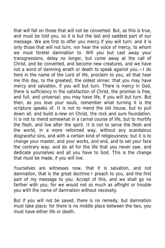that will fall on those that will not be converted. But, as this is true, and must be told you, so it is but the last and saddest part of our message. We are first to offer you mercy if you will turn; and it is only those that will not turn, nor hear the voice of mercy, to whom we must foretel damnation to. Will you but cast away your transgressions, delay no longer, but come away at the call of Christ, and be converted, and become new creatures, and we have not a word of damning wrath or death to speak against you.—I do here in the name of the Lord of life, proclaim to you, all that hear me this day, to the greatest, the oldest sinner, that you may have mercy and salvation, if you will but turn. There is mercy in God, there is sufficiency in the satisfaction of Christ, the promise is free, and full, and universal; you may have life, if you will but turn. But then, as you love your souls, remember what turning it is the scripture speaks of. It is not to mend the old house, but to pull down all, and build a-new on Christ, the rock and sure foundation. It is not to mend somewhat in a carnal course of life, but to mortify the flesh, and live after the spirit. It is not to serve the flesh and the world, in a more reformed way, without any scandalous disgraceful sins, and with a certain kind of religiousness; but it is to change your master, and your works, and end, and to set your face the contrary way, and do all for the life that you never saw, and dedicate yourselves and all you have to God. This is the change that must be made, if you will live.

Yourselves are witnesses now, that it is salvation, and not damnation, that is the great doctrine I preach to you, and the first part of my message to you. Accept of this, and we shall go no farther with you; for we would not so much as affright or trouble you with the name of damnation without necessity.

But if you will not be saved, there is no remedy, but damnation must take place; for there is no middle place between the two, you must have either life or death.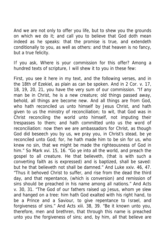And we are not only to offer you life, but to shew you the grounds on which we do it; and call you to believe that God doth mean indeed as he speaks: that the promise is true, and extendeth conditionally to you, as well as others: and that heaven is no fancy, but a true felicity.

If you ask, Where is your commission for this offer? Among a hundred texts of scripture, I will shew it to you in these few:

First, you see it here in my text, and the following verses, and in the 18th of Ezekiel, as plain as can be spoken. And in 2 Cor. v. 17, 18, 19, 20, 21, you have the very sum of our commission. "If any man be in Christ, he is a new creature; old things passed away, behold, all things are become new. And all things are from God, who hath reconciled us unto himself by Jesus Christ, and hath given to us the ministry of reconciliation; to wit, that God was in Christ reconciling the world unto himself, not imputing their trespasses to them; and hath committed unto us the word of reconciliation: now then we are ambassadors for Christ, as though God did beseech you by us, we pray you, in Christ's stead, be ye reconciled unto God; for, he hath made him to be sin for us, who knew no sin, that we might be made the righteousness of God in him." So Mark xvi. 15, 16. "Go ye into all the world, and preach the gospel to all creature. He that believeth, (that is with such a converting faith as is expressed) and is baptized, shall be saved: but he that believeth not shall be damned." And Luke xxiv. 46, 47. "Thus it behoved Christ to suffer, and rise from the dead the third day, and that repentance, (which is conversion) and remission of sins should be preached in his name among all nations." And Acts v. 30, 31. "The God of our fathers raised up Jesus, whom ye slew and hanged on a tree: him hath God exalted with his right hand, to be a Prince and a Saviour, to give repentance to Israel, and forgiveness of sins." And Acts xiii. 38, 39. "Be it known unto you, therefore, men and brethren, that through this name is preached unto you the forgiveness of sins; and, by him, all that believe are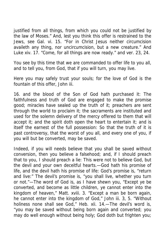justified from all things, from which you could not be justified by the law of Moses." And, lest you think this offer is restrained to the Jews, see Gal. vi. 15. "For in Christ Jesus neither circumcision availeth any thing, nor uncircumcision, but a new creature." And Luke xiv. 17. "Come, for all things are now ready." and ver. 23, 24.

You see by this time that we are commanded to offer life to you all, and to tell you, from God, that if you will turn, you may live.

Here you may safely trust your souls; for the love of God is the fountain of this offer, John iii.

16. and the blood of the Son of God hath purchased it: The faithfulness and truth of God are engaged to make the promise good; miracles have sealed up the truth of it; preachers are sent through the world to proclaim it; the sacraments are instituted and used for the solemn delivery of the mercy offered to them that will accept it; and the spirit doth open the heart to entertain it; and is itself the earnest of the full possession: So that the truth of it is past controversy, that the worst of you all, and every one of you, if you will but be converted, may be saved.

Indeed, if you will needs believe that you shall be saved without conversion, then you believe a falsehood; and, if I should preach that to you, I should preach a lie: This were not to believe God, but the devil and your own deceitful hearts.—God hath his promise of life, and the devil hath his promise of life: God's promise is, "return and live:" The devil's promise is, "you shall live, whether you turn or not."—The word of God is, as I have shewn you, "Except ye be converted, and become as little children, ye cannot enter into the kingdom of heaven," Matt. xviii. 3. "Except a man be born again, he cannot enter into the kingdom of God," John iii. 3, 5. "Without holiness none shall see God," Heb. xii. 14.—The devil's word is, "you may be saved without being born again and converted; you may do well enough without being holy; God doth but frighten you;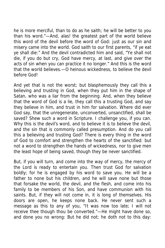he is more merciful, than to do as he saith; he will be better to you than his word."—And, alas! the greatest part of the world believe this word of the devil before the word of God: just as our sin and misery came into the world. God saith to our first parents, "if ye eat ye shall die:" And the devil contradicted him and said, "Ye shall not die, if you do but cry, God have mercy, at last, and give over the acts of sin when you can practice it no longer." And this is the word that the world believes.—O heinous wickedness, to believe the devil before God!

And yet that is not the worst; but blasphemously they call this a believing and trusting in God, when they put him in the shape of Satan, who was a liar from the beginning. And, when they believe that the word of God is a lie, they call this a trusting God, and say they believe in him, and trust in him for salvation. Where did ever God say, that the unregenerate, unconverted, unsanctified, shall be saved? Shew such a word in Scripture. I challenge you, if you can. Why this is the devil's word, and to believe it is to believe the devil, and the sin that is commonly called presumption. And do you call this a believing and trusting God? There is every thing in the word of God to comfort and strengthen the hearts of the sanctified: but not a word to strengthen the hands of wickedness, nor to give men the least hope of being saved, though they be never sanctified.

But, if you will turn, and come into the way of mercy, the mercy of the Lord is ready to entertain you. Then trust God for salvation boldly; for he is engaged by his word to save you. He will be a father to none but his children, and he will save none but those that forsake the world, the devil, and the flesh, and come into his family to be members of his Son, and have communion with his saints. But, if they will not come in, it is long of themselves. His doors are open, he keeps none back. He never sent such a message as this to any of you, "It was now too late; I will not receive thee though thou be converted."—He might have done so, and done you no wrong: But he did not; he doth not to this day: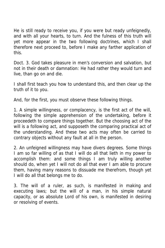He is still ready to receive you, if you were but ready unfeignedly, and with all your hearts, to turn. And the fulness of this truth will yet more appear in the two following doctrines, which I shall therefore next proceed to, before I make any farther application of this.

Doct. 3. God takes pleasure in men's conversion and salvation, but not in their death or damnation: He had rather they would turn and live, than go on and die.

I shall first teach you how to understand this, and then clear up the truth of it to you.

And, for the first, you must observe these following things.

1. A simple willingness, or complacency, is the first act of the will, following the simple apprehension of the undertaking, before it proceedeth to compare things together. But the choosing act of the will is a following act, and supposeth the comparing practical act of the understanding. And these two acts may often be carried to contrary objects without any fault at all in the person.

2. An unfeigned willingness may have divers degrees. Some things I am so far willing of as that I will do all that lieth in my power to accomplish them: and some things I am truly willing another should do, when yet I will not do all that ever I am able to procure them, having many reasons to dissuade me therefrom, though yet I will do all that belongs me to do.

3. The will of a ruler, as such, is manifested in making and executing laws; but the will of a man, in his simple natural capacity, or as absolute Lord of his own, is manifested in desiring or resolving of events.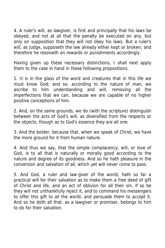4. A ruler's will, as lawgiver, is first and principally that his laws be obeyed, and not at all that the penalty be executed on any, but only on supposition that they will not obey his laws. But a ruler's will, as judge, supposeth the law already either kept or broken; and therefore he resolveth on rewards or punishments accordingly.

Having given up these necessary distinctions, I shall next apply them to the case in hand in these following propositions.

1. It is in the glass of the word and creatures that in this life we must know God; and so, according to the nature of man, we ascribe to him understanding and will, removing all the imperfections that we can, because we are capable of no higher positive conceptions of him.

2. And, on the same grounds, we do (with the scripture) distinguish between the acts of God's will, as diversified from the respects or the objects, though as to God's essence they are all one.

3. And the bolder, because that, when we speak of Christ, we have the more ground for it from human nature.

4. And thus we say, that the simple complacency, will, or love of God, is to all that is naturally or morally good according to the nature and degree of its goodness. And so he hath pleasure in the conversion and salvation of all, which yet will never come to pass.

5. And God, a ruler and law-giver of the world, hath so far a practical will for their salvation as to make them a free deed of gift of Christ and life, and an act of oblivion for all their sin, if so be they will not unthankfully reject it, and to command his messengers to offer this gift to all the world, and persuade them to accept it. And so he doth all that, as a lawgiver or promiser, belongs to him to do for their salvation.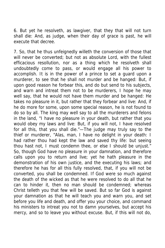6. But yet he resolveth, as lawgiver, that they that will not turn shall die: And, as judge, when their day of grace is past, he will execute that decree.

7. So, that he thus unfeignedly willeth the conversion of those that will never be converted; but not as absolute Lord, with the fullest efficacious resollution, nor as a thing which he resolveth shall undoubtedly come to pass, or would engage all his power to accomplish. It is in the power of a prince to set a guard upon a murderer, to see that he shall not murder and be hanged: But, if upon good reason he forbear this, and do but send to his subjects, and warn and intreat them not to be murderers, I hope he may well say, that he would not have them murder and be hanged: He takes no pleasure in it, but rather that they forbear and live: And, if he do more for some, upon some special reason, he is not found to do so by all. The king may well say to all the murderers and felons in the land, "I have no pleasure in your death, but rather that you would obey my laws and live: But, if you will not, I have resolved for all this, that you shall die."—The judge may truly say to the thief or murderer, "Alas, man, I have no delight in your death: I had rather thou had kept the law and saved thy life: but seeing thou hast not, I must condemn thee, or else I should be unjust." So, though God have no pleasure in your damnation, and therefore calls upon you to return and live; yet he hath pleasure in the demonstration of his own justice, and the executing his laws; and therefore he has for all this fully resolved, that, if you will not be converted, you shall be condemned. If God were so much against the death of the wicked as that he were resolved to do all that he can to hinder it, then no man should be condemned; whereas Christ telleth you that few will be saved. But so far God is against your damnation as that he will teach you and warn you, and set before you life and death, and offer you your choice, and command his ministers to intreat you not to damn yourselves, but accept his mercy, and so to leave you without excuse. But, if this will not do,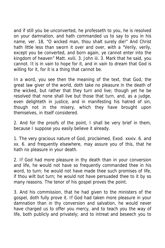and if still you be unconverted, he professeth to you, he is resolved on your damnation, and hath commanded us to say to you in his name, ver. 18, "O wicked man, thou shalt surely die!" And Christ hath little less than sworn it over and over, with a "Verily, verily, except you be converted, and born again, ye cannot enter into the kingdom of heaven" Matt. xviii. 3. John iii. 3. Mark that he said, you cannot. It is in vain to hope for it, and in vain to dream that God is willing for it, for it is a thing that cannot be.

In a word, you see then the meaning of the text, that God, the great law giver of the world, doth take no pleasure in the death of the wicked, but rather that they turn and live; though yet he be resolved that none shall live but those that turn, and, as a judge, even delighteth in justice, and in manifesting his hatred of sin, though not in the misery, which they have brought upon themselves, in itself considered.

2. And for the proofs of the point, I shall be very brief in them, because I suppose you easily believe it already.

1. The very gracious nature of God, proclaimed, Exod. xxxiv. 6. and xx. 6. and frequently elsewhere, may assure you of this, that he hath no pleasure in your death.

2. If God had more pleasure in thy death than in your conversion and life, he would not have so frequently commanded thee in his word, to turn; he would not have made thee such promises of life, if thou wilt but turn; he would not have persuaded thee to it by so many reasons. The tenor of his gospel proves the point.

3. And his commission, that he had given to the ministers of the gospel, doth fully prove it. If God had taken more pleasure in your damnation than in thy conversion and salvation, he would never have charged us to offer you mercy, and to teach you the way of life, both publicly and privately; and to intreat and beseech you to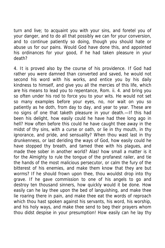turn and live; to acquaint you with your sins, and foretel you of your danger, and to do all that possibly we can for your conversion, and to continue patiently so doing, though you should hate or abuse us for our pains. Would God have done this, and appointed his ordinances for your good, if he had taken pleasure in your death?

4. It is proved also by the course of his providence. If God had rather you were damned than converted and saved, he would not second his word with his works, and entice you by his daily kindness to himself, and give you all the mercies of this life, which are his means to lead you to repentance, Rom. ii. 4. and bring you so often under his rod to force you to your wits. He would not set so many examples before your eyes, no, nor wait on you so patiently as he doth, from day to day, and year to year. These are no signs of one that taketh pleasure in your death.—If this had been his delight, how easily could he have had thee long ago in hell? How often before this could he have caught thee away in the midst of thy sins, with a curse or oath, or lie in thy mouth, in thy ignorance, and pride, and sensuality? When thou wast last in thy drunkenness, or last deriding the ways of God, how easily could he have stopped thy breath, and tamed thee with his plagues, and made thee sober in another world? Alas! how small a matter is it for the Almighty to rule the tongue of the profanest railer, and tie the hands of the most malicious persecutor, or calm the fury of the bitterest of his enemies, and make them know that they are but worms? If he should frown upon thee, thou wouldst drop into thy grave. If he gave commission to one of his angels to go and destroy ten thousand sinners, how quickly would it be done. How easily can he lay thee upon the bed of languishing, and make thee lie roaring there in pain, and make thee eat the words of reproach which thou hast spoken against his servants, his word, his worship, and his holy ways, and make thee send to beg their prayers whom thou didst despise in your presumption! How easily can he lay thy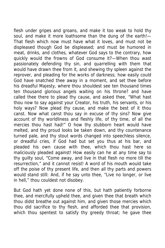flesh under gripes and groans, and make it too weak to hold thy soul, and make it more loathsome than the dung of the earth!-That flesh which now must have what it loves, and must not be displeased though God be displeased; and must be humored in meat, drinks, and clothes, whatever God says to the contrary, how quickly would the frowns of God consume it?—When thou wast passionately defending thy sin, and quarrelling with them that would have drawn thee from it, and shewing thy spleen against the reprover, and pleading for the works of darkness; how easily could God have snatched thee away in a moment, and set thee before his dreadful Majesty, where thou shouldest see ten thousand times ten thousand glorious angels waiting on his throne? and have called thee there to plead thy cause, and asked thee, "What hast thou now to say against your Creator, his truth, his servants, or his holy ways? Now plead thy cause, and make the best of it thou canst. Now what canst thou say in excuse of thy sins? Now give account of thy worldliness and fleshly life, of thy time, of all the mercies thou hast had!" O how thy stubborn heart would have melted, and thy proud looks be taken down, and thy countenance turned pale, and thy stout words changed into speechless silence, or dreadful cries, if God had but set you thus at his bar, and pleaded his own cause with thee, which thou hast here so maliciously pleaded against! How easily can he at any time say to thy guilty soul, "Come away, and live in that flesh no more till the resurrection," and it cannot resist! A word of his mouth would take off the poise of thy present life, and then all thy parts and powers would stand still: And, if he say unto thee, "Live no longer, or live in hell," thou couldest not disobey.

But God hath yet done none of this, but hath patiently forborne thee, and mercifully upheld thee, and given thee that breath which thou didst breathe out against him, and given those mercies which thou did sacrifice to thy flesh, and afforded thee that provision, which thou spentest to satisfy thy greedy throat; he gave thee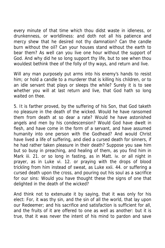every minute of that time which thou didst waste in idleness, or drunkenness, or worldliness: and doth not all his patience and mercy shew that he desired not thy damnation? Can the candle burn without the oil? Can your houses stand without the earth to bear them? As well can you live one hour without the support of God. And why did he so long support thy life, but to see when thou wouldest bethink thee of the folly of thy ways, and return and live.

Will any man purposely put arms into his enemy's hands to resist him; or hold a candle to a murderer that is killing his children, or to an idle servant that plays or sleeps the while? Surely it is to see whether you will at last return and live, that God hath so long waited on thee.

5. It is farther proved, by the suffering of his Son, that God taketh no pleasure in the death of the wicked. Would he have ransomed them from death at so dear a rate? Would he have astonished angels and men by his condescension? Would God have dwelt in flesh, and have come in the form of a servant, and have assumed humanity into one person with the Godhead? And would Christ have lived a life of suffering, and died a cursed death for sinners, if he had rather taken pleasure in their death? Suppose you saw him but so busy in preaching, and healing of them, as you find him in Mark iii. 21. or so long in fasting, as in Matt. iv. or all night in prayer, as in Luke vi. 12. or praying with the drops of blood trickling from him instead of sweat, as Luke xxii. 44. or suffering a cursed death upon the cross, and pouring out his soul as a sacrifice for our sins: Would you have thought these the signs of one that delighted in the death of the wicked?

And think not to extenuate it by saying, that it was only for his elect: For, it was thy sin, and the sin of all the world, that lay upon our Redeemer; and his sacrifice and satisfaction is sufficient for all, and the fruits of it are offered to one as well as another: but it is true, that it was never the intent of his mind to pardon and save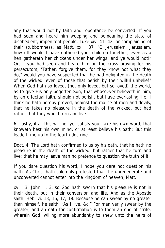any that would not by faith and repentance be converted. If you had seen and heard him weeping and bemoaning the state of disobedient, impenitent people, Luke xiv. 41, 42. or complaining of their stubbornness, as Matt. xxiii. 37. "O Jerusalem, Jerusalem, how oft would I have gathered your children together, even as a hen gathereth her chickens under her wings, and ye would not!" Or, if you had seen and heard him on the cross praying for his persecutors, "Father, forgive them, for they know not what they do," would you have suspected that he had delighted in the death of the wicked, even of those that perish by their wilful unbelief? When God hath so loved, (not only loved, but so loved) the world, as to give His only-begotten Son, that whosoever believeth in him, by an effectual faith, should not perish, but have everlasting life; I think he hath hereby proved, against the malice of men and devils, that he takes no pleasure in the death of the wicked, but had rather that they would turn and live.

6. Lastly, if all this will not yet satisfy you, take his own word, that knoweth best his own mind, or at least believe his oath: But this leadeth me up to the fourth doctrine.

Doct. 4. The Lord hath confirmed to us by his oath, that he hath no pleasure in the death of the wicked, but rather that he turn and live; that he may leave man no pretence to question the truth of it.

If you dare question his word, I hope you dare not question his oath. As Christ hath solemnly protested that the unregenerate and unconverted cannot enter into the kingdom of heaven, Matt.

xviii. 3. John iii. 3. so God hath sworn that his pleasure is not in their death, but in their conversion and life. And as the Apostle saith, Heb. vi. 13, 16, 17, 18. Because he can swear by no greater than himself, he saith, "As I live, &c." For men verily swear by the greater, and an oath for confirmation is to them an end of strife: wherein God, willing more abundantly to shew unto the heirs of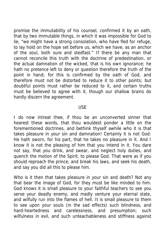promise the immutability of his counsel, confirmed it by an oath, that by two immutable things, in which it was impossible for God to lie, "we might have a strong consolation, who have fled for refuge, to lay hold on the hope set before us, which we have, as an anchor of the soul, both sure and stedfast." If there be any man that cannot reconcile this truth with the doctrine of predestination, or the actual damnation of the wicked, that is his own ignorance; he hath no pretence left to deny or question therefore the truth of the point in hand; for this is confirmed by the oath of God, and therefore must not be distorted to reduce it to other points; but doubtful points must rather be reduced to it, and certain truths must be believed to agree with it, though our shallow brains do hardly discern the agreement.

## USE

I do now intreat thee, if thou be an unconverted sinner that hearest these words, that thou wouldest ponder a little on the forementioned doctrines, and bethink thyself awhile who it is that takes pleasure in your sin and damnation! Certainly it is not God: He hath sworn, for his part, that he takes no pleasure in it. And I know it is not the pleasing of him that you intend in it. You dare not say, that you drink, and swear, and neglect holy duties, and quench the motion of the Spirit, to please God. That were as if you should reproach the prince, and break his laws, and seek his death, and say you did all this to please him.

Who is it then that takes pleasure in your sin and death? Not any that bear the image of God, for they must be like minded to him. God knows it is small pleasure to your faithful teachers to see you serve your deadly enemy, and madly venture your eternal state, and wilfully run into the flames of hell. It is small pleasure to them to see upon your souls (in the sad effects) such blindness, and hard-heartedness and carelessness, and presumption; such wilfulness in evil, and such unteachableness and stiffness against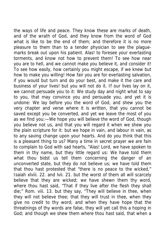the ways of life and peace. They know these are marks of death, and of the wrath of God, and they know from the word of God what is like to be the end of them; and therefore it is no more pleasure to them than to a tender physician to see the plaguemarks break out upon his patient. Alas! to foresee your everlasting torments, and know not how to prevent them! To see how near you are to hell, and we cannot make you believe it, and consider it! To see how easily, how certainly you might escape, if we knew but how to make you willing! How fair you are for everlasting salvation, if you would but turn and do your best, and make it the care and business of your lives! but you will not do it. If our lives lay on it, we cannot persuade you to it: We study day and night what to say to you, that may convince you and persuade you, and yet it is undone: We lay before you the word of God, and shew you the very chapter and verse where it is written, that you cannot be saved except you be converted, and yet we leave the most of you as we find you:—We hope you will believe the word of God, though you believe not us, and that you will regard it when we shew you the plain scripture for it: but we hope in vain, and labour in vain, as to any saving change upon your hearts. And do you think that this is a pleasant thing to us? Many a time in secret prayer we are fain to complain to God with sad hearts, "Alas! Lord, we have spoken to them in thy name, but they little regard us: We have told them what thou bidst us tell them concerning the danger of an unconverted state, but they do not believe us; we have told them that thou hast protested that "there is no peace to the wicked," Isaiah xlviii. 22. and lvii. 21. but the worst of them all will scarcely believe that they are wicked; we have shewn them thy word, where thou hast said, "That if they live after the flesh they shall die;" Rom. viii. 13. but they say, "They will believe in thee, when they will not believe thee; that they will trust in thee, when they give no credit to thy word; and when they have hope that the threatnings of thy words are false, they will yet call this a hoping in God; and though we shew them where thou hast said, that when a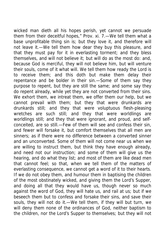wicked man dieth all his hopes perish, yet cannot we persuade them from their deceitful hopes," Prov. xi. 7.—We tell them what a base unprofitable thing sin is; but they love it, and therefore will not leave it.—We tell them how dear they buy this pleasure, and that they must pay for it in everlasting torment; and they bless themselves, and will not believe it; but will do as the most do: and, because God is merciful, they will not believe him, but will venture their souls, come of it what will. We tell them how ready the Lord is to receive them; and this doth but make them delay their repentance and be bolder in their sin.—Some of them say they purpose to repent, but they are still the same; and some say they do repent already, while yet they are not converted from their sins. We exhort them, we intreat them, we offer them our help, but we cannot prevail with them; but they that were drunkards are drunkards still; and they that were voluptuous flesh-pleasing wretches are such still; and they that were worldlings are worldlings still; and they that were ignorant, and proud, and selfconceited, are so still.—Few of them will see and confess their sin, and fewer will forsake it, but comfort themselves that all men are sinners; as if there were no difference between a converted sinner and an unconverted. Some of them will not come near us when we are willing to instruct them, but think they have enough already, and need not our instruction; and some of them will give us the hearing, and do what they list; and most of them are like dead men that cannot feel; so that, when we tell them of the matters of everlasting consequence, we cannot get a word of it to their hearts. If we do not obey them, and humour them in baptising the children of the most obstinately wicked, and giving them the Lord's Supper, and doing all that they would have us, though never so much against the word of God, they will hate us, and rail at us; but if we beseech them but to confess and forsake their sins, and save their souls, they will not do it.—We tell them, if they will but turn, we will deny them none of the ordinances of God, neither baptism to the children, nor the Lord's Supper to themselves; but they will not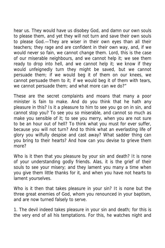hear us. They would have us disobey God, and damn our own souls to please them, and yet they will not turn and save their own souls to please God.—They are wiser in their own eyes than all their teachers; they rage and are confident in their own way, and, if we would never so fain, we cannot change them. Lord, this is the case of our miserable neighbours, and we cannot help it; we see them ready to drop into hell, and we cannot help it; we know if they would unfeignedly turn they might be saved, but we cannot persuade them; if we would beg it of them on our knees, we cannot persuade them to it; if we would beg it of them with tears, we cannot persuade them; and what more can we do?"

These are the secret complaints and moans that many a poor minister is fain to make. And do you think that he hath any pleasure in this? Is it a pleasure to him to see you go on in sin, and cannot stop you? To see you so miserable, and cannot so much as make you sensible of it; to see you merry, when you are not sure to be an hour out of hell? To think what you must for ever suffer, because you will not turn? And to think what an everlasting life of glory you wilfully despise and cast away? What sadder thing can you bring to their hearts? And how can you devise to grieve them more?

Who is it then that you pleasure by your sin and death? It is none of your understanding godly friends. Alas, it is the grief of their souls to see your misery; and they lament you many a time when you give them little thanks for it, and when you have not hearts to lament yourselves.

Who is it then that takes pleasure in your sin? It is none but the three great enemies of God, whom you renounced in your baptism, and are now turned falsely to serve.

1. The devil indeed takes pleasure in your sin and death; for this is the very end of all his temptations. For this, he watches night and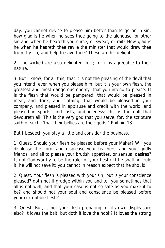day: you cannot devise to please him better than to go on in sin: how glad is he when he sees thee going to the alehouse, or other sin and when he heareth you curse, or swear, or rail? How glad is he when he heareth thee revile the minister that would draw thee from thy sin, and help to save thee? These are his delight.

2. The wicked are also delighted in it; for it is agreeable to their nature.

3. But I know, for all this, that it is not the pleasing of the devil that you intend, even when you please him; but it is your own flesh, the greatest and most dangerous enemy, that you intend to please. It is the flesh that would be pampered, that would be pleased in meat, and drink, and clothing; that would be pleased in your company, and pleased in applause and credit with the world, and pleased in sports, and lusts, and idleness: this is the gulf that devoureth all. This is the very god that you serve, for, the scripture saith of such, "that their bellies are their gods," Phil. iii. 18.

But I beseech you stay a little and consider the business.

1. Quest. Should your flesh be pleased before your Maker? Will you displease the Lord, and displease your teachers, and your godly friends, and all to please your brutish appetites, or sensual desires? Is not God worthy to be the ruler of your flesh? If he shall not rule it, he will not save it; you cannot in reason expect that he should.

2. Quest. Your flesh is pleased with your sin; but is your conscience pleased? doth not it grudge within you and tell you sometimes that all is not well, and that your case is not so safe as you make it to be? and should not your soul and conscience be pleased before your corruptible flesh?

3. Quest. But, is not your flesh preparing for its own displeasure also? It loves the bait, but doth it love the hook? It loves the strong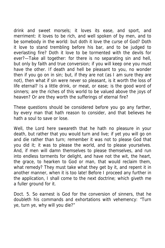drink and sweet morsels; it loves its ease, and sport, and merriment: it loves to be rich, and well spoken of by men, and to be somebody in the world: but doth it love the curse of God? Doth it love to stand trembling before his bar, and to be judged to everlasting fire? Doth it love to be tormented with the devils for ever?—Take all together: for there is no separating sin and hell, but only by faith and true conversion; if you will keep one you must have the other. If death and hell be pleasant to you, no wonder then if you go on in sin; but, if they are not (as I am sure they are not), then what if sin were never so pleasant, is it worth the loss of life eternal? Is a little drink, or meat, or ease; is the good word of sinners; are the riches of this world to be valued above the joys of heaven? Or are they worth the sufferings of eternal fire?

These questions should be considered before you go any farther, by every man that hath reason to consider, and that believes he hath a soul to save or lose.

Well, the Lord here sweareth that he hath no pleasure in your death, but rather that you would turn and live; if yet you will go on and die rather than turn; remember it was not to please God that you did it; it was to please the world, and to please yourselves. And, if men will damn themselves to please themselves, and run into endless torments for delight, and have not the wit, the heart, the grace, to hearken to God or man, that would reclaim them, what remedy? They must take what they get by it, and repent it in another manner, when it is too late! Before I proceed any further in the application, I shall come to the next doctrine; which giveth me a fuller ground for it.

Doct. 5. So earnest is God for the conversion of sinners, that he doubleth his commands and exhortations with vehemency: "Turn ye, turn ye, why will you die?"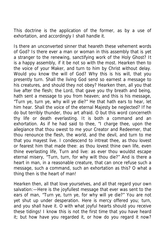This doctrine is the application of the former, as by a use of exhortation, and accordingly I shall handle it.

Is there an unconverted sinner that heareth these vehement words of God? Is there ever a man or woman in this assembly that is yet a stranger to the renewing, sanctifying work of the Holy Ghost? It is a happy assembly, if it be not so with the most. Hearken then to the voice of your Maker, and turn to him by Christ without delay. Would you know the will of God? Why this is his will, that you presently turn. Shall the living God send so earnest a message to his creatures, and should they not obey? Hearken then, all you that live after the flesh; the Lord, that gave you thy breath and being, hath sent a message to you from heaven; and this is his message, "Turn ye, turn ye, why will ye die?" He that hath ears to hear, let him hear. Shall the voice of the eternal Majesty be neglected? If he do but terribly thunder, thou art afraid. O but this word concerneth thy life or death everlasting. It is both a command and an exhortation. As if he had said to thee, "I charge thee, upon the allegiance that thou owest to me your Creator and Redeemer, that thou renounce the flesh, the world, and the devil, and turn to me that you mayest live. I condescend to intreat thee, as thou lovest or fearest him that made thee: as thou lovest thine own life, even thine everlasting life, Turn and live: as ever thou wouldst escape eternal misery, "Turn, turn, for why wilt thou die?" And is there a heart in man, in a reasonable creature, that can once refuse such a message, such a command, such an exhortation as this? O what a thing then is the heart of man!

Hearken then, all that love yourselves, and all that regard your own salvation:—Here is the joyfullest message that ever was sent to the ears of man, "Turn ye, turn ye, for why will ye die?" You are not yet shut up under desperation. Here is mercy offered you; turn, and you shall have it. O with what joyful hearts should you receive these tidings! I know this is not the first time that you have heard it; but how have you regarded it, or how do you regard it now?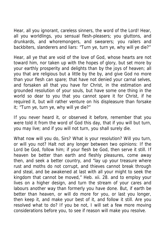Hear, all you ignorant, careless sinners, the word of the Lord! Hear, all you worldlings, you sensual flesh-pleasers; you gluttons, and drunkards, and whoremongers, and swearers; you railers and backbiters, slanderers and liars: "Turn ye, turn ye, why will ye die?"

Hear, all ye that are void of the love of God, whose hearts are not toward him, nor taken up with the hopes of glory, but set more by your earthly prosperity and delights than by the joys of heaven; all you that are religious but a little by the by, and give God no more than your flesh can spare; that have not denied your carnal selves, and forsaken all that you have for Christ, in the estimation and grounded resolution of your souls, but have some one thing in the world so dear to you that you cannot spare it for Christ, if he required it, but will rather venture on his displeasure than forsake it; "Turn ye, turn ye, why will ye die?"

If you never heard it, or observed it before, remember that you were told it from the word of God this day, that if you will but turn, you may live; and if you will not turn, you shall surely die.

What now will you do, Sirs? What is your resolution? Will you turn, or will you not? Halt not any longer between two opinions: If the Lord be God, follow him; if your flesh be God, then serve it still. If heaven be better than earth and fleshly pleasures, come away then, and seek a better country, and "lay up your treasure where rust and moths do not corrupt, and thieves cannot break through and steal, and be awakened at last with all your might to seek the kingdom that cannot be moved," Heb. xii. 28. and to employ your lives on a higher design, and turn the stream of your cares and labours another way than formerly you have done. But, if earth be better than heaven, or will do more for you, or last you longer, then keep it, and make your best of it, and follow it still. Are you resolved what to do? If you be not, I will set a few more moving considerations before you, to see if reason will make you resolve.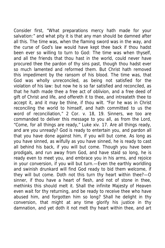Consider first, "What preparations mercy hath made for your salvation:" and what pity it is that any man should be damned after all this. The time was, when the flaming sword was in the way, and the curse of God's law would have kept thee back if thou hadst been ever so willing to turn to God: The time was when thyself, and all the friends that thou hast in the world, could never have procured thee the pardon of thy sins past, though thou hadst ever so much lamented and reformed them. But Christ hath removed this impediment by the ransom of his blood. The time was, that God was wholly unreconciled, as being not satisfied for the violation of his law: but now he is so far satisfied and reconciled, as that he hath made thee a free act of oblivion, and a free deed of gift of Christ and life, and offereth it to thee, and intreateth thee to accept it, and it may be thine, if thou wilt. "For he was in Christ reconciling the world to himself, and hath committed to us the word of reconciliation," 2 Cor. v. 18, 19. Sinners, we too are commanded to deliver this message to you all, as from the Lord, "Come, for all things are ready," Luke xiv. 17. Are all things ready, and are you unready? God is ready to entertain you, and pardon all that you have done against him, if you will but come. As long as you have sinned, as wilfully as you have sinned, he is ready to cast all behind his back, if you will but come. Though you have been prodigals, and run away from God, and have staid so long, he is ready even to meet you, and embrace you in his arms, and rejoice in your conversion, if you will but turn.—Even the earthly worldling and swinish drunkard will find God ready to bid them welcome, if they will but come. Doth not this turn thy heart within thee?—O sinner, if thou have a heart of flesh, and not of stone in thee, methinks this should melt it. Shall the infinite Majesty of Heaven even wait for thy returning, and be ready to receive thee who have abused him, and forgotten him so long? Shall he delight in thy conversion, that might at any time glorify his justice in thy damnation, and yet doth it not melt thy heart within thee, and art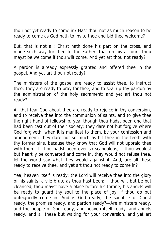thou not yet ready to come in? Hast thou not as much reason to be ready to come as God hath to invite thee and bid thee welcome?

But, that is not all: Christ hath done his part on the cross, and made such way for thee to the Father, that on his account thou mayst be welcome if thou wilt come. And yet art thou not ready?

A pardon is already expressly granted and offered thee in the gospel. And yet art thou not ready?

The ministers of the gospel are ready to assist thee, to instruct thee; they are ready to pray for thee, and to seal up thy pardon by the administration of the holy sacrament; and yet art thou not ready?

All that fear God about thee are ready to rejoice in thy conversion, and to receive thee into the communion of saints, and to give thee the right hand of fellowship, yea, though thou hadst been one that had been cast out of their society: they dare not but forgive where God forgiveth, when it is manifest to them, by your confession and amendment: they dare not so much as hit thee in the teeth with thy former sins, because they know that God will not upbraid thee with them. If thou hadst been ever so scandalous, if thou wouldst but heartily be converted and come in, they would not refuse thee, let the world say what they would against it. And, are all these ready to receive thee, and yet art thou not ready to come in?

Yea, heaven itself is ready; the Lord will receive thee into the glory of his saints, a vile brute as thou hast been: if thou wilt but be but cleansed, thou mayst have a place before his throne; his angels will be ready to guard thy soul to the place of joy, if thou do but unfeignedly come in. And is God ready, the sacrifice of Christ ready, the promise ready, and pardon ready?—Are ministers ready, and the people of God ready, and heaven itself ready, and angels ready, and all these but waiting for your conversion, and yet art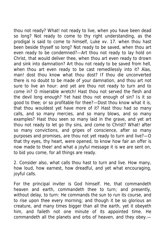thou not ready? What! not ready to live, when you have been dead so long? Not ready to come to thy right understanding, as the prodigal is said to come to himself, Luke xv. 17. when thou hast been beside thyself so long? Not ready to be saved, when thou art even ready to be condemned?—Art thou not ready to lay hold on Christ, that would deliver thee, when thou art even ready to drown and sink into damnation? Art thou not ready to be saved from hell, when thou art even ready to be cast remedilessly into it? Alas, man! dost thou know what thou dost? If thou die unconverted there is no doubt to be made of your damnation, and thou art not sure to live an hour: and yet are thou not ready to turn and to come in? O miserable wretch! Hast thou not served the flesh and the devil long enough? Yet hast thou not enough of sin? Is it so good to thee; or so profitable for thee?—Dost thou know what it is, that thou wouldest yet have more of it? Hast thou had so many calls, and so many mercies, and so many blows, and so many examples? Hast thou seen so many laid in the grave, and yet art thou not ready to let go thy sins, and come to Christ? What! after so many convictions, and gripes of conscience, after so many purposes and promises, are thou not yet ready to turn and live?—O that thy eyes, thy heart, were opened, to know how fair an offer is now made to thee! and what a joyful message it is we are sent on, to bid you come, for all things are ready.

2. Consider also, what calls thou hast to turn and live. How many, how loud, how earnest, how dreadful, and yet what encouraging, joyful calls.

For the principal inviter is God himself. He, that commandeth heaven and earth, commandeth thee to turn; and presently, without delay, to turn: He commands the sun to run its course, and to rise upon thee every morning; and though it be so glorious an creature, and many times bigger than all the earth, yet it obeyeth him, and faileth not one minute of its appointed time. He commandeth all the planets and orbs of heaven, and they obey.—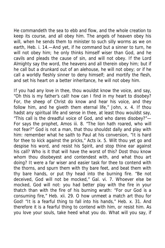He commandeth the sea to ebb and flow, and the whole creation to keep its course, and all obey him. The angels of heaven obey his will, when he sends them to minister to such silly worms as we on earth, Heb. i. 14.—And yet, if he command but a sinner to turn, he will not obey him; he only thinks himself wiser than God, and he cavils and pleads the cause of sin, and will not obey. If the Lord Almighty say the word, the heavens and all therein obey him; but if he call but a drunkard out of an alehouse, he will not obey; or if he call a worldly fleshly sinner to deny himself; and mortify the flesh, and set his heart on a better inheritance, he will not obey him.

If you had any love in thee, thou wouldst know the voice, and say, "Oh this is my father's call! how can I find in my heart to disobey? For, the sheep of Christ do know and hear his voice, and they follow him, and he giveth them eternal life," John, x. 4. If thou hadst any spiritual life and sense in thee, at least thou wouldst say, "This call is the dreadful voice of God, and who dares disobey?"— For says the prophet, Amos iii. 8. "The lion hath roared, who will not fear?" God is not a man, that thou shouldst dally and play with him: remember what he saith to Paul at his conversion, "It is hard for thee to kick against the pricks," Acts ix. 5. Wilt thou yet go and despise his word, and resist his Spirit, and stop thine ear against his call? Who is it that will have the worst of this? Dost thou know whom thou disobeyest and contendest with, and what thou art doing? It were a far wiser and easier task for thee to contend with the thorns, and spurn them with thy bare feet, and beat them with thy bare hands, or put thy head into the burning fire. "Be not deceived, God will not be mocked," Gal. vi. 7. Whoever else be mocked, God will not: you had better play with the fire in your thatch than with the fire of his burning wrath: "For our God is a consuming fire," Heb. xii. 29. O how unmeet a match art thou for God! "It is a fearful thing to fall into his hands," Heb. x. 31. And therefore it is a fearful thing to contend with him, or resist him. As you love your souls, take heed what you do. What will you say, if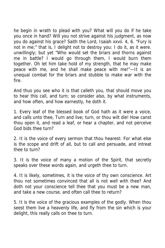he begin in wrath to plead with you? What will you do if he take you once in hand? Will you not strive against his judgment, as now you do against his grace? Saith the Lord, Isaiah xxvii. 4, 6. "Fury is not in me;" that is, I delight not to destroy you: I do it, as it were. unwillingly; but yet "Who would set the briars and thorns against me in battle? I would go through them, I would burn them together. Oh let him take hold of my strength, that he may make peace with me, and he shall make peace with me!"—It is an unequal combat for the briars and stubble to make war with the fire.

And thus you see who it is that calleth you, that should move you to hear this call, and turn; so consider also, by what instruments, and how often, and how earnestly, he doth it.

1. Every leaf of the blessed book of God hath as it were a voice, and calls unto thee, Turn and live; turn, or thou wilt die! How canst thou open it, and read a leaf, or hear a chapter, and not perceive God bids thee turn?

2. It is the voice of every sermon that thou hearest: For what else is the scope and drift of all, but to call and persuade, and intreat thee to turn?

3. It is the voice of many a motion of the Spirit, that secretly speaks over these words again, and urgeth thee to turn.

4. It is likely, sometimes, it is the voice of thy own conscience. Art thou not sometimes convinced that all is not well with thee? And doth not your conscience tell thee that you must be a new man, and take a new course, and often call thee to return?

5. It is the voice of the gracious examples of the godly. When thou seest them live a heavenly life, and fly from the sin which is your delight, this really calls on thee to turn.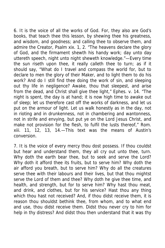6. It is the voice of all the works of God. For, they also are God's books, that teach thee this lesson, by shewing thee his greatness, and wisdom, and goodness; and calling thee to observe them, and admire the Creator, Psalm xix. 1, 2. "The heavens declare the glory of God, and the firmament shewth his handy work; day unto day uttereth speech, night unto night sheweth knowledge."—Every time the sun riseth upon thee, it really calleth thee to turn; as if it should say, "What do I travel and compass the world for, but to declare to men the glory of their Maker, and to light them to do his work? And do I still find thee doing the work of sin, and sleeping out thy life in negligence? Awake, thou that sleepest, and arise from the dead, and Christ shall give thee light," Ephes. v. 14. "The night is spent, the day is at hand; it is now high time to awake out of sleep; let us therefore cast off the works of darkness, and let us put on the armour of light. Let us walk honestly as in the day, not in rioting and in drunkenness, not in chambering and wantonness, not in strife and envying, but put ye on the Lord Jesus Christ, and make not provision for the flesh, to fulfil the lusts thereof," Rom. xiii. 11, 12, 13, 14.—This text was the means of Austin's conversion.

7. It is the voice of every mercy thou dost possess. If thou couldst but hear and understand them, they all cry out unto thee, turn. Why doth the earth bear thee, but to seek and serve the Lord? Why doth it afford thee its fruits, but to serve him? Why doth the air afford you breath, but to serve him? Why do all the creatures serve thee with their labours and their lives, but that thou mightst serve the Lord of them and thee? Why doth he give thee time, and health, and strength, but for to serve him? Why hast thou meat, and drink, and clothes, but for his service? Hast thou any thing which thou hast not received? And, if thou didst receive them, it is reason thou shouldst bethink thee, from whom, and to what end and use, thou didst receive them. Didst thou never cry to him for help in thy distress? And didst thou then understand that it was thy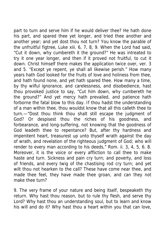part to turn and serve him if he would deliver thee? He hath done his part, and spared thee yet longer, and tried thee another and another year; and yet dost thou not turn? You know the parable of the unfruitful figtree, Luke xiii. 6, 7, 8, 9. When the Lord had said, "Cut it down, why cumbereth it the ground?" He was intreated to try it one year longer, and then if it proved not fruitful, to cut it down. Christ himself there makes the application twice over, ver. 3 and 5. "Except ye repent, ye shall all likewise perish." How many years hath God looked for the fruits of love and holiness from thee, and hath found none, and yet hath spared thee. How many a time, by thy wilful ignorance, and carelessness, and disobedience, hast thou provoked justice to say, "Cut him down, why cumbereth he the ground?" And yet mercy hath prevailed, and patience hath forborne the fatal blow to this day. If thou hadst the understanding of a man within thee, thou wouldst know that all this calleth thee to turn.—"Dost thou think thou shalt still escape the judgment of God? Or despisest thou the riches of his goodness, and forbearance, and long-suffering, not knowing that the goodness of God leadeth thee to repentance? But, after thy hardness and impenitent heart, treasurest up unto thyself wrath against the day of wrath, and revelation of the righteous judgment of God; who will render to every man according to his deeds," Rom. ii. 3, 4, 5, 6. 8. Moreover, it is the voice or every affliction to call thee to make haste and turn. Sickness and pain cry turn; and poverty, and loss of friends, and every twig of the chastising rod cry turn; and yet wilt thou not hearken to the call? These have come near thee, and made thee feel, they have made thee groan, and can they not make thee turn?

9. The very frame of your nature and being itself, bespeaketh thy return. Why hast thou reason, but to rule thy flesh, and serve thy Lord? Why hast thou an understanding soul, but to learn and know his will and do it? Why hast thou a heart within you that can love,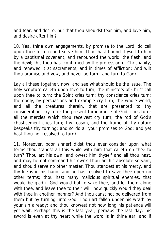and fear, and desire, but that thou shouldst fear him, and love him, and desire after him?

10. Yea, thine own engagements, by promise to the Lord, do call upon thee to turn and serve him. Thou hast bound thyself to him by a baptismal covenant, and renounced the world, the flesh, and the devil; this thou hast confirmed by the profession of Christianity, and renewed it at sacraments, and in times of affliction: And wilt thou promise and vow, and never perform, and turn to God?

Lay all these together, now, and see what should be the issue. The holy scripture calleth upon thee to turn; the ministers of Christ call upon thee to turn; the Spirit cries turn; thy conscience cries turn; the godly, by persuasions and example cry turn; the whole world, and all the creatures therein, that are presented to thy consideration, cry turn; the present forbearance of God, cries turn; all the mercies which thou receivest cry turn; the rod of God's chastisement cries turn; thy reason, and the frame of thy nature bespeaks thy turning; and so do all your promises to God; and yet hast thou not resolved to turn?

11. Moreover, poor sinner! didst thou ever consider upon what terms thou standst all this while with him that calleth on thee to turn? Thou art his own, and owest him thyself and all thou hast, and may he not command his own? Thou art his absolute servant, and should serve no other master. Thou standest at his mercy, and thy life is in his hand; and he has resolved to save thee upon no other terms; thou hast many malicious spiritual enemies, that would be glad if God would but forsake thee, and let them alone with thee, and leave thee to their will; how quickly would they deal with thee in another manner? And thou canst not be delivered from them but by turning unto God. Thou art fallen under his wrath by your sin already; and thou knowest not how long his patience will yet wait. Perhaps this is the last year; perhaps the last day; his sword is even at thy heart while the word is in thine ear; and if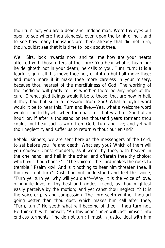thou turn not, you are a dead and undone man. Were thy eyes but open to see where thou standest, even upon the brink of hell, and to see how many thousands are there already that did not turn, thou wouldst see that it is time to look about thee.

Well, Sirs, look inwards now, and tell me how are your hearts affected with those offers of the Lord? You hear what is his mind; he delighteth not in your death; he calls to you, Turn, turn: It is a fearful sign if all this move thee not, or if it do but half move thee; and much more if it make thee more careless in your misery, because thou hearest of the mercifulness of God. The working of the medicine will partly tell us whether there be any hope of the cure. O what glad tidings would it be to those, that are now in hell, if they had but such a message from God! What a joyful word would it be to hear this, Turn and live.—Yea, what a welcome word would it be to thyself, when thou hast felt that wrath of God but an hour! or, if after a thousand or ten thousand years torment thou couldst but hear such a word from God, Turn and live; and yet wilt thou neglect it, and suffer us to return without our errand?

Behold, sinners, we are sent here as the messengers of the Lord, to set before you life and death. What say you? Which of them will you choose? Christ standeth, as it were, by thee, with heaven in the one hand, and hell in the other, and offereth thee thy choice; which wilt thou choose?—"The voice of the Lord makes the rocks to tremble," Psalm xxvi. And is it nothing to hear him threaten thee, if thou wilt not turn? Dost thou not understand and feel this voice, "Turn ye, turn ye, why will you die?"—Why, it is the voice of love, of infinite love, of thy best and kindest friend, as thou mightest easily perceive by the motion; and yet canst thou neglect it? It is the voice or pity and compassion. The Lord seeth whither thou art going better than thou dost, which makes him call after thee, "Turn, turn." He seeth what will become of thee if thou turn not. He thinketh with himself, "Ah this poor sinner will cast himself into endless torments if he do not turn; I must in justice deal with him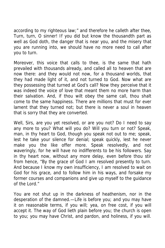according to my righteous law;" and therefore he calleth after thee, Turn, turn, O sinner! If you did but know the thousandth part as well as God doth, the danger that is near you, and the misery that you are running into, we should have no more need to call after you to turn.

Moreover, this voice that calls to thee, is the same that hath prevailed with thousands already, and called all to heaven that are now there: and they would not now, for a thousand worlds, that they had made light of it, and not turned to God. Now what are they possessing that turned at God's call? Now they perceive that it was indeed the voice of love that meant them no more harm than their salvation. And, if thou wilt obey the same call, thou shalt come to the same happiness. There are millions that must for ever lament that they turned not; but there is never a soul in heaven that is sorry that they are converted.

Well, Sirs, are you yet resolved, or are you not? Do I need to say any more to you? What will you do? Will you turn or not? Speak, man, in thy heart to God, though you speak not out to me; speak, lest he take your silence for denial; speak quickly, lest he never make you the like offer more. Speak resolvedly, and not waveringly, for he will have no indifferents to be his followers. Say in thy heart now, without any more delay, even before thou stir from hence, "By the grace of God I am resolved presently to turn. And because I know my own insufficiency, I am resolved to wait on God for his grace, and to follow him in his ways, and forsake my former courses and companions and give up myself to the guidance of the Lord."

You are not shut up in the darkness of heathenism, nor in the desperation of the damned.—Life is before you; and you may have it on reasonable terms, if you will; yea, on free cost, if you will accept it. The way of God lieth plain before you; the church is open to you; you may have Christ, and pardon, and holiness, if you will.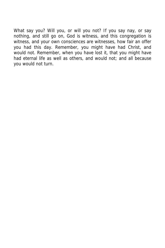What say you? Will you, or will you not? If you say nay, or say nothing, and still go on, God is witness, and this congregation is witness, and your own consciences are witnesses, how fair an offer you had this day. Remember, you might have had Christ, and would not. Remember, when you have lost it, that you might have had eternal life as well as others, and would not; and all because you would not turn.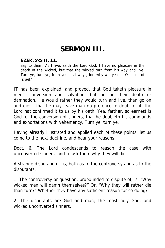## **SERMON III.**

## **EZEK. XXXIII. 11.**

Say to them, As I live, saith the Lord God, I have no pleasure in the death of the wicked, but that the wicked turn from his way and live. Turn ye, turn ye, from your evil ways, for, why will ye die, O house of Israel?

IT has been explained, and proved, that God taketh pleasure in men's conversion and salvation, but not in their death or damnation. He would rather they would turn and live, than go on and die:—That he may leave man no pretence to doubt of it, the Lord hat confirmed it to us by his oath. Yea, farther, so earnest is God for the conversion of sinners, that he doubleth his commands and exhortations with vehemency, Turn ye, turn ye.

Having already illustrated and applied each of these points, let us come to the next doctrine, and hear your reasons.

Doct. 6. The Lord condescends to reason the case with unconverted sinners, and to ask them why they will die.

A strange disputation it is, both as to the controversy and as to the disputants.

1. The controversy or question, propounded to dispute of, is, "Why wicked men will damn themselves?" Or, "Why they will rather die than turn?" Whether they have any sufficient reason for so doing?

2. The disputants are God and man; the most holy God, and wicked unconverted sinners.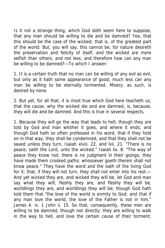Is it not a strange thing, which God doth seem here to suppose, that any man should be willing to die and be damned? Yea, that this should be the case of the wicked; that is, of the greatest part of the world: But, you will say, this cannot be, for nature desireth the preservation and felicity of itself, and the wicked are more selfish than others, and not less; and therefore how can any man be willing to be damned?—To which I answer:

1. It is a certain truth that no man can be willing of any evil as evil, but only as it hath some appearance of good; much less can any man be willing to be eternally tormented. Misery, as such, is desired by none.

2. But yet, for all that, it is most true which God here teacheth us, that the cause, why the wicked die and are damned, is, because, they will die and be damned. And this is true in several respects.

1. Because they will go the way that leads to hell, though they are told by God and man whither it goes, and where it ends; and though God hath so often professed in his word, that if they hold on in that way, they shall be condemned, and that they shall not be saved unless they turn, Isaiah xlviii. 22. and lvii. 21. "There is no peace, saith the Lord, unto the wicked." Isaiah lix. 8. "The way of peace they know not; there is no judgment in their goings; they have made them crooked paths; whosoever goeth therein shall not know peace." They have the word and the oath of the living God for it; that, if they will not turn, they shall not enter into his rest.— And yet wicked they are, and wicked they will be, let God and man say what they will; fleshly they are, and fleshly they will be, worldlings they are, and worldlings they will be; though God hath told them that "the love of the world is enmity to God; and that if any man love the world, the love of the Father is not in him," James 4. iv. 1 John ii. 15. So that, consequently, these men are willing to be damned, though not directly; they are willing to walk in the way to hell, and love the certain cause of their torment;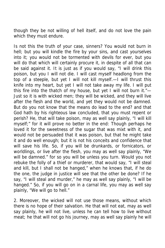though they be not willing of hell itself, and do not love the pain which they must endure.

Is not this the truth of your case, sinners? You would not burn in hell; but you will kindle the fire by your sins, and cast yourselves into it; you would not be tormented with devils for ever, but you will do that which will certainly procure it, in despite of all that can be said against it. It is just as if you would say, "I will drink this poison, but you I will not die. I will cast myself headlong from the top of a steeple, but yet I will not kill myself.—I will thrust this knife into my heart, but yet I will not take away my life. I will put this fire into the thatch of my house, but yet I will not burn it."— Just so it is with wicked men; they will be wicked, and they will live after the flesh and the world, and yet they would not be damned. But do you not know that the means do lead to the end? and that God hath by his righteous law concluded, that you must repent or perish? He, that will take poison, may as well say plainly, "I will kill myself;" for it will prove no better in the end: Though perhaps he loved it for the sweetness of the sugar that was mixt with it, and would not be persuaded that it was poison, but that he might take it and do well enough; but it is not his conceits and confidence that will save his life. So, if you will be drunkards, or fornicators, or worldlings, or live after the flesh, you may as well say plainly, "We will be damned." for so you will be unless you turn. Would you not rebuke the folly of a thief or murderer, that would say, "I will steal and kill, but I shall not be hanged," when he knows that, if he do the one, the judge in justice will see that the other be done? If he say, "I will steal and murder," he may as well say plainly, "I will be hanged." So, if you will go on in a carnal life, you may as well say plainly, "We will go to hell."

2. Moreover, the wicked will not use those means, without which there is no hope of their salvation. He that will not eat, may as well say plainly, he will not live, unless he can tell how to live without meat; he that will not go his journey, may as well say plainly he will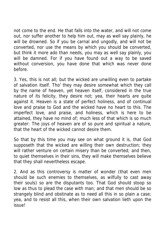not come to the end. He that falls into the water, and will not come out, nor suffer another to help him out, may as well say plainly, he will be drowned. So if you be carnal and ungodly, and will not be converted, nor use the means by which you should be converted, but think it more ado than needs, you may as well say plainly, you will be damned. For if you have found out a way to be saved without conversion, you have done that which was never done before.

3. Yes, this is not all; but the wicked are unwilling even to partake of salvation itself. Tho' they may desire somewhat which they call by the name of heaven, yet heaven itself, considered in the true nature of its felicity, they desire not; yea, their hearts are quite against it. Heaven is a state of perfect holiness, and of continual love and praise to God and the wicked have no heart to this. The imperfect love, and praise, and holiness, which is here to be attained, they have no mind of; much less of that which is so much greater: The joys of heaven are of so pure and spiritual a nature, that the heart of the wicked cannot desire them.

So that by this time you may see on what ground it is, that God supposeth that the wicked are willing their own destruction; they will rather venture on certain misery than be converted; and then, to quiet themselves in their sins, they will make themselves believe that they shall nevertheless escape.

2. And as this controversy is matter of wonder (that even men should be such enemies to themselves, as wilfully to cast away their souls) so are the disputants too. That God should stoop so low as thus to plead the case with man; and that men should be so strangely blind and obstinate as to need all this in so plain a case; yea, and to resist all this, when their own salvation lieth upon the issue!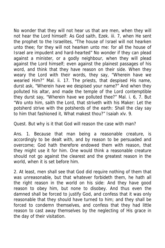No wonder that they will not hear us that are men, when they will not hear the Lord himself: As God saith, Ezek. iii. 7, when He sent the prophet to the Israelites, "The house of Israel will not hearken unto thee; for they will not hearken unto me: for all the house of Israel are impudent and hard-hearted" No wonder if they can plead against a minister, or a godly neighbour, when they will plead against the Lord himself; even against the plainest passages of his word, and think that they have reason on their side. When they weary the Lord with their words, they say, "Wherein have we wearied Him?" Mal. ii. 17. The priests, that despised His name, durst ask, "Wherein have we despised your name?" And when they polluted his altar, and made the temple of the Lord contemptible they durst say, "Wherein have we polluted thee?" Mal. i. 6, 7. But "Wo unto him, saith the Lord, that striveth with his Maker: Let the potsherd strive with the potsherds of the earth: Shall the clay say to him that fashioned it, What makest thou?" Isaiah xlv. 9.

Quest. But why is it that God will reason the case with man?

Ans. 1. Because that man being a reasonable creature, is accordingly to be dealt with, and by reason to be persuaded and overcome; God hath therefore endowed them with reason, that they might use it for him. One would think a reasonable creature should not go against the clearest and the greatest reason in the world, when it is set before him.

2. At least, men shall see that God did require nothing of them that was unreasonable, but that whatever forbideth them, he hath all the right reason in the world on his side: And they have good reason to obey him, but none to disobey. And thus even the damned shall be forced to justify God, and confess that it was only reasonable that they should have turned to him; and they shall be forced to condemn themselves, and confess that they had little reason to cast away themselves by the neglecting of His grace in the day of their visitation.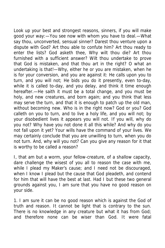Look up your best and strongest reasons, sinners, if you will make good your way:—You see now with whom you have to deal.—What say thou, unconverted, sensual sinner? Darest thou venture upon a dispute with God? Art thou able to confute him? Art thou ready to enter the lists? God asketh thee, Why wilt thou die? Art thou furnished with a sufficient answer? Wilt thou undertake to prove that God is mistaken, and that thou art in the right? O what an undertaking is that!—Why, either he or you are mistaken, when he is for your conversion, and you are against it: He calls upon you to turn, and you will not; He bids you do it presently, even to-day, while it is called to-day, and you delay, and think it time enough hereafter.—He saith it must be a total change, and you must be holy, and new creatures, and born again; and you think that less may serve the turn, and that it is enough to patch up the old man, without becoming new. Who is in the right now? God or you? God calleth on you to turn, and to live a holy life, and you will not; by your disobedient lives it appears you will not. If you will, why do you not? Why have you not done it all this while? And why do you not fall upon it yet? Your wills have the command of your lives. We may certainly conclude that you are unwilling to turn, when you do not turn. And, why will you not? Can you give any reason for it that is worthy to be called a reason?

I, that am but a worm, your fellow-creature, of a shallow capacity, dare challenge the wisest of you all to reason the case with me, while I plead my Maker's cause; and I need not be discouraged, when I know I plead but the cause that God pleadeth, and contend for him that will have the best at last. Had I but these two general grounds against you, I am sure that you have no good reason on your side.

1. I am sure it can be no good reason which is against the God of truth and reason. It cannot be light that is contrary to the sun. There is no knowledge in any creature but what it has from God; and therefore none can be wiser than God. It were fatal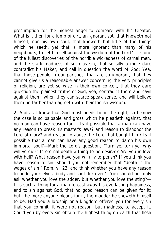presumption for the highest angel to compare with his Creator. What is it then for a lump of dirt, an ignorant sot, that knoweth not himself, nor his own soul, that knoweth but little of the things which he seeth, yet that is more ignorant than many of his neighbours, to set himself against the wisdom of the Lord? It is one of the fullest discoveries of the horrible wickedness of carnal men, and the stark madness of such as sin, that so silly a mole dare contradict his Maker, and call in question the word of God: Yea, that those people in our parishes, that are so ignorant, that they cannot give us a reasonable answer concerning the very principles of religion, are yet so wise in their own conceit, that they dare question the plainest truths of God, yea, contradict them and cavil against them, when they can scarce speak sense, and will believe them no farther than agreeth with their foolish wisdom.

2. And as I know that God must needs be in the right, so I know the case is so palpable and gross which he pleadeth against, that no man can have reason for it. Is it possible that a man can have any reason to break his master's laws? and reason to dishonor the Lord of glory? and reason to abuse the Lord that bought him? Is it possible that a man can have any good reason to damn his own immortal soul?—Mark the Lord's question, "Turn ye, turn ye, why will ye die?" Is eternal death a thing to be desired? Are you in love with hell? What reason have you wilfully to perish? If you think you have reason to sin, should you not remember that "death is the wages of sin," Rom. vi. 23. and think whether you have any reason to undo yourselves, body and soul, for ever?—You should not only ask whether you love the adder, but whether you love the sting?— It is such a thing for a man to cast away his everlasting happiness, and to sin against God, that no good reason can be given for it; but, the more anyone pleads for it, the madder he sheweth himself to be. Had you a lordship or a kingdom offered you for every sin that you commit, it were not reason, but madness, to accept it. Could you by every sin obtain the highest thing on earth that flesh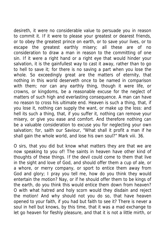desireth, it were no considerable value to persuade you in reason to commit it. If it were to please your greatest or dearest friends, or to obey the greatest prince on earth, or to save your lives, or to escape the greatest earthly misery; all these are of no consideration to draw a man in reason to the committing of one sin. If it were a right hand or a right eye that would hinder your salvation, it is the gainfullest way to cast it away, rather than to go to hell to save it; for there is no saving a part when you lose the whole. So exceedingly great are the matters of eternity, that nothing in this world deserveth once to be named in comparison with them; nor can any earthly thing, though it were life, or crowns, or kingdoms, be a reasonable excuse for the neglect of matters of such high and everlasting consequence. A man can have no reason to cross his ultimate end. Heaven is such a thing, that, if you lose it, nothing can supply the want, or make up the loss: and hell its such a thing, that, if you suffer it, nothing can remove your misery, or give you ease and comfort. And therefore nothing can be a valuable consideration to excuse you for neglecting your own salvation; for, saith our Saviour, "What shall it profit a man if he shall gain the whole world, and lose his own soul?" Mark viii. 36.

O sirs, that you did but know what matters they are that we are now speaking to you of! The saints in heaven have other kind of thoughts of these things. If the devil could come to them that live in the sight and love of God, and should offer them a cup of ale, or a whore, or merry company, or sport to entice them away from God and glory; I pray you tell me, how do you think they would entertain the motion? Nay, or if he should offer them to be kings of the earth, do you think this would entice them down from heaven? O with what hatred and holy scorn would they disdain and reject the motion! And why should not you do so, that have heaven opened to your faith, if you had but faith to see it? There is never a soul in hell but knows, by this time, that it was a mad exchange to let go heaven for fleshly pleasure, and that it is not a little mirth, or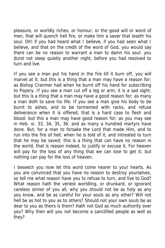pleasure, or worldly riches, or honour, or the good will or word of men, that will quench hell fire, or make him a saver that loseth his soul. Oh! if you had heard what I believe, if you had seen what I believe, and that on the credit of the word of God, you would say there can be no reason to warrant a man to damn his soul: you durst not sleep quietly another night, before you had resolved to turn and live.

If you see a man put his hand in the fire till it burn off, you will marvel at it; but this is a thing that a man may have a reason for; as Bishop Cranmer had when he burnt off his hand for subscribing to Popery. If you see a man cut off a leg or arm, it is a sad sight; but this is a thing that a man may have a good reason for; as many a man doth to save his life. If you see a man give his body to be burnt to ashes, and to be tormented with racks, and refuse deliverance when it is offered, that is a hard case to flesh and blood: but this a man may have good reason for; as you may see in Heb. xi. 33, 34, 35, 36. and as many a hundred martyrs have done. But, for a man to forsake the Lord that made Him, and to run into the fire of hell, when he is told of it, and intreated to turn that he may be saved; this is a thing that can have no reason in the world, that is reason indeed, to justify or excuse it. For heaven will pay for the loss of any thing that we can lose to get it; but nothing can pay for the loss of heaven.

I beseech you now let this word come nearer to your hearts. As you are convinced that you have no reason to destroy yourselves, so tell me what reason have you to refuse to turn, and live to God? What reason hath the veriest worldling, or drunkard, or ignorant careless sinner of you all, why you should not be as holy as any you know, and be as careful for your souls as any other? Will not hell be as hot to you as to others? Should not your own souls be as dear to you as theirs is them? Hath not God as much authority over you? Why then will you not become a sanctified people as well as they?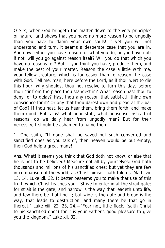O Sirs, when God bringeth the matter down to the very principles of nature, and shews that you have no more reason to be ungodly than you have to damn your own souls! if yet you will not understand and turn, it seems a desperate case that you are in. And now, either you have reason for what you do, or you have not: if not, will you go against reason itself? Will you do that which you have no reasons for? But, if you think you have, produce them, and make the best of your matter. Reason the case a little with me, your fellow-creature, which is far easier than to reason the case with God. Tell me, man, here before the Lord, as if thou wert to die this hour, why shouldst thou not resolve to turn this day, before thou stir from the place thou standest in? What reason hast thou to deny, or to delay? Hast thou any reason that satisfieth thine own conscience for it? Or any that thou darest own and plead at the bar of God? If thou hast, let us hear them, bring them forth, and make them good. But, alas! what poor stuff, what nonsense instead of reasons, do we daily hear from ungodly men? But for their necessity, I should be ashamed to name them.

1. One saith, "If none shall be saved but such converted and sanctified ones as you talk of, then heaven would be but empty, then God help a great many!

Ans. What! it seems you think that God doth not know, or else that he is not to be believed! Measure not all by yourselves; God hath thousands and millions of his sanctified ones; but yet they are few in comparison of the world, as Christ himself hath told us, Matt. vii. 13, 14. Luke xii. 32. It better beseems you to make that use of this truth which Christ teaches you: "Strive to enter in at the strait gate; for strait is the gate, and narrow is the way that leadeth unto life, and few there be that find it; but wide is the gate and broad is the way, that leads to destruction, and many there be that go in thereat." Luke xiii. 22, 23, 24.—"Fear not, little flock, (saith Christ to his sanctified ones) for it is your Father's good pleasure to give you the kingdom," Luke xii. 32.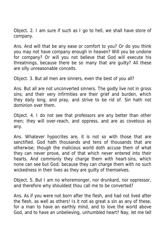Object. 2. I am sure if such as I go to hell, we shall have store of company.

Ans. And will that be any ease or comfort to you? Or do you think you may not have company enough in heaven? Will you be undone for company? Or will you not believe that God will execute his threatnings, because there be so many that are guilty? All these are silly unreasonable conceits.

Object. 3. But all men are sinners, even the best of you all?

Ans. But all are not unconverted sinners. The godly live not in gross sins; and their very infirmities are their grief and burden, which they daily long, and pray, and strive to be rid of. Sin hath not dominion over them.

Object. 4. I do not see that professors are any better than other men; they will over-reach, and oppress, and are as covetous as any.

Ans. Whatever hypocrites are, it is not so with those that are sanctified. God hath thousands and tens of thousands that are otherwise; though the malicious world doth accuse them of what they can never prove, and of that which never entered into their hearts. And commonly they charge them with heart-sins, which none can see but God; because they can charge them with no such wickedness in their lives as they are guilty of themselves.

Object. 5. But I am no whoremonger, nor drunkard, nor oppressor, and therefore why shouldest thou call me to be converted?

Ans. As if you were not born after the flesh, and had not lived after the flesh, as well as others! Is it not as great a sin as any of these, for a man to have an earthly mind, and to love the world above God, and to have an unbelieving, unhumbled heart? Nay, let me tell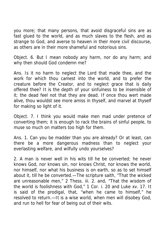you more; that many persons, that avoid disgraceful sins are as fast glued to the world, and as much slaves to the flesh, and as strange to God, and averse to heaven in their more civil discourse, as others are in their more shameful and notorious sins.

Object. 6. But I mean nobody any harm, nor do any harm; and why then should God condemn me?

Ans. Is it no harm to neglect the Lord that made thee, and the work for which thou camest into the world, and to prefer the creature before the Creator, and to neglect grace that is daily offered thee? It is the depth of your sinfulness to be insensible of it; the dead feel not that they are dead. If once thou wert made alive, thou wouldst see more amiss in thyself, and marvel at thyself for making so light of it.

Object. 7. I think you would make men mad under pretence of converting them; it is enough to rack the brains of sinful people, to muse so much on matters too high for them.

Ans. 1. Can you be madder than you are already? Or at least, can there be a more dangerous madness than to neglect your everlasting welfare, and wilfully undo yourselves?

2. A man is never well in his wits till he be converted; he never knows God, nor knows sin, nor knows Christ, nor knows the world, nor himself, nor what his business is on earth, so as to set himself about it, till he be converted.—The scripture saith, "That the wicked are unreasonable men," 2 Thess. iii. 2. and, "That the wisdom of the world is foolishness with God," 1 Cor. i. 20 and Luke xv. 17. It is said of the prodigal, that, "when he came to himself," he resolved to return.—It is a wise world, when men will disobey God, and run to hell for fear of being out of their wits.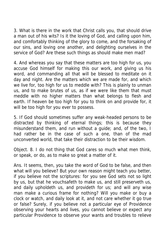3. What is there in the work that Christ calls you, that should drive a man out of his wits? Is it the loving of God, and calling upon him, and comfortably thinking of the glory to come, and the forsaking of our sins, and loving one another, and delighting ourselves in the service of God? Are these such things as should make men mad?

4. And whereas you say that these matters are too high for us, you accuse God himself for making this our work, and giving us his word, and commanding all that will be blessed to meditate on it day and night. Are the matters which we are made for, and which we live for, too high for us to meddle with? This is plainly to unman us, and to make brutes of us, as if we were like them that must meddle with no higher matters than what belongs to flesh and earth. If heaven be too high for you to think on and provide for, it will be too high for you ever to possess.

5. If God should sometimes suffer any weak-headed persons to be distracted by thinking of eternal things; this is because they misunderstand them, and run without a guide; and, of the two, I had rather be in the case of such a one, than of the mad unconverted world, that take their distraction to be their wisdom.

Object. 8. I do not thing that God cares so much what men think, or speak, or do, as to make so great a matter of it.

Ans. It seems, then, you take the word of God to be false, and then what will you believe? But your own reason might teach you better, if you believe not the scriptures: for you see God sets not so light by us, but that he vouchsafeth to make us, and still preserveth us, and daily upholdeth us, and provideth for us; and will any wise man make a curious frame for nothing? Will you make or buy a clock or watch, and daily look at it, and not care whether it go true or false? Surely, if you believe not a particular eye of Providence observing your hearts and lives, you cannot believe or expect any particular Providence to observe your wants and troubles to relieve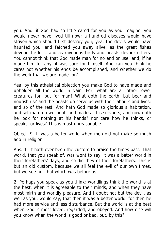you. And, if God had so little cared for you as you imagine, you would never have lived till now; a hundred diseases would have striven which should first destroy you; yea, the devils would have haunted you, and fetched you away alive, as the great fishes devour the less, and as ravenous birds and beasts devour others. You cannot think that God made man for no end or use; and, if he made him for any, it was sure for himself. And can you think he cares not whether his ends be accomplished, and whether we do the work that we are made for?

Yea, by this atheistical objection you make God to have made and upholden all the world in vain. For, what are all other lower creatures for, but for man? What doth the earth, but bear and nourish us? and the beasts do serve us with their labours and lives: and so of the rest. And hath God made so glorious a habitation, and set man to dwell in it, and made all his servants; and now doth he look for nothing at his hands? nor care how he thinks, or speaks, or lives? This is most unreasonable.

Object. 9. It was a better world when men did not make so much ado in religion.

Ans. 1. It hath ever been the custom to praise the times past. That world, that you speak of, was wont to say, it was a better world in their forefathers' days, and so did they of their forefathers. This is but an old custom, because we all feel the evil of our own times, but we see not that which was before us.

2. Perhaps you speak as you think: worldlings think the world is at the best, when it is agreeable to their minds, and when they have most mirth and worldly pleasure. And I doubt not but the devil, as well as you, would say, that then it was a better world, for then he had more service and less disturbance. But the world is at the best when God is most loved, regarded, and obeyed. And how else will you know when the world is good or bad, but, by this?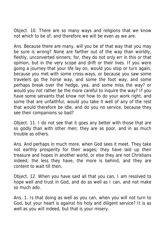Object. 10. There are so many ways and religions that we know not which to be of, and therefore we will be even as we are.

Ans. Because there are many, will you be of that way that you may be sure is wrong? None are farther out of the way than worldly, fleshly, unconverted sinners; for, they do not only err in this or that opinion, but in the very scope and drift or their lives. If you were going a journey that your life lay on, would you stop or turn again, because you met with some cross-ways, or because you saw some travelers go the horse way, and some the foot way, and some perhaps break over the hedge, yea, and some miss the way? or would you not rather be the more careful to inquire the way? If you have some servants that know not how to do your work right, and some that are unfaithful; would you take it well of any of the rest that would therefore be idle, and do you no service, because they see their companions so bad?

Object. 11. I do not see that it goes any better with those that are so godly than with other men; they are as poor, and in as much trouble as others.

Ans. And perhaps in much more, when God sees it meet. They take not earthly prosperity for their wages; they have laid up their treasure and hopes in another world, or else they are not Christians indeed; the less they have, the more is behind, and they are content to wait till then.

Object. 12. When you have said all that you can, I am resolved to hope well and trust in God, and do as well as I can, and not make so much ado.

Ans. 1. Is that doing as well as you can, when you will not turn to God, but your heart is against his holy and diligent service? It is as well as you will indeed, but that is your misery.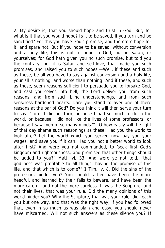2. My desire is, that you should hope and trust in God: But, for what is it that you would hope? Is it to be saved, if you turn and be sanctified? For this you have God's promise, and therefore hope for it, and spare not. But if you hope to be saved, without conversion and a holy life, this is not to hope in God, but in Satan, or yourselves; for God hath given you no such promise, but told you the contrary; but it is Satan and self-love, that made you such promises, and raised you to such hopes.—Well, if these and such as these, be all you have to say against conversion and a holy life, your all is nothing, and worse than nothing: And if these, and such as these, seem reasons sufficient to persuade you to forsake God, and cast yourselves into hell, the Lord deliver you from such reasons, and from such blind understandings, and from such senseless hardened hearts. Dare you stand to aver one of there reasons at the bar of God? Do you think it will then serve your turn to say, "Lord, I did not turn, because I had so much to do in the world, or because I did not like the lives of some professors; or because I saw men of so many minds?"—O how easily will the light of that day shame such reasonings as these! Had you the world to look after? Let the world which you served now pay you your wages, and save you if it can. Had you not a better world to look after first? And were you not commanded, to 'seek first God's kingdom and righteousness; and promised that other things should be added to you?" Matt. vi. 33. And were ye not told, "that godliness was profitable to all things, having the promise of this life, and that which is to come?" 1 Tim. iv. 8. Did the sins of the professors hinder you? You should rather have been the more heedful, and learned by their falls to beware, and have been the more careful, and not the more careless. It was the Scripture, and not their lives, that was your rule. Did the many opinions of this world hinder you? Why the Scripture, that was your rule, did teach you but one way, and that was the right way; if you had followed that, even in so much as was plain and easy, you should never have miscarried. Will not such answers as these silence you? If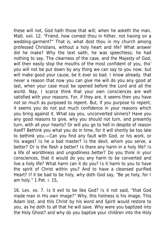these will not, God hath those that will; when he asketh the man, Matt. xxii. 12. "Friend, how comest thou in hither, not having on a wedding-garment?" That is, what dost thou in my church among professed Christians, without a holy heart and life? What answer did he make? Why the text saith, he was speechless; he had nothing to say. The clearness of the case, and the Majesty of God, will then easily stop the mouths of the most confident of you, tho' you will not be put down by any thing we can say to you now; but will make good your cause, be it ever so bad. I know already, that never a reason that now you can give me will do you any good at last, when your case must be opened before the Lord and all the world. Nay, I scarce think that your own consciences are well satisfied with your reasons. For, if they are, it seems then you have not so much as purposed to repent. But, if you purpose to repent, it seems you do not put much confidence in your reasons which you bring against it. What say you, unconverted sinners? Have you any good reasons to give, why you should not turn, and presently turn, with all your hearts? Or will you go to hell in despite of reason itself? Bethink you what you do in time, for it will shortly be too late to bethink you.—Can you find any fault with God, or his work, or his wages? Is he a bad master? Is the devil, whom you serve, a better? Or is the flesh a better? Is there any harm in a holy life? Is a life of worldliness and ungodliness better? Do you think in your consciences, that it would do you any harm to be converted and live a holy life? What harm can it do you? Is it harm to you to have the spirit of Christ within you? And to have a cleansed purified Heart? If it be bad to be holy, why doth God say, "Be ye holy, for I am holy." 1 Pet. i. 15,

16. Lev. xx. 7. Is it evil to be like God? Is it not said, "that God made man in His own image?" Why, this holiness is his image. This Adam lost, and this Christ by his word and Spirit would restore to you, as he doth to all that he will save. Why were you baptized into the Holy Ghost? and why do you baptize your children into the Holy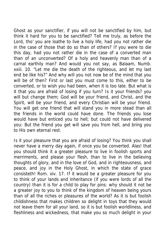Ghost as your sanctifier, if you will not be sanctified by him, but think it hard for you to be sanctified? Tell me truly, as before the Lord, tho' you are loathe to live a holy life, had you not rather die in the case of those that do so than of others? If you were to die this day, had you not rather die in the case of a converted man than of an unconverted? Of a holy and heavenly man than of a carnal earthily man? And would you not say, as Balaam, Numb. xxiii. 10. "Let me die the death of the righteous, and let my last end be like his?" And why will you not now be of the mind that you will be of then? First or last you must come to this, either to be converted, or to wish you had been, when it is too late. But what is it that you are afraid of losing if you turn? Is it your friends? you will but change them; God will be your friend, and Christ, and the Spirit, will be your friend, and every Christian will be your friend. You will get one friend that will stand you in more stead than all the friends in the world could have done. The friends you lose would have but enticed you to hell; but could not have delivered you: But the friend you get will save you from hell, and bring you to His own eternal rest.

Is it your pleasure that you are afraid of losing? You think you shall never have a merry day again, if once you be converted. Alas! that you should think it a greater pleasure to live in foolish sports and merriments, and please your flesh, than to live in the believing thoughts of glory, and in the love of God, and in righteousness, and peace, and joy in the Holy Ghost, in which the state of grace consisteth! Rom. xiv. 17. If it would be a greater pleasure for you to think of your lands and inheritance (if you were lords of all the country) than it is for a child to play for pins: why should it not be a greater joy to you to think of the kingdom of heaven being yours than of all the riches or pleasures of the world? As it is but foolish childishness that makes children so delight in toys that they would not leave them for all your land, so it is but foolish worldliness, and fleshliness and wickedness, that make you so much delight in your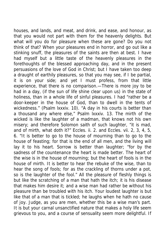houses, and lands, and meat, and drink, and ease, and honour, as that you would not part with them for the heavenly delights. But what will you do for pleasure when these are gone? Do you not think of that? When your pleasures end in horror, and go out like a stinking snuff, the pleasures of the saints are then at best. I have had myself but a little taste of the heavenly pleasures in the forethoughts of the blessed approaching day, and in the present persuasions of the love of God in Christ; but I have taken too deep a draught of earthily pleasures, so that you may see, if I be partial, it is on your side; and yet I must profess, from that little experience, that there is no comparison.—There is more joy to be had in a day, (if the sun of life shine clear upon us) in the state of holiness, than in a whole life of sinful pleasures. I had "rather be a door-keeper in the house of God, than to dwell in the tents of wickedness." (Psalm lxxxiv. 10). "A day in his courts is better than a thousand any where else," Psalm lxxxiv. 13. The mirth of the wicked is like the laughter of a madman, that knows not his own misery; and therefore Solomon saith of such laughter, "it is mad, and of mirth, what doth it?" Eccles. ii. 2. and Eccles. vii. 2, 3, 4, 5, 6. "It is better to go to the house of mourning than to go to the house of feasting; for that is the end of all men, and the living will lay it to his heart. Sorrow is better than laughter; "for by the sadness of the countenance the heart is made better. The heart of the wise is in the house of mourning; but the heart of fools is in the house of mirth. It is better to hear the rebuke of the wise, than to hear the song of fools; for as the crackling of thorns under a pot, so is the laughter of the fool." All the pleasure of fleshly things is but like the scratching of a man that hath the itch; it is his disease that makes him desire it; and a wise man had rather be without his pleasure than be troubled with his itch. Your loudest laughter is but like that of a man that is tickled; he laughs when he hath no cause of joy. Judge, as you are men, whether this be a wise man's part. It is but your carnal unsanctified nature that makes a holy life seem grievous to you, and a course of sensuality seem more delightful. If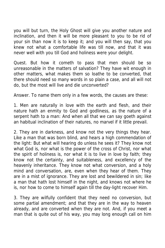you will but turn, the Holy Ghost will give you another nature and inclination, and then it will be more pleasant to you to be rid of your sin than now it is to keep it; and you will then say, that you knew not what a comfortable life was till now, and that it was never well with you till God and holiness were your delight.

Quest. But how it cometh to pass that men should be so unreasonable in the matters of salvation? They have wit enough in other matters, what makes them so loathe to be converted, that there should need so many words in so plain a case, and all will not do, but the most will live and die unconverted?

Answer. To name them only in a few words, the causes are these:

1. Men are naturally in love with the earth and flesh, and their nature hath an enmity to God and godliness, as the nature of a serpent hath to a man: And when all that we can say goeth against an habitual inclination of their natures, no marvel if it little prevail.

2. They are in darkness, and know not the very things they hear. Like a man that was born blind, and hears a high commendation of the light: But what will hearing do unless he sees it? They know not what God is, nor what is the power of the cross of Christ, nor what the spirit of holiness is, nor what it is to live in love by faith; they know not the certainty, and suitableness, and excellency of the heavenly inheritance. They know not what conversion, and a holy mind and conversation, are, even when they hear of them. They are in a mist of ignorance. They are lost and bewildered in sin; like a man that hath lost himself in the night, and knows not where he is, nor how to come to himself again till the day-light recover Him.

3. They are wilfully confident that they need no conversion, but some partial amendment; and that they are in the way to heaven already, and are converted when they are not. And, if you meet a man that is quite out of his way, you may long enough call on him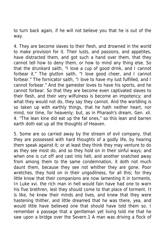to turn back again, if he will not believe you that he is out of the way.

4. They are become slaves to their flesh, and drowned in the world to make provision for it. Their lusts, and passions, and appetites, have distracted them, and got such a hand over them, that they cannot tell how to deny them, or how to mind any thing else. So that the drunkard saith, "I love a cup of good drink, and I cannot forbear it." The glutton saith, "I love good cheer, and I cannot forbear." The fornicator saith, "I love to have my lust fulfilled, and I cannot forbear." And the gamester loves to have his sports, and he cannot forbear. So that they are become even captivated slaves to their flesh, and their very wilfulness is become an impotency; and what they would not do, they say they cannot. And the worldling is so taken up with earthly things, that he hath neither heart, nor mind, nor time, for heavenly; but, as in Pharaoh's dream, Gen. xli. 4. "The lean kine did eat up the fat ones," so this lean and barren earth doth eat up all the thoughts of Heaven.

5. Some are so carried away by the stream of evil company, that they are possessed with hard thoughts of a godly life, by hearing them speak against it; or at least they think they may venture to do as they see most do, and so they hold on in their sinful ways; and when one is cut off and cast into hell, and another snatched away from among them to the same condemnation, it doth not much daunt them, because they see not whither they are gone. Poor wretches, they hold on in their ungodliness, for all this; for they little know that their companions are now lamenting it in torments. In Luke xvi. the rich man in hell would fain have had one to warn his five brethren, lest they should come to that place of torment. It is like, he knew their minds and lives, and knew that they were hastening thither, and little dreamed that he was there, yea, and would little have believed one that should have told them so. I remember a passage that a gentleman yet living told me that he saw upon a bridge over the Severn.1 A man was driving a flock of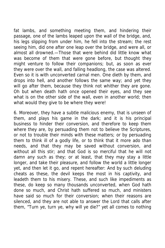fat lambs, and something meeting them, and hindering their passage, one of the lambs leaped upon the wall of the bridge, and, his legs slipping from under him, he fell into the stream; the rest seeing him, did one after one leap over the bridge, and were all, or almost all drowned.—Those that were behind did little know what was become of them that were gone before, but thought they might venture to follow their companions; but, as soon as ever they were over the wall, and falling headlong, the case was altered. Even so it is with unconverted carnal men. One dieth by them, and drops into hell, and another follows the same way; and yet they will go after them, because they think not whither they are gone. Oh but when death hath once opened their eyes, and they see what is on the other side of the wall, even in another world; then what would they give to be where they were!

6. Moreover, they have a subtle malicious enemy, that is unseen of them, and plays his game in the dark; and it is his principal business to hinder their conversion, and therefore to keep them where they are, by persuading them not to believe the Scriptures, or not to trouble their minds with these matters; or by persuading them to think ill of a godly life, or to think that it more ado than needs, and that they may be saved without conversion, and without all this stir; and that God is so merciful that he will not damn any such as they; or at least, that they may stay a little longer, and take their pleasure, and follow the world a little longer yet, and then let it go, and repent hereafter: And by such deluding cheats as these, the devil keeps the most in his captivity, and leadeth them to his misery. These, and such like impediments as these, do keep so many thousands unconverted, when God hath done so much, and Christ hath suffered so much, and ministers have said so much for their conversion; when their reasons are silenced, and they are not able to answer the Lord that calls after them, "Turn ye, turn ye, why will ye die?" yet all comes to nothing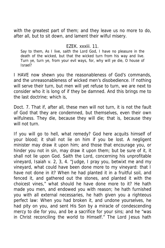with the greatest part of them; and they leave us no more to do, after all, but to sit down, and lament their wilful misery.

## EZEK. xxxiii. 11.

Say to them, As I live, saith the Lord God, I have no pleasure in the death of the wicked, but that the wicked turn from his way and live. Turn ye, turn ye, from your evil ways, for, why will ye die, O house of Israel?

I HAVE now shewn you the reasonableness of God's commands, and the unreasonableness of wicked men's disobedience. If nothing will serve their turn, but men will yet refuse to turn, we are next to consider who it is long of if they be damned. And this brings me to the last doctrine; which is,

Doct. 7. That if, after all, these men will not turn, it is not the fault of God that they are condemned, but themselves, even their own wilfulness. They die, because they will die; that is, because they will not turn.

If you will go to hell, what remedy? God here acquits himself of your blood; it shall not lie on him if you be lost. A negligent minister may draw it upon him; and those that encourage you, or hinder you not in sin, may draw it upon them; but be sure of it, it shall not lie upon God. Saith the Lord, concerning his unprofitable vineyard, Isaiah v. 2, 3, 4. "Judge, I pray you, betwixt me and my vineyard, what could have been done more to my vineyard: that I have not done in it? When he had planted it in a fruitful soil, and fenced it, and gathered out the stones, and planted it with the choicest vines," what should he have done more to it? He hath made you men, and endowed you with reason; he hath furnished you with all external necessaries, he hath given you a righteous perfect law: When you had broken it, and undone yourselves, he had pity on you, and sent His Son by a miracle of condescending mercy to die for you, and be a sacrifice for your sins; and he "was in Christ reconciling the world to Himself." The Lord Jesus hath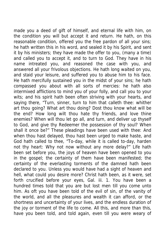made you a deed of gift of himself, and eternal life with him, on the condition you will but accept it and return. He hath, on this reasonable condition, offered you the free pardon of all your sins; he hath written this in his word, and sealed it by his Spirit, and sent it by his ministers; they have made the offer to you, (many a time) and called you to accept it, and to turn to God. They have in his name intreated you, and reasoned the case with you, and answered all your frivolous objections. He hath long waited on you, and staid your leisure, and suffered you to abuse him to his face. He hath mercifully sustained you in the midst of your sins; he hath compassed you about with all sorts of mercies: he hath also intermixed afflictions to mind you of your folly, and call you to your wits; and his spirit hath been often striving with your hearts, and saying there, "Turn, sinner, turn to him that calleth thee: whither art thou going? What art thou doing? Dost thou know what will be the end? How long wilt thou hate thy friends, and love thine enemies? When will thou let go all, and turn, and deliver up thyself to God, and give thy Redeemer the possession of thy soul? When shall it once be?" These pleadings have been used with thee: And when thou hast delayed, thou hast been urged to make haste, and God hath called to thee, "To-day, while it is called to-day, harden not thy heart: Why not now without any more delay?" Life hath been set before you, the joys of heaven have been opened to you in the gospel; the certainty of them have been manifested; the certainty of the everlasting torments of the damned hath been declared to you. Unless you would have had a sight of heaven and hell, what could you desire more? Christ hath been, as it were, set forth crucified before your eyes, Gal. iii. 1. You have been a hundred times told that you are but lost men till you come unto him. As oft you have been told of the evil of sin, of the vanity of the world, and all the pleasures and wealth it can afford, or the shortness and uncertainty of your lives, and the endless duration of the joy or torment of the life to come. All this, and more than this, have you been told, and told again, even till you were weary of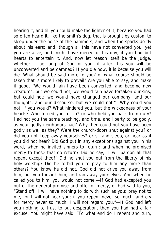hearing it, and till you could make the lighter of it, because you had so often heard it, like the smith's dog, that is brought by custom to sleep under the noise of the hammers, and when the sparks do fly about his ears; and, though all this have not converted you, yet you are alive, and might have mercy to this day, if you had but hearts to entertain it. And, now let reason itself be the judge, whether it be long of God or you, if after this you will be unconverted and be damned? If you die now, it is because you will die. What should be said more to you? or what course should be taken that is more likely to prevail? Are you able to say, and make it good, "We would fain have been converted, and become new creatures, but we could not; we would fain have forsaken our sins, but could not; we would have changed our company, and our thoughts, and our discourse, but we could not."—Why could you not, if you would? What hindered you, but the wickedness of your hearts? Who forced you to sin? or who held you back from duty? Had not you the same teaching, and time, and liberty to be godly, as your godly neighbours had? Why then could not you have been godly as well as they? Were the church-doors shut against you? or did you not keep away yourselves? or sit and sleep, or hear as if you did not hear? Did God put in any exceptions against you in his word, when he invited sinners to return; and when he promised mercy to those that do return? Did he say, "I will pardon all that repent except thee?" Did he shut you out from the liberty of his holy worship? Did he forbid you to pray to him any more than others? You know he did not. God did not drive you away from him, but you forsook him, and ran away yourselves. And when he called you to him, you would not come.—If God had excepted you out of the general promise and offer of mercy, or had said to you, "Stand off; I will have nothing to do with such as you; pray not to me, for I will not hear you; if you repent never so much, and cry for mercy never so much, I will not regard you."—If God had left you nothing to trust to but desperation, then you had had a fair excuse. You might have said, "To what end do I repent and turn,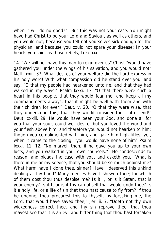when it will do no good?"—But this was not your case. You might have had Christ to be your Lord and Saviour, as well as others, and you would not; because you felt not yourselves sick enough for the physician, and because you could not spare your disease: In your hearts you said, as those rebels, Luke xix.

14. "We will not have this man to reign over us" Christ "would have gathered you under the wings of his salvation, and you would not" Matt. xxiii. 37. What desires of your welfare did the Lord express in his holy word! With what compassion did he stand over you, and say, "O that my people had hearkened unto ne, and that they had walked in my ways!" Psalm lxxxi. 13. "O that there were such a heart in this people, that they would fear me, and keep all my commandments always, that it might be well with them and with their children for ever!" Deut. v. 20. "O that they were wise, that they understood this, that they would consider their latter end!" Deut. xxxiii. 29. He would have been your God, and done all for you that your souls could well desire; but you loved the world and your flesh above him, and therefore you would not hearken to him; though you complimented with him, and gave him high titles; yet, when it came to the closing, "you would have none of him" Psalm lxxxi. 11, 12. "No marvel, then, if he gave you up to your own lusts, and you walked in your own counsels."—He condescends to reason, and pleads the case with you, and asketh you, "What is there in me or my service, that you should be so much against me? What harm have I done thee, sinner? Have I deserved this unkind dealing at thy hand? Many mercies have I shewen thee; for which of them dost thou thus despise me? Is it I, or is it Satan, that is your enemy? Is it I, or is it thy carnal self that would undo thee? Is it a holy life, or a life of sin that thou hast cause to fly from? If thou be undone, thou procurest this to thyself, by forsaking me, the Lord, that would have saved thee," Jer. ii. 7. "Doeth not thy own wickedness correct thee, and thy sin reprove thee, that thou mayest see that it is an evil and bitter thing that thou hast forsaken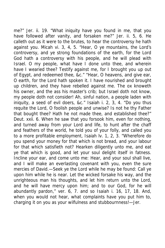me?" Jer. ii. 19. "What iniquity have you found in me, that you have followed after vanity, and forsaken me?" Jer. ii. 5, 6. He calleth out as it were to the brutes, to hear the controversy he hath against you. Micah vi. 3, 4, 5. "Hear, O ye mountains, the Lord's controversy, and ye strong foundations of the earth, for the Lord God hath a controversy with his people, and he will plead with Israel. O my people, what have I done unto thee, and wherein have I wearied thee? Testify against me, for I brought you up out of Egypt, and redeemed thee, &c." "Hear, O heavens, and give ear, O earth, for the Lord hath spoken it. I have nourished and brought up children, and they have rebelled against me. The ox knoweth his owner, and the ass his master's crib; but Israel doth not know, my people doth not consider! Ah, sinful nation, a people laden with iniquity, a seed of evil doers, &c." Isaiah i. 2, 3, 4. "Do you thus requite the Lord, O foolish people and unwise? Is not he thy Father that bought thee? Hath he not made thee, and established thee?" Deut. xxii. 6. When he saw that you forsook him, even for nothing, and turned away from your Lord and life, to hunt after the chaff and feathers of the world, he told you of your folly, and called you to a more profitable employment, Isaiah lv. 1, 2, 3. "Wherefore do you spend your money for that which is not bread, and your labour for that which satisfieth not? Hearken diligently unto me, and eat ye that which is good, and let your soul delight itself in fatness. Incline your ear, and come unto me: Hear, and your soul shall live, and I will make an everlasting covenant with you, even the sure mercies of David.—Seek ye the Lord while he may be found: Call ye upon him while he is near. Let the wicked forsake his way, and the unrighteous man his thoughts, and let him return unto the Lord, and he will have mercy upon him; and to our God, for he will abundantly pardon," ver. 6, 7. and so Isaiah i. 16, 17, 18. And, when you would not hear, what complaints have you put him to, charging it on you as your wilfulness and stubbournness!—Jer.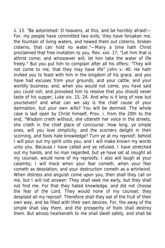ii. 13. "Be astonished: O heavens, at this, and be horribly afraid!— For, my people have committed two evils; they have forsaken me, the fountain of living waters, and hewed them out cisterns, broken cisterns, that can hold no water."—Many a time hath Christ proclaimed that free invitation to you, Rev. xxii. 17, "Let him that is athirst come; and whosoever will, let him take the water of life freely." But you put him to complain after all his offers: "They will not come to me, that they may have life" John v. 40. He hath invited you to feast with him in the kingdom of his grace, and you have had excuses from your grounds, and your cattle, and your worldly business; and, when you would not come, you have said you could not; and provoked him to resolve that you should never taste of his supper, Luke xiv. 15, 24. And who is it long of now but yourselves? and what can we say is the chief cause of your damnation, but your own wills? You will be damned. The whole case is laid open by Christ himself, Prov. i. from the 20th to the end, "Wisdom crieth without, she uttereth her voice in the streets, she crieth in the chief place of concourse: How long, ye simple ones, will you love simplicity, and the scorners delight in their scorning, and fools hate knowledge? Turn ye at my reproof; behold I will pour out my spirit unto you, and I will make known my words unto you. Because I have called and ye refused, I have stretched out my hands, and no man regarded, but ye have set at nought all my counsel, would none of my reproofs; I also will laugh at your calamity; I will mock when your fear cometh, when your fear cometh as desolation, and your destruction cometh as a whirlwind. When distress and anguish come upon you, then shall they call on me, but I will not answer: They shall seek me early, but they shall not find me. For that they hated knowledge, and did not choose the fear of the Lord. They would none of my counsel; they despised all my reproof: Therefore shall they eat of the fruit of their own way, and be filled with their own devices. For, the away of the simple shall slay them, and the prosperity of fools shall destroy them. But whoso hearkeneth to me shall dwell safely, and shall be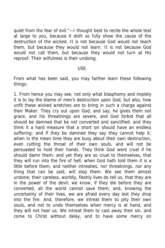quiet from the fear of evil."—I thought best to recite the whole text at large to you, because it doth so fully show the cause of the destruction of the wicked. It is not because God would not teach them, but because they would not learn. It is not because God would not call them, but because they would not turn at His reproof. Their wilfulness is their undoing.

## USE.

From what has been said, you may farther learn these following things:

1. From hence you may see, not only what blasphemy and impiety it is to lay the blame of men's destruction upon God, but also, how unfit these wicked wretches are to bring in such a charge against their Maker. They cry out upon God, and say, he gives them not grace, and his threatnings are severe, and God forbid that all should be damned that be not converted and sanctified: and they think it a hard measure that a short sin should have an endless suffering; and if they be damned they say they cannot help it; when in the mean time they are busy about their own destruction, even cutting the throat of their own souls, and will not be persuaded to hold their hands. They think God were cruel if he should damn them; and yet they are so cruel to themselves, that they will run into the fire of hell; when God hath told them it is a little before them, and neither intreaties, nor threatnings, nor any thing that can be said, will stop them. We see them almost undone; their careless, worldly, fleshly lives do tell us, that they are in the power of the devil; we know, if they die before they are converted, all the world cannot save them; and, knowing the uncertainty of their lives, we are afraid every day lest they drop into the fire. And, therefore, we intreat them to pity their own souls, and not to undo themselves when mercy is at hand, and they will not hear us. We intreat them to cast away their sin, and come to Christ without delay, and to have some mercy on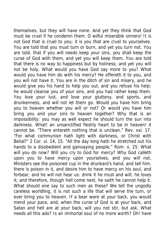themselves, but they will have none. And yet they think that God must be cruel if he condemn them. O wilful miserable sinners! It is not God that is cruel to you; it is you that are cruel to yourselves. You are told that you must turn or burn, and yet you turn not. You are told, that if you will needs keep your sins, you shall keep the curse of God with them, and yet you will keep them. You are told that there is no way to happiness but by holiness; and yet you will not be holy. What would you have God say more to you? What would you have him do with his mercy? He offereth it to you, and you will not have it. You are in the ditch of sin and misery, and he would give you his hand to help you out, and you refuse his help: he would cleanse you of your sins, and you had rather keep them. You love your lust, and love your gluttony, and sports, and drunkenness, and will not let them go. Would you have him bring you to heaven whether you will or not? Or would you have him bring you and your sins to heaven together? Why that is an impossibility: you may as well expect he should turn the sun into darkness. What! an unsanctified fleshly heart to be in heaven! it cannot be. "There entereth nothing that is unclean," Rev. xxi. 17. "For what communion hath light with darkness, or Christ with Belial?" 2 Cor. vi. 14, 15. "All the day long hath he stretched out his hands to a disobedient and gainsaying people," Rom. x. 25. What will you do now? Will you cry to God for mercy? Why God calleth upon you to have mercy upon yourselves, and you will not. Ministers see the poisoned cup in the drunkard's hand, and tell him, there is poison in it, and desire him to have mercy on his soul, and forbear; and he will not hear us: drink it he must and will; he loves it; and therefore, though hell come next, he saith he cannot help it. What should one say to such men as these? We tell the ungodly careless worldling, it is not such a life that will serve the turn, or ever bring you to heaven. If a bear were at your back, you would mend your pace, and, when the curse of God is at your back, and Satan and hell are at your back, will you not stir, but ask, What needs all this ado? Is an immortal soul of no more worth? Oh! have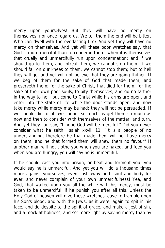mercy upon yourselves! But they will have no mercy on themselves, nor once regard us. We tell them the end will be bitter. Who can dwell with the everlasting fire? And yet they will have no mercy on themselves. And yet will these poor wretches say, that God is more merciful than to condemn them, when it is themselves that cruelly and unmercifully run upon condemnation; and if we should go to them, and intreat them, we cannot stop them. If we should fall on our knees to them, we cannot stop them; but to hell they will go, and yet will not believe that they are going thither. If we beg of them for the sake of God that made them, and preserveth them; for the sake of Christ, that died for them; for the sake of their own poor souls, to pity themselves, and go no farther in the way to hell, but come to Christ while his arms are open, and enter into the state of life while the door stands open, and now take mercy while mercy may be had; they will not be persuaded. If we should die for it, we cannot so much as get them so much as now and then to consider with themselves of the matter, and turn. And yet they can say, "I hope God will be merciful." Did you never consider what he saith, Isaiah xxvii. 11. "It is a people of no understanding, therefore he that made them will not have mercy on them; and he that formed them will shew them no favour" If another man will not clothe you when you are naked, and feed you when you are hungry, you will say he is unmerciful.

If he should cast you into prison, or beat and torment you, you would say he is unmerciful. And yet you will do a thousand times more against yourselves, even cast away both soul and body for ever, and never complain of your own unmercifulness! Yea, and God, that waited upon you all the while with his mercy, must be taken to be unmerciful, if he punish you after all this. Unless the Holy God of heaven will give these wretches leave to trample upon his Son's blood, and with the Jews, as it were, again to spit in his face, and do despite to the spirit of grace, and make a jest of sin, and a mock at holiness, and set more light by saving mercy than by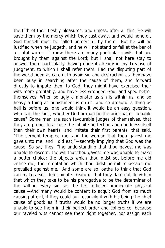the filth of their fleshly pleasures; and unless, after all this, He will save them by the mercy which they cast away, and would none of, God himself must be called unmerciful by them.—But he will be justified when he judgeth, and he will not stand or fall at the bar of a sinful worm.—I know there are many particular cavils that are brought by them against the Lord; but I shall not here stay to answer them particularly, having done it already in my Treatise of Judgment, to which I shall refer them. Had the disputing part of the world been as careful to avoid sin and destruction as they have been busy in searching after the cause of them, and forward directly to impute them to God, they might have exercised their wits more profitably, and have less wronged God, and sped better themselves. When so ugly a monster as sin is within us, and so heavy a thing as punishment is on us, and so dreadful a thing as hell is before us, one would think it would be an easy question, who is in the fault, whether God or man be the principal or culpable cause? Some men are such favourable judges of themselves, that they are proner to accuse the infinite perfection and goodness itself than their own hearts, and imitate their first parents, that said, "The serpent tempted me, and the woman that thou gavest me gave unto me, and I did eat;"—secretly implying that God was the cause. So say they, "the understanding that thou gavest me was unable to discern; the will that thou gavest me was unable to make a better choice; the objects which thou didst set before me did entice me; the temptation which thou didst permit to assault me prevailed against me." And some are so loathe to think that God can make a self-determinate creature, that they dare not deny him that which they take to be his prerogative to be the determiner of the will in every sin, as the first efficient immediate physical cause.—And many would be content to acquit God from so much causing of evil, if they could but reconcile it with his being the chief cause of good: as if truths would be no longer truths if we are unable to see them in their perfect order and coherence; because our raveled wits cannot see them right together, nor assign each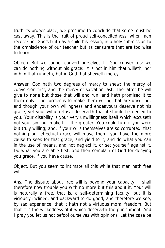truth its proper place, we presume to conclude that some must be cast away. This is the fruit of proud self-conceitedness; when men receive not God's truth as a child his lesson, in a holy submission to the omniscience of our teacher but as censurers that are too wise to learn.

Objecti. But we cannot convert ourselves till God convert us: we can do nothing without his grace: It is not in him that willeth, nor in him that runneth, but in God that sheweth mercy.

Answer. God hath two degrees of mercy to shew; the mercy of conversion first, and the mercy of salvation last: The latter he will give to none but those that will and run, and hath promised it to them only. The former is to make them willing that are unwilling; and though your own willingness and endeavours deserve not his grace, yet your wilful refusal deserveth that it should be denied to you. Your disability is your very unwillingness itself which excuseth not your sin, but maketh it the greater. You could turn if you were but truly willing; and, if your wills themselves are so corrupted, that nothing but effectual grace will move them, you have the more cause to seek for that grace, and yield to it, and do what you can in the use of means, and not neglect it, or set yourself against it. Do what you are able first, and then complain of God for denying you grace, if you have cause.

Object. But you seem to intimate all this while that man hath free will.

Ans. The dispute about free will is beyond your capacity; I shall therefore now trouble you with no more but this about it. Your will is naturally a free, that is, a self-determining faculty, but it is viciously inclined, and backward to do good; and therefore we see, by sad experience, that it hath not a virtuous moral freedom. But that it is the wickedness of it which deserveth the punishment. And I pray you let us not befool ourselves with opinions. Let the case be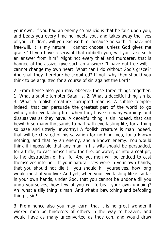your own. If you had an enemy so malicious that he falls upon you, and beats you every time he meets you, and takes away the lives of your children, will you excuse him, because he saith, "I have not free-will, it is my nature; I cannot choose, unless God gives me grace." If you have a servant that robbeth you, will you take such an answer from him? Might not every thief and murderer, that is hanged at the assize, give such an answer? "I have not free will; I cannot change my own heart! What can I do without God's grace?" And shall they therefore be acquitted? If not, why then should you think to be acquitted for a course of sin against the Lord?

2. From hence also you may observe these three things together: 1. What a subtle tempter Satan is. 2. What a deceitful thing sin is. 3. What a foolish creature corrupted man is. A subtile tempter indeed, that can persuade the greatest part of the world to go wilfully into everlasting fire, when they have so many warnings and dissuasives as they have. A deceitful thing is sin indeed, that can bewitch so many thousands to part with everlasting life, for a thing so base and utterly unworthy! A foolish creature is man indeed, that will be cheated of his salvation for nothing, yea, for a known nothing; and that by an enemy, and a known enemy. You would think it impossible that any man in his wits should be persuaded, for a trifle, to cast himself into the fire, or water, or into a coal-pit, to the destruction of his life. And yet men will be enticed to cast themselves into hell. If your natural lives were in your own hands, that you should not die till you should kill yourselves, how long would most of you live? And yet, when your everlasting life is so far in your own hands, under God, that you cannot be undone till you undo yourselves, how few of you will forbear your own undoing? Ah! what a silly thing is man! And what a bewitching and befooling thing is sin!

3. From hence also you may learn, that it is no great wonder if wicked men be hinderers of others in the way to heaven, and would have as many unconverted as they can, and would draw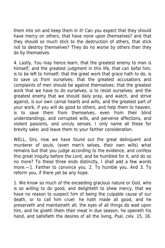them into sin and keep them in it! Can you expect that they should have mercy on others, that have none upon themselves? and that they should so much stick to the destruction of others, that stick not to destroy themselves? They do no worse by others than they do by themselves.

4. Lastly, You may hence learn, that the greatest enemy to man is himself; and the greatest judgment in this life, that can befal him, is to be left to himself; that the great work that grace hath to do, is to save us from ourselves; that the greatest accusations and complaints of men should be against themselves; that the greatest work that we have to do ourselves, is to resist ourselves; and the greatest enemy that we should daily pray, and watch, and strive against, is our own carnal hearts and wills; and the greatest part of your work, if you will do good to others, and help them to heaven, is to save them from themselves, even from their blind understandings, and corrupted wills, and perverse affections, and violent passions, and unruly senses. I only name all these for brevity sake; and leave them to your farther consideration.

WELL, Sirs, now we have found out the great delinquent and murderer of souls, (even men's selves, their own wills) what remains but that you judge according to the evidence, and confess this great iniquity before the Lord, and be humbled for it, and do so no more? To these three ends distinctly, I shall add a few words more.—1. Farther to convince you. 2. To humble you. And 3. To reform you, if there yet be any hope.

1. We know so much of the exceeding gracious nature or God, who is so willing to do good, and delighteth to shew mercy, that we have no reason to suspect him of being the culpable cause of our death, or to call him cruel: he hath made all good, and he preserveth and maintaineth all; the eyes of all things do wait upon him, and he giveth them their meat in due season; he openeth his hand, and satisfieth the desires of all the living, Psal. cxlv. 15, 16.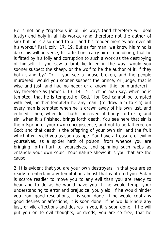He is not only "righteous in all his ways (and therefore will deal justly) and holy in all his works, (and therefore not the author of sin) but he is also good to all, and his tender mercies are over all his works." Psal. cxlv. 17, 19. But as for man, we know his mind is dark, his will perverse, his affections carry him so headlong, that he is fitted by his folly and corruption to such a work as the destroying of himself. If you saw a lamb lie killed in the way, would you sooner suspect the sheep, or the wolf to be the author of it, if they both stand by? Or, if you see a house broken, and the people murdered, would you sooner suspect the prince, or judge, that is wise and just, and had no need; or a known thief or murderer? I say therefore as James i. 13, 14, 15. "Let no man say, when he is tempted, that he is tempted of God," for God cannot be tempted with evil, neither tempteth he any man, (to draw him to sin) but every man is tempted when he is drawn away of his own lust, and enticed. Then, when lust hath conceived, it brings forth sin; and sin, when it is finished, brings forth death. You see here that sin is the offspring of your own concupiscence, and not to be fathered on God; and that death is the offspring of your own sin, and the fruit which it will yield you as soon as ripe. You have a treasure of evil in yourselves, as a spider hath of poison, from whence you are bringing forth hurt to yourselves, and spinning such webs as entangle your own souls. Your nature shews it is you that are the cause.

2. It is evident that you are your own destroyers, in that you are so ready to entertain any temptation almost that is offered you. Satan is scarce readier to move you to any evil than you are ready to hear and to do as he would have you. If he would tempt your understanding to error and prejudice, you yield. If he would hinder you from good resolutions, it is soon done. If he would cool any good desires or affections, it is soon done. If he would kindle any lust, or vile affections and desires in you, it is soon done. If he will put you on to evil thoughts, or deeds, you are so free, that he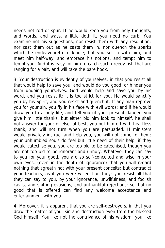needs not rod or spur. If he would keep you from holy thoughts, and words, and ways, a little doth it, you need no curb. You examine not his suggestions, nor resist them with any resolution; nor cast them out as he casts them in, nor quench the sparks which he endeavoureth to kindle; but you set in with him, and meet him half-way, and embrace his notions, and tempt him to tempt you. And it is easy for him to catch such greedy fish that are ranging for a bait, and will take the bare hook.

3. Your destruction is evidently of yourselves, in that you resist all that would help to save you, and would do you good, or hinder you from undoing yourselves. God would help and save you by his word, and you resist it; it is too strict for you. He would sanctify you by his Spirit, and you resist and quench it. If any man reprove you for your sin, you fly in his face with evil words; and if he would draw you to a holy life, and tell you of your present danger, you give him little thanks, but either bid him look to himself, he shall not answer for you; or else, at best, you put him off with heartless thank, and will not turn when you are persuaded. If ministers would privately instruct and help you, you will not come to them; your unhumbled souls do feel but little need of their help; if they would catechise you, you are too old to be catechised, though you are not too old to be ignorant and unholy. Whatever they can say to you for your good, you are so self-conceited and wise in your own eyes, (even in the depth of ignorance) that you will regard nothing that agreeth not with your present conceits; but contradict your teachers, as if you were wiser than they; you resist all that they can say to you, by your ignorance, unwilfulness, and foolish cavils, and shifting evasions, and unthankful rejections; so that no good that is offered can find any welcome acceptance and entertainment with you.

4. Moreover, it is apparent that you are self-destroyers, in that you draw the matter of your sin and destruction even from the blessed God himself. You like not the contrivance of his wisdom; you like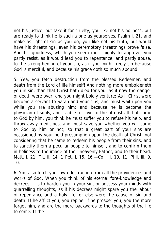not his justice, but take it for cruelty; you like not his holiness, but are ready to think he is such a one as yourselves, Psalm i. 21. and make as light of sin as you do; you like not his truth, but would have his threatnings, even his peremptory threatnings prove false. And his goodness, which you seem most highly to approve, you partly resist, as it would lead you to repentance; and partly abuse, to the strengthening of your sin, as if you might freely sin because God is merciful, and because his grace doth so much abound.

5. Yea, you fetch destruction from the blessed Redeemer, and death from the Lord of life himself! And nothing more emboldeneth you in sin, than that Christ hath died for you; as if now the danger of death were over, and you might boldly venture: As if Christ were become a servant to Satan and your sins, and must wait upon you while you are abusing him; and because he is become the physician of souls, and is able to save to the utmost all that come to God by him, you think he must suffer you to refuse his help, and throw away medicines, and must save you whether you will come to God by him or not; so that a great part of your sins are occasioned by your bold presumption upon the death of Christ; not considering that he came to redeem his people from their sins, and to sanctify them a peculiar people to himself, and to confirm them in holiness to the image of their heavenly Father, and to their head. Matt. i. 21. Tit. ii. 14. 1 Pet. i. 15, 16.—Col. iii. 10, 11. Phil. iii. 9, 10.

6. You also fetch your own destruction from all the providences and works of God. When you think of his eternal fore-knowledge and decrees, it is to harden you in your sin, or possess your minds with quarrelling thoughts, as if his decrees might spare you the labour of repentance and a holy life, or else were the cause of sin and death. If he afflict you, you repine; if he prosper you, you the more forget him, and are the more backwards to the thoughts of the life to come. If the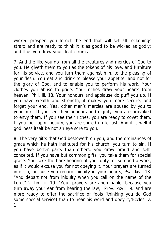wicked prosper, you forget the end that will set all reckonings strait; and are ready to think it is as good to be wicked as godly; and thus you draw your death from all.

7. And the like you do from all the creatures and mercies of God to you. He giveth them to you as the tokens of his love, and furniture for his service, and you turn them against him, to the pleasing of your flesh. You eat and drink to please your appetite, and not for the glory of God, and to enable you to perform his work. Your clothes you abuse to pride. Your riches draw your hearts from heaven, Phil. iii. 18. Your honours and applause do puff you up. If you have wealth and strength, it makes you more secure, and forget your end. Yea, other men's mercies are abused by you to your hurt. If you see their honours and dignity, you are provoked to envy them. If you see their riches, you are ready to covet them. If you look upon beauty, you are stirred up to lust. And it is well if godliness itself be not an eye sore to you.

8. The very gifts that God bestoweth on you, and the ordinances of grace which he hath instituted for his church, you turn to sin. If you have better parts than others, you grow proud and selfconceited. If you have but common gifts, you take them for special grace. You take the bare hearing of your duty for so good a work, as if it would excuse you for not obeying it. Your prayers are turned into sin, because you regard iniquity in your hearts, Psa. lxvi. 18. "And depart not from iniquity when you call on the name of the Lord," 2 Tim. ii. 19. "Your prayers are abominable, because you turn away your ear from hearing the law," Prov. xxviii. 9. and are more ready to offer the sacrifice or fools (thinking you do God some special service) than to hear his word and obey it,"Eccles. v. 1.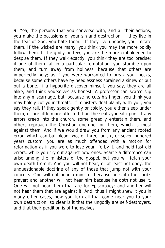9. Yea, the persons that you converse with, and all their actions, you make the occasions of your sin and destruction. If they live in the fear of God, you hate them.—If they live ungodly, you imitate them. If the wicked are many, you think you may the more boldly follow them. If the godly be few, you are the more emboldened to despise them. If they walk exactly, you think they are too precise: if one of them fall in a particular temptation, you stumble upon them, and turn away from holiness, because that others are imperfectly holy; as if you were warranted to break your necks, because some others have by heedlessness sprained a sinew or put out a bone. If a hypocrite discover himself, you say, they are all alike, and think yourselves as honest. A professor can scarce slip into any miscarriage, but, because he cuts his finger, you think you may boldly cut your throats. If ministers deal plainly with you, you say they rail. If they speak gently or coldly, you either sleep under them, or are little more affected than the seats you sit upon. If any errors creep into the church, some greedily entertain them, and others reproach the Christian doctrine for them, which is most against them. And if we would draw you from any ancient rooted error, which can but plead two, or three, or six, or seven hundred years custom, you are as much offended with a motion for reformation as if you were to lose your life by it, and hold fast old errors, while you cry out against new ones. Scarce a difference can arise among the ministers of the gospel, but you will fetch your own death from it. And you will not hear, or at least not obey, the unquestionable doctrine of any of those that jump not with your conceits. One will not hear a minister because he saith the Lord's prayer; and another will not hear him because he doth not use it. One will not hear them that are for Episcopacy; and another will not hear them that are against it. And, thus I might shew it you in many other cases, how you turn all that come near you to your own destruction; so clear is it that the ungodly are self-destroyers, and that their perdition is of themselves.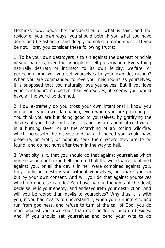Methinks now, upon the consideration of what is said, and the review of your own ways, you should bethink you what you have done, and be ashamed and deeply humbled to remember it. If you be not, I pray you consider these following truths:

1. To be your own destroyers is to sin against the deepest principle in your natures, even the principle of self-preservation. Every thing naturally desireth or inclineth to its own felicity, welfare, or perfection. And will you set yourselves to your own destruction? When you are commanded to love your neighbours as yourselves, it is supposed that you naturally love yourselves. But if you love your neighbours no better than yourselves, it seems you would have all the world be damned.

2. How extremely do you cross your own intentions! I know you intend not your own damnation, even when you are procuring it. You think you are but doing good to yourselves, by gratifying the desires of your flesh: but, alas! it is but as a draught of cold water in a burning fever, or as the scratching of an itching wild-fire, which increaseth the disease and pain. If indeed you would have pleasure, or profit, or honour, seek them where they are to be found, and do not hunt after them in the way to hell.

3. What pity is it, that you should do that against yourselves which none else on earth or in hell can do! If all the world were combined against you, or all the devils in hell were combined against you, they could not destroy you without yourselves, nor make you sin but by your own consent. And will you do that against yourselves which no one else can do? You have hateful thoughts of the devil, because he is your enemy, and endeavoureth your destruction. And will you be worse than devils to yourselves? Why thus it is with you, if you had hearts to understand it, when you run into sin, and run from godliness, and refuse to turn at the call of God, you do more against your own souls than men or devils could do besides. And, if you should set yourselves and bend your wits to do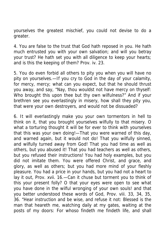yourselves the greatest mischief, you could not devise to do a greater.

4. You are false to the trust that God hath reposed in you. He hath much entrusted you with your own salvation; and will you betray your trust? He hath set you with all diligence to keep your hearts; and is this the keeping of them? Prov. iv. 23.

5. You do even forbid all others to pity you when you will have no pity on yourselves.—If you cry to God in the day of your calamity, for mercy, mercy; what can you expect, but that he should thrust you away, and say, "Nay, thou wouldst not have mercy on thyself: Who brought this upon thee but thy own wilfulness?" And if your brethren see you everlastingly in misery, how shall they pity you, that were your own destroyers, and would not be dissuaded?

6. It will everlastingly make you your own tormentors in hell to think on it, that you brought yourselves wilfully to that misery. O what a torturing thought it will be for ever to think with yourselves that this was your own doing!—That you were warned of this day, and warned again, but it would not do! That you wilfully sinned, and wilfully turned away from God! That you had time as well as others, but you abused it! That you had teachers as well as others, but you refused their instructions! You had holy examples, but you did not imitate them. You were offered Christ, and grace, and glory, as well as others; but you had more mind of your fleshly pleasure. You had a price in your hands, but you had not a heart to lay it out, Prov. xvii. 16.—Can it chuse but torment you to think of this your present folly? O that your eyes were open to see what you have done in the wilful wronging of your own souls! and that you better understood these words of God, Prov. viii. 33, 34, 35, 36. "Hear instruction and be wise, and refuse it not: Blessed is the man that heareth me, watching daily at my gates, waiting at the posts of my doors: For whoso findeth me findeth life, and shall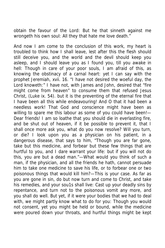obtain the favour of the Lord: But he that sinneth against me wrongeth his own soul: All they that hate me love death."

And now I am come to the conclusion of this work, my heart is troubled to think how I shall leave, lest after this the flesh should still deceive you, and the world and the devil should keep you asleep, and I should leave you as I found you, till you awake in hell: Though in care of your poor souls, I am afraid of this, as knowing the obstinacy of a carnal heart: yet I can say with the prophet Jeremiah, xvii. 16. "I have not desired the woeful day, the Lord knoweth:" I have not, with James and John, desired that "fire might come from heaven" to consume them that refused Jesus Christ, (Luke ix. 54). but it is the preventing of the eternal fire that I have been all this while endeavouring! And O that it had been a needless work! That God and conscience might have been as willing to spare me this labour as some of you could have been!-Dear friends! I am so loathe that you should die in everlasting fire, and be shut out of heaven, if it be possible to prevent it, that I shall once more ask you, what do you now resolve? Will you turn, or die? I look upon you as a physician on his patient, in a dangerous disease, that says to him, "Though you are far gone, take but this medicine, and forbear but these few things that are hurtful to you, and I dare warrant your life: but if you will not do this, you are but a dead man."—What would you think of such a man, if the physician, and all the friends he hath, cannot persuade him to take one medicine to save his life, or to forbear one or two poisonous things that would kill him?—This is your case. As far as you are gone in sin, do but now turn and come to Christ, and take his remedies, and your sou1s shall live: Cast up your deadly sins by repentance, and turn not to the poisonous vomit any more, and you shall do well. But yet, if it were your bodies that we had to deal with, we might partly know what to do for you: Though you would not consent, yet you might be held or bound, while the medicine were poured down your throats, and hurtful things might be kept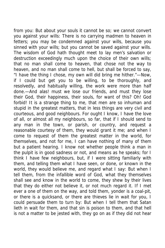from you: But about your souls it cannot be so; we cannot convert you against your wills: There is no carrying madmen to heaven in fetters; you may be condemned against your wills, because you sinned with your wills; but you cannot be saved against your wills. The wisdom of God hath thought meet to lay men's salvation or destruction exceedingly much upon the choice of their own wills; that no man shall come to heaven, that chose not the way to heaven, and no man shall come to hell, but shall be forced to say, "I have the thing I chose, my own will did bring me hither."—Now, if I could but get you to be willing, to be thoroughly, and resolvedly, and habitually willing, the work were more than half done.—And alas! must we lose our friends, and must they lose their God, their happiness, their souls, for want of this? Oh! God forbid! It is a strange thing to me, that men are so inhuman and stupid in the greatest matters, that in less things are very civil and courteous, and good neighbours. For ought I know, I have the love of all, or almost all my neighbours, so far, that if I should send to any man in the town, or parish, or country, and request a reasonable courtesy of them, they would grant it me; and when I come to request of them the greatest matter in the world, for themselves, and not for me, I can have nothing of many of them but a patient hearing. I know not whether people think a man in the pulpit is in good sadness or not, and means as he speaks; for I think I have few neighbours, but, if I were sitting familiarly with them, and telling them what I have seen, or done, or known in the world, they would believe me, and regard what I say: But when I tell them, from the infallible word of God, what they themselves shall see and know in the world to come, they shew by their lives that they do either not believe it, or not much regard it. If I met ever a one of them on the way, and told them, yonder is a coal-pit, or there is a quicksand, or there are thieves lie in wait for you, I could persuade them to turn by: But when I tell them that Satan lieth in wait for them, and that sin is poison to them, and that hell is not a matter to be jested with, they go on as if they did not hear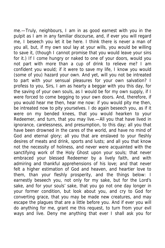me.—Truly, neighbours, I am in as good earnest with you in the pulpit as I am in any familiar discourse, and, if ever you will regard me, I beseech you let it be here. I think there is never a man of you all, but, if my own soul lay at your wills, you would be willing to save it, (though I cannot promise that you would leave your sins for it.) If I come hungry or naked to one of your doors, would you not part with more than a cup of drink to relieve me? I am confident you would; if it were to save my life, I know you would (some of you) hazard your own. And yet, will you not be intreated to part with your sensual pleasures for your own salvation? I profess to you, Sirs, I am as hearty a beggar with you this day, for the saving of your own souls, as I would be for my own supply, if I were forced to come begging to your own doors. And, therefore, if you would hear me then, hear me now: if you would pity me then, be intreated now to pity yourselves. I do again beseech you, as if it were on my bended knees, that you would hearken to your Redeemer, and turn, that you may live.—All you that have lived in ignorance, carelessness, and presumption, to this day; all you that have been drowned in the cares of the world, and have no mind of God and eternal glory; all you that are enslaved to your fleshly desires of meats and drink, sports and lusts; and all you that know not the necessity of holiness, and never were acquainted with the sanctifying work of the Holy Ghost upon your souls; that never embraced your blessed Redeemer by a lively faith, and with admiring and thankful apprehensions of his love; and that never felt a higher estimation of God and heaven, and heartier love to them, than your fleshly prosperity, and the things below: I earnestly beseech you, not only for my sake, but for the Lord's sake, and for your souls' sake, that you go not one day longer in your former condition, but look about you, and cry to God for converting grace, that you may be made new creatures, and may escape the plagues that are a little before you. And if ever you will do anything for me, grant me this request, to turn from your evil ways and live. Deny me anything that ever I shall ask you for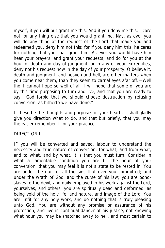myself, if you will but grant me this. And if you deny me this, I care not for any thing else that you would grant me. Nay, as ever you will do any thing at the request of the Lord that made you and redeemed you, deny him not this; for if you deny him this, he cares for nothing that you shall grant him. As ever you would have him hear your prayers, and grant your requests, and do for you at the hour of death and day of judgment, or in any of your extremities, deny not his request now in the day of your prosperity. O believe it, death and judgment, and heaven and hell, are other matters when you come near them, than they seem to carnal eyes afar off.—Well tho' I cannot hope so well of all, I will hope that some of you are by this time purposing to turn and live, and that you are ready to say, "God forbid that we should choose destruction by refusing conversion, as hitherto we have done."

If these be the thoughts and purposes of your hearts, I shall gladly give you direction what to do, and that but briefly, that you may the easier remember it for your practice.

## DIRECTION I

IF you will be converted and saved, labour to understand the necessity and true nature of conversion; for what, and from what, and to what, and by what, it is that you must turn. Consider in what a lamentable condition you are till the hour of your conversion, that you may feel it is not a state to be rested in. You are under the guilt of all the sins that ever you committed; and under the wrath of God, and the curse of his law; you are bondslaves to the devil, and daily employed in his work against the Lord, yourselves, and others; you are spiritually dead and deformed, as being void of the holy life, and nature, and image of the Lord. You are unfit for any holy work, and do nothing that is truly pleasing unto God. You are without any promise or assurance of his protection, and live in continual danger of his justice, not knowing what hour you may be snatched away to hell, and most certain to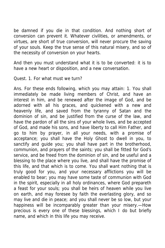be damned if you die in that condition. And nothing short of conversion can prevent it. Whatever civilities, or amendments, or virtues, are short of true conversion, will never procure the saving of your souls. Keep the true sense of this natural misery, and so of the necessity of conversion on your hearts.

And then you must understand what it is to be converted: it is to have a new heart or disposition, and a new conversation.

Quest. 1. For what must we turn?

Ans. For these ends following, which you may attain: 1. You shall immediately be made living members of Christ, and have an interest in him, and be renewed after the image of God, and be adorned with all his graces, and quickened with a new and heavenly life, and saved from the tyranny of Satan and the dominion of sin, and be justified from the curse of the law, and have the pardon of all the sins of your whole lives, and be accepted of God, and made his sons, and have liberty to call Him Father, and go to him by prayer, in all your needs, with a promise of acceptance; you shall have the Holy Ghost to dwell in you, to sanctify and guide you; you shall have part in the brotherhood, communion, and prayers of the saints; you shall be fitted for God's service, and be freed from the dominion of sin, and be useful and a blessing to the place where you live, and shall have the promise of this life, and that which is to come. You shall want nothing that is truly good for you, and your necessary afflictions you will be enabled to bear; you may have some taste of communion with God in the spirit, especially in all holy ordinances, where God prepareth a feast for your souls; you shall be heirs of heaven while you live on earth, and may foresee by faith the everlasting glory, and so may live and die in peace; and you shall never be so low, but your happiness will be incomparably greater than your misery.—How precious is every one of these blessings, which I do but briefly name, and which in this life you may receive.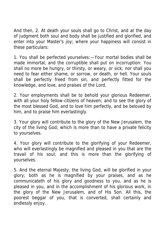And then, 2. At death your souls shall go to Christ, and at the day of judgment both soul and body shall be justified and glorified, and enter into your Master's joy; where your happiness will consist in these particulars:

1. You shall be perfected yourselves:—Your mortal bodies shall be made immortal, and the corruptible shall put on incorruption: You shall no more be hungry, or thirsty, or weary, or sick; nor shall you need to fear either shame, or sorrow, or death, or hell. Your souls shall be perfectly freed from sin, and perfectly fitted for the knowledge, and love, and praises of the Lord.

2. Your employments shall be to behold your glorious Redeemer, with all your holy fellow-citizens of heaven; and to see the glory of the most blessed God, and to love him perfectly, and be beloved by him, and to praise him everlastingly.

3. Your glory will contribute to the glory of the New Jerusalem, the city of the living God; which is more than to have a private felicity to yourselves.

4. Your glory will contribute to the glorifying of your Redeemer, who will everlastingly be magnified and pleased in you that are the travail of his soul; and this is more than the glorifying of yourselves.

5. And the eternal Majesty, the living God, will be glorified in your glory; both as he is magnified by your praises, and as he communicateth of his glory and goodness to you, and as he is pleased in you, and in the accomplishment of his glorious work, in the glory of the New Jerusalem, and of His Son. All this, the poorest beggar of you, that is converted, shall certainly and endlessly enjoy.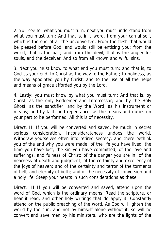2. You see for what you must turn: next you must understand from what you must turn: And that is, in a word, from your carnal self, which is the end of all the unconverted. From the flesh that would be pleased before God, and would still be enticing you; from the world, that is the bait; and from the devil, that is the angler for souls, and the deceiver. And so from all known and wilful sins.

3. Next you must know to what end you must turn: and that is, to God as your end, to Christ as the way to the Father; to holiness, as the way appointed you by Christ; and to the use of all the helps and means of grace afforded you by the Lord.

4. Lastly; you must know by what you must turn: And that is, by Christ, as the only Redeemer and Intercessor; and by the Holy Ghost, as the sanctifier; and by the Word, as his instrument or means; and by faith and repentance, as the means and duties on your part to be performed. All this is of necessity.

Direct. II. If you will be converted and saved, be much in secret serious consideration. Inconsiderateness undoes the world. Withdraw yourselves often into retired secrecy, and there bethink you of the end why you were made; of the life you have lived; the time you have lost; the sin you have committed; of the love and sufferings, and fulness of Christ; of the danger you are in; of the nearness of death and judgment; of the certainty and excellency of the joys of heaven; and of the certainty and terror of the torments of hell; and eternity of both; and of the necessity of conversion and a holy life. Steep your hearts in such considerations as these.

Direct. III If you will be converted and saved, attend upon the word of God, which is the ordinary means. Read the scripture, or hear it read, and other holy writings that do apply it: Constantly attend on the public preaching of the word. As God will lighten the world by the sun, and not by himself alone without it, so will he convert and save men by his ministers, who are the lights of the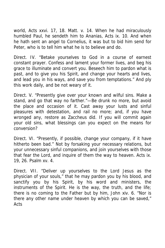world, Acts xxvi. 17, 18. Matt. v. 14. When he had miraculously humbled Paul, he sendeth him to Ananias, Acts ix. 10. And when he hath sent an angel to Cornelius, it was but to bid him send for Peter, who is to tell him what he is to believe and do.

Direct. IV. "Betake yourselves to God in a course of earnest constant prayer. Confess and lament your former lives, and beg his grace to illuminate and convert you. Beseech him to pardon what is past, and to give you his Spirit, and change your hearts and lives, and lead you in his ways, and save you from temptations." And ply this work daily, and be not weary of it.

Direct. V. "Presently give over your known and wilful sins. Make a stand, and go that way no farther."—Be drunk no more, but avoid the place and occasion of it. Cast away your lusts and sinful pleasures with detestation, and rail no more; and, if you have wronged any, restore as Zaccheus did. If you will commit again your old sins, what blessings can you expect on the means for conversion?

Direct. VI. "Presently, if possible, change your company, if it have hitherto been bad." Not by forsaking your necessary relations, but your unnecessary sinful companions, and join yourselves with those that fear the Lord, and inquire of them the way to heaven. Acts ix. 19, 26. Psalm xv. 4.

Direct. VII. "Deliver up yourselves to the Lord Jesus as the physician of your souls," that he may pardon you by his blood, and sanctify you by his Spirit, by his word and ministers, the instruments of the Spirit. He is the way, the truth, and the life; there is no coming to the Father but by him, John xiv. 6. "Nor is there any other name under heaven by which you can be saved," Acts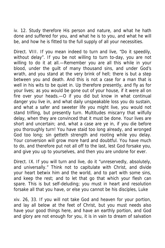iv. 12. Study therefore His person and nature, and what he hath done and suffered for you, and what he is to you, and what he will be, and how he is fitted to the full supply of all your necessities.

Direct. VIII. If you mean indeed to turn and live, "Do it speedily, without delay". If you be not willing to turn to-day, you are not willing to do it at all.—Remember you are all this while in your blood, under the guilt of many thousand sins, and under God's wrath, and you stand at the very brink of hell; there is but a step between you and death. And this is not a case for a man that is well in his wits to be quiet in. Up therefore presently, and fly as for your lives; as you would be gone out of your house, if it were all on fire over your heads.—O if you did but know in what continual danger you live in, and what daily unspeakable loss you do sustain, and what a safer and sweeter life you might live, you would not stand trifling, but presently turn. Multitudes miscarry that wilfully delay, when they are convinced that it must be done. Your lives are short and uncertain; and, what a case are ye in, if you die before you thoroughly turn! You have staid too long already, and wronged God too long; sin getteth strength and rooting while you delay. Your conversion will grow more hard and doubtful. You have much to do, and therefore put not all off to the last, lest God forsake you, and give you up to yourselves, and then you are undone for ever.

Direct. IX. If you will turn and live, do it "unreservedly, absolutely, and universally." Think not to capitulate with Christ, and divide your heart betwix him and the world, and to part with some sins, and keep the rest; and to let that go that which your flesh can spare. This is but self-deluding; you must in heart and resolution forsake all that you have, or else you cannot be his disciples, Luke

xiv. 26, 33. If you will not take God and heaven for your portion, and lay all below at the feet of Christ, but you must needs also have your good things here, and have an earthly portion, and God and glory are not enough for you, it is in vain to dream of salvation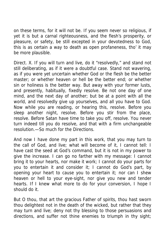on these terms, for it will not be. If you seem never so religious, if yet it is but a carnal righteousness, and the flesh's prosperity, or pleasure, or safety, be still excepted in your devotedness to God, this is as certain a way to death as open profaneness, tho' it may be more plausible.

Direct. X. If you will turn and live, do it "resolvedly," and stand not still deliberating, as if it were a doubtful case. Stand not wavering, as if you were yet uncertain whether God or the flesh be the better master; or whether heaven or hell be the better end; or whether sin or holiness is the better way. But away with your former lusts, and presently, habitually, fixedly resolve. Be not one day of one mind, and the next day of another; but be at a point with all the world, and resolvedly give up yourselves, and all you have to God. Now while you are reading, or hearing this, resolve. Before you sleep another night, resolve. Before you stir from the place, resolve. Before Satan have time to take you off, resolve. You never turn indeed till you do resolve, and that with a firm unchangeable resolution.—So much for the Directions.

And now I have done my part in this work, that you may turn to the call of God, and live; what will become of it, I cannot tell: I have cast the seed at God's command, but it is not in my power to give the increase. I can go no farther with my message: I cannot bring it to your hearts, nor make it work; I cannot do your parts for you to entertain it and consider it; I cannot do God's part, by opening your heart to cause you to entertain it; nor can I shew heaven or hell to your eye-sight, nor give you new and tender hearts. If I knew what more to do for your conversion, I hope I should do it.

But O thou, that art the gracious Father of spirits, thou hast sworn thou delightest not in the death of the wicked, but rather that they may turn and live; deny not thy blessing to those persuasions and directions, and suffer not thine enemies to triumph in thy sight;